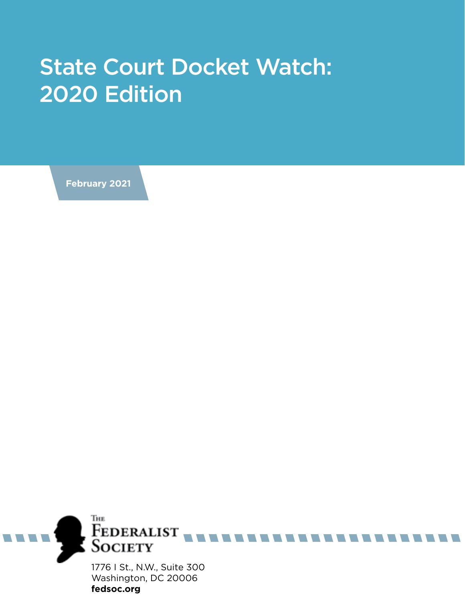# State Court Docket Watch: 2020 Edition

**February 2021**

**fedsoc.org**

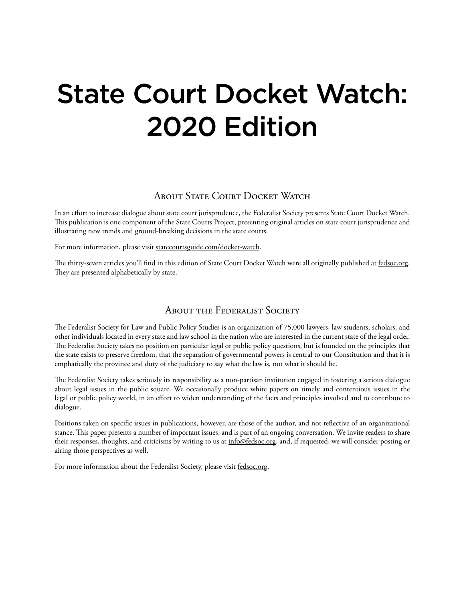# State Court Docket Watch: 2020 Edition

### ABOUT STATE COURT DOCKET WATCH

In an effort to increase dialogue about state court jurisprudence, the Federalist Society presents State Court Docket Watch. This publication is one component of the State Courts Project, presenting original articles on state court jurisprudence and illustrating new trends and ground-breaking decisions in the state courts.

For more information, please visit statecourtsguide.com/docket-watch.

The thirty-seven articles you'll find in this edition of State Court Docket Watch were all originally published at fedsoc.org. They are presented alphabetically by state.

### About the Federalist Society

The Federalist Society for Law and Public Policy Studies is an organization of 75,000 lawyers, law students, scholars, and other individuals located in every state and law school in the nation who are interested in the current state of the legal order. The Federalist Society takes no position on particular legal or public policy questions, but is founded on the principles that the state exists to preserve freedom, that the separation of governmental powers is central to our Constitution and that it is emphatically the province and duty of the judiciary to say what the law is, not what it should be.

The Federalist Society takes seriously its responsibility as a non-partisan institution engaged in fostering a serious dialogue about legal issues in the public square. We occasionally produce white papers on timely and contentious issues in the legal or public policy world, in an effort to widen understanding of the facts and principles involved and to contribute to dialogue.

Positions taken on specific issues in publications, however, are those of the author, and not reflective of an organizational stance. This paper presents a number of important issues, and is part of an ongoing conversation. We invite readers to share their responses, thoughts, and criticisms by writing to us at info@fedsoc.org, and, if requested, we will consider posting or airing those perspectives as well.

For more information about the Federalist Society, please visit fedsoc.org.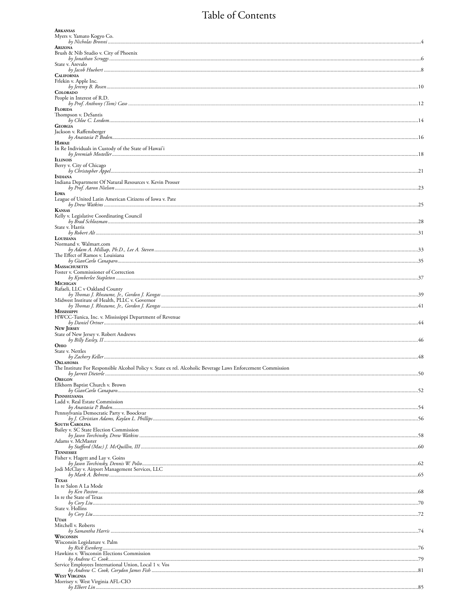### Table of Contents

| <b>ARKANSAS</b><br>Myers v. Yamato Kogyo Co.                                                                             |  |
|--------------------------------------------------------------------------------------------------------------------------|--|
|                                                                                                                          |  |
| ARIZONA<br>Brush & Nib Studio v. City of Phoenix                                                                         |  |
| State v. Arevalo                                                                                                         |  |
|                                                                                                                          |  |
| <b>CALIFORNIA</b><br>Frlekin v. Apple Inc.                                                                               |  |
|                                                                                                                          |  |
| <b>COLORADO</b><br>People in Interest of R.D.                                                                            |  |
|                                                                                                                          |  |
| <b>FLORIDA</b><br>Thompson v. DeSantis                                                                                   |  |
| <b>GEORGIA</b>                                                                                                           |  |
| Jackson v. Raffensberger                                                                                                 |  |
| HAWAII                                                                                                                   |  |
| In Re Individuals in Custody of the State of Hawai'i                                                                     |  |
| <b>ILLINOIS</b>                                                                                                          |  |
| Berry v. City of Chicago                                                                                                 |  |
| <b>INDIANA</b>                                                                                                           |  |
| Indiana Department Of Natural Resources v. Kevin Prosser                                                                 |  |
| <b>IOWA</b>                                                                                                              |  |
| League of United Latin American Citizens of Iowa v. Pate                                                                 |  |
| KANSAS                                                                                                                   |  |
| Kelly v. Legislative Coordinating Council                                                                                |  |
| State v. Harris                                                                                                          |  |
| LOUISIANA                                                                                                                |  |
| Normand v. Walmart.com                                                                                                   |  |
| The Effect of Ramos v. Louisiana                                                                                         |  |
|                                                                                                                          |  |
| <b>MASSACHUSETTS</b><br>Foster v. Commissioner of Correction                                                             |  |
|                                                                                                                          |  |
| MICHIGAN<br>Rafaeli, LLC v Oakland County                                                                                |  |
| Midwest Institute of Health, PLLC v. Governor                                                                            |  |
|                                                                                                                          |  |
| <b>MISSISSIPPI</b><br>HWCC-Tunica, Inc. v. Mississippi Department of Revenue                                             |  |
|                                                                                                                          |  |
| <b>NEW JERSEY</b><br>State of New Jersey v. Robert Andrews                                                               |  |
|                                                                                                                          |  |
| Оню<br>State v. Nettles                                                                                                  |  |
|                                                                                                                          |  |
| OKLAHOMA<br>The Institute For Responsible Alcohol Policy v. State ex rel. Alcoholic Beverage Laws Enforcement Commission |  |
| <b>OREGON</b>                                                                                                            |  |
| Elkhorn Baptist Church v. Brown                                                                                          |  |
| PENNSYLVANIA                                                                                                             |  |
| Ladd v. Real Estate Commission                                                                                           |  |
| Pennsylvania Democratic Party v. Boockvar                                                                                |  |
|                                                                                                                          |  |
| <b>SOUTH CAROLINA</b><br>Bailey v. SC State Election Commission                                                          |  |
|                                                                                                                          |  |
| Adams v. McMaster                                                                                                        |  |
| <b>TENNESSEE</b>                                                                                                         |  |
| Fisher v. Hagett and Lay v. Goins                                                                                        |  |
| Jodi McClay v. Airport Management Services, LLC                                                                          |  |
| <b>TEXAS</b>                                                                                                             |  |
| In re Salon A La Mode                                                                                                    |  |
| In re the State of Texas                                                                                                 |  |
| by Cory Liu<br>State v. Hollins                                                                                          |  |
|                                                                                                                          |  |
| <b>UTAH</b><br>Mitchell v. Roberts                                                                                       |  |
|                                                                                                                          |  |
| WISCONSIN<br>Wisconsin Legislature v. Palm                                                                               |  |
|                                                                                                                          |  |
| Hawkins v. Wisconsin Elections Commission                                                                                |  |
| Service Employees International Union, Local 1 v. Vos                                                                    |  |
| <b>WEST VIRGINIA</b>                                                                                                     |  |
| Morrisey v. West Virginia AFL-CIO                                                                                        |  |
|                                                                                                                          |  |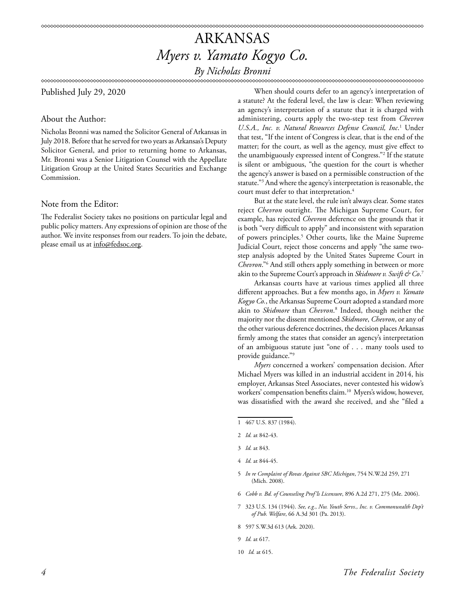## ARKANSAS *Myers v. Yamato Kogyo Co.*

*By Nicholas Bronni*

#### Published July 29, 2020

#### About the Author:

Nicholas Bronni was named the Solicitor General of Arkansas in July 2018. Before that he served for two years as Arkansas's Deputy Solicitor General, and prior to returning home to Arkansas, Mr. Bronni was a Senior Litigation Counsel with the Appellate Litigation Group at the United States Securities and Exchange Commission.

#### Note from the Editor:

The Federalist Society takes no positions on particular legal and public policy matters. Any expressions of opinion are those of the author. We invite responses from our readers. To join the debate, please email us at info@fedsoc.org.

When should courts defer to an agency's interpretation of a statute? At the federal level, the law is clear: When reviewing an agency's interpretation of a statute that it is charged with administering, courts apply the two-step test from *Chevron*  U.S.A., Inc. v. Natural Resources Defense Council, Inc.<sup>1</sup> Under that test, "If the intent of Congress is clear, that is the end of the matter; for the court, as well as the agency, must give effect to the unambiguously expressed intent of Congress."2 If the statute is silent or ambiguous, "the question for the court is whether the agency's answer is based on a permissible construction of the statute."3 And where the agency's interpretation is reasonable, the court must defer to that interpretation.<sup>4</sup>

But at the state level, the rule isn't always clear. Some states reject *Chevron* outright. The Michigan Supreme Court, for example, has rejected *Chevron* deference on the grounds that it is both "very difficult to apply" and inconsistent with separation of powers principles.<sup>5</sup> Other courts, like the Maine Supreme Judicial Court, reject those concerns and apply "the same twostep analysis adopted by the United States Supreme Court in *Chevron*."6 And still others apply something in between or more akin to the Supreme Court's approach in *Skidmore v. Swift & Co*. 7

Arkansas courts have at various times applied all three different approaches. But a few months ago, in *Myers v. Yamato Kogyo Co.*, the Arkansas Supreme Court adopted a standard more akin to *Skidmore* than *Chevron*. 8 Indeed, though neither the majority nor the dissent mentioned *Skidmore*, *Chevron*, or any of the other various deference doctrines, the decision places Arkansas firmly among the states that consider an agency's interpretation of an ambiguous statute just "one of . . . many tools used to provide guidance."<sup>9</sup>

*Myers* concerned a workers' compensation decision. After Michael Myers was killed in an industrial accident in 2014, his employer, Arkansas Steel Associates, never contested his widow's workers' compensation benefits claim.<sup>10</sup> Myers's widow, however, was dissatisfied with the award she received, and she "filed a

- 5 *In re Complaint of Rovas Against SBC Michigan*, 754 N.W.2d 259, 271 (Mich. 2008).
- 6 *Cobb v. Bd. of Counseling Prof'ls Licensure*, 896 A.2d 271, 275 (Me. 2006).
- 7 323 U.S. 134 (1944). *See, e.g.*, *Nw. Youth Servs., Inc. v. Commonwealth Dep't of Pub. Welfare*, 66 A.3d 301 (Pa. 2013).
- 8 597 S.W.3d 613 (Ark. 2020).
- 9 *Id.* at 617.

*4 The Federalist Society* 

<sup>1 467</sup> U.S. 837 (1984).

<sup>2</sup> *Id.* at 842-43.

<sup>3</sup> *Id.* at 843.

<sup>4</sup> *Id.* at 844-45.

<sup>10</sup> *Id.* at 615.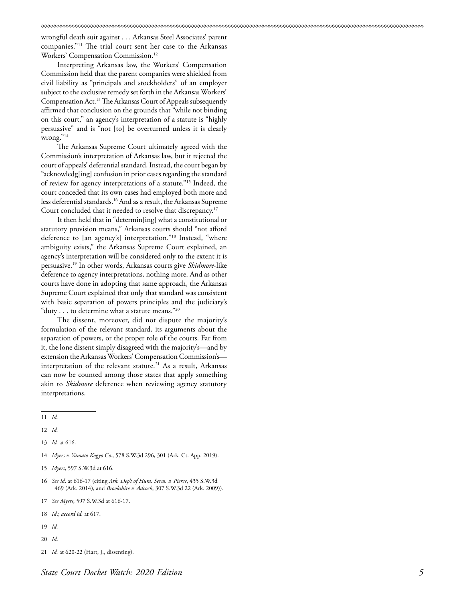wrongful death suit against . . . Arkansas Steel Associates' parent companies."11 The trial court sent her case to the Arkansas Workers' Compensation Commission.12

Interpreting Arkansas law, the Workers' Compensation Commission held that the parent companies were shielded from civil liability as "principals and stockholders" of an employer subject to the exclusive remedy set forth in the Arkansas Workers' Compensation Act.13 The Arkansas Court of Appeals subsequently affirmed that conclusion on the grounds that "while not binding on this court," an agency's interpretation of a statute is "highly persuasive" and is "not [to] be overturned unless it is clearly wrong."<sup>14</sup>

The Arkansas Supreme Court ultimately agreed with the Commission's interpretation of Arkansas law, but it rejected the court of appeals' deferential standard. Instead, the court began by "acknowledg[ing] confusion in prior cases regarding the standard of review for agency interpretations of a statute."15 Indeed, the court conceded that its own cases had employed both more and less deferential standards.16 And as a result, the Arkansas Supreme Court concluded that it needed to resolve that discrepancy.<sup>17</sup>

It then held that in "determin[ing] what a constitutional or statutory provision means," Arkansas courts should "not afford deference to [an agency's] interpretation."18 Instead, "where ambiguity exists," the Arkansas Supreme Court explained, an agency's interpretation will be considered only to the extent it is persuasive.19 In other words, Arkansas courts give *Skidmore*-like deference to agency interpretations, nothing more. And as other courts have done in adopting that same approach, the Arkansas Supreme Court explained that only that standard was consistent with basic separation of powers principles and the judiciary's "duty  $\dots$  to determine what a statute means."20

The dissent, moreover, did not dispute the majority's formulation of the relevant standard, its arguments about the separation of powers, or the proper role of the courts. Far from it, the lone dissent simply disagreed with the majority's—and by extension the Arkansas Workers' Compensation Commission's interpretation of the relevant statute.<sup>21</sup> As a result, Arkansas can now be counted among those states that apply something akin to *Skidmore* deference when reviewing agency statutory interpretations.

- 14 *Myers v. Yamato Kogyo Co.*, 578 S.W.3d 296, 301 (Ark. Ct. App. 2019).
- 15 *Myers*, 597 S.W.3d at 616.
- 16 *See id*. at 616-17 (citing *Ark. Dep't of Hum. Servs. v. Pierce*, 435 S.W.3d 469 (Ark. 2014), and *Brookshire v. Adcock*, 307 S.W.3d 22 (Ark. 2009)).
- 17 *See Myers*, 597 S.W.3d at 616-17.
- 18 *Id*.; *accord id.* at 617.
- 19 *Id.*
- 20 *Id*.
- 21 *Id.* at 620-22 (Hart, J., dissenting).

<sup>11</sup> *Id.*

<sup>12</sup> *Id.*

<sup>13</sup> *Id.* at 616.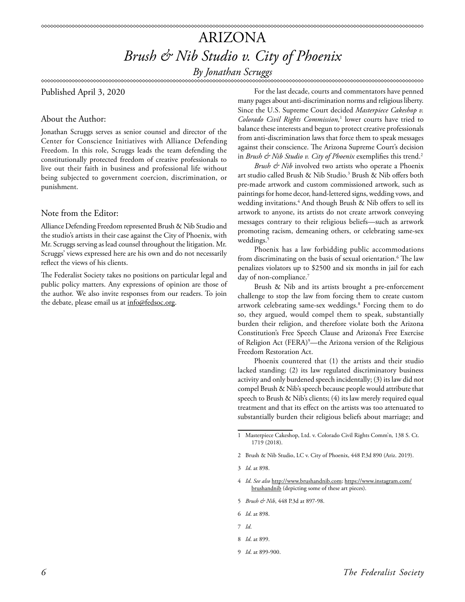## ARIZONA *Brush & Nib Studio v. City of Phoenix*

*By Jonathan Scruggs*

#### **∞∞∞∞∞∞∞∞∞∞∞∞∞∞∞∞∞∞∞∞∞∞∞∞∞∞∞∞**

Published April 3, 2020

#### About the Author:

Jonathan Scruggs serves as senior counsel and director of the Center for Conscience Initiatives with Alliance Defending Freedom. In this role, Scruggs leads the team defending the constitutionally protected freedom of creative professionals to live out their faith in business and professional life without being subjected to government coercion, discrimination, or punishment.

#### Note from the Editor:

Alliance Defending Freedom represented Brush & Nib Studio and the studio's artists in their case against the City of Phoenix, with Mr. Scruggs serving as lead counsel throughout the litigation. Mr. Scruggs' views expressed here are his own and do not necessarily reflect the views of his clients.

The Federalist Society takes no positions on particular legal and public policy matters. Any expressions of opinion are those of the author. We also invite responses from our readers. To join the debate, please email us at info@fedsoc.org.

For the last decade, courts and commentators have penned many pages about anti-discrimination norms and religious liberty. Since the U.S. Supreme Court decided *Masterpiece Cakeshop v. Colorado Civil Rights Commission,*<sup>1</sup> lower courts have tried to balance these interests and begun to protect creative professionals from anti-discrimination laws that force them to speak messages against their conscience. The Arizona Supreme Court's decision in *Brush & Nib Studio v. City of Phoenix* exemplifies this trend.<sup>2</sup>

*Brush & Nib* involved two artists who operate a Phoenix art studio called Brush & Nib Studio.3 Brush & Nib offers both pre-made artwork and custom commissioned artwork, such as paintings for home decor, hand-lettered signs, wedding vows, and wedding invitations.4 And though Brush & Nib offers to sell its artwork to anyone, its artists do not create artwork conveying messages contrary to their religious beliefs—such as artwork promoting racism, demeaning others, or celebrating same-sex weddings.<sup>5</sup>

Phoenix has a law forbidding public accommodations from discriminating on the basis of sexual orientation.6 The law penalizes violators up to \$2500 and six months in jail for each day of non-compliance.<sup>7</sup>

Brush & Nib and its artists brought a pre-enforcement challenge to stop the law from forcing them to create custom artwork celebrating same-sex weddings.<sup>8</sup> Forcing them to do so, they argued, would compel them to speak, substantially burden their religion, and therefore violate both the Arizona Constitution's Free Speech Clause and Arizona's Free Exercise of Religion Act (FERA)<sup>9</sup>—the Arizona version of the Religious Freedom Restoration Act.

Phoenix countered that (1) the artists and their studio lacked standing; (2) its law regulated discriminatory business activity and only burdened speech incidentally; (3) its law did not compel Brush & Nib's speech because people would attribute that speech to Brush & Nib's clients; (4) its law merely required equal treatment and that its effect on the artists was too attenuated to substantially burden their religious beliefs about marriage; and

- 5 *Brush & Nib*, 448 P.3d at 897-98.
- 6 *Id*. at 898.
- 7 *Id*.
- 8 *Id*. at 899.
- 9 *Id*. at 899-900.

<sup>1</sup> Masterpiece Cakeshop, Ltd. v. Colorado Civil Rights Comm'n*,* 138 S. Ct. 1719 (2018).

<sup>2</sup> Brush & Nib Studio, LC v. City of Phoenix, 448 P.3d 890 (Ariz. 2019).

<sup>3</sup> *Id*. at 898.

<sup>4</sup> *Id*. *See also* [http://www.brushandnib.com;](http://www.brushandnib.com/) [https://www.instagram.com/](https://www.instagram.com/brushandnib) [brushandnib](https://www.instagram.com/brushandnib) (depicting some of these art pieces).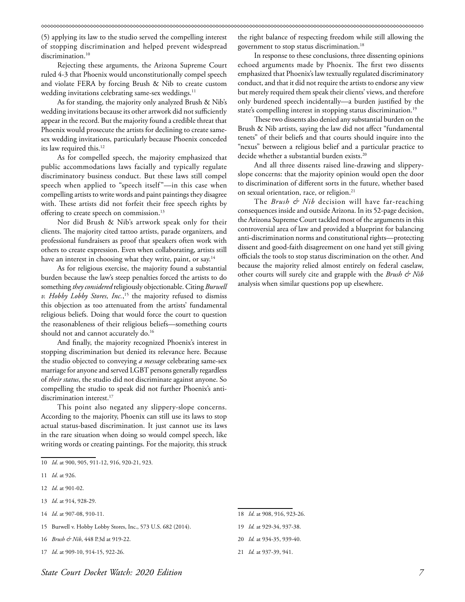(5) applying its law to the studio served the compelling interest of stopping discrimination and helped prevent widespread discrimination.<sup>10</sup>

Rejecting these arguments, the Arizona Supreme Court ruled 4-3 that Phoenix would unconstitutionally compel speech and violate FERA by forcing Brush & Nib to create custom wedding invitations celebrating same-sex weddings.<sup>11</sup>

As for standing, the majority only analyzed Brush & Nib's wedding invitations because its other artwork did not sufficiently appear in the record. But the majority found a credible threat that Phoenix would prosecute the artists for declining to create samesex wedding invitations, particularly because Phoenix conceded its law required this.<sup>12</sup>

As for compelled speech, the majority emphasized that public accommodations laws facially and typically regulate discriminatory business conduct. But these laws still compel speech when applied to "speech itself"-in this case when compelling artists to write words and paint paintings they disagree with. These artists did not forfeit their free speech rights by offering to create speech on commission.<sup>13</sup>

Nor did Brush & Nib's artwork speak only for their clients. The majority cited tattoo artists, parade organizers, and professional fundraisers as proof that speakers often work with others to create expression. Even when collaborating, artists still have an interest in choosing what they write, paint, or say.<sup>14</sup>

As for religious exercise, the majority found a substantial burden because the law's steep penalties forced the artists to do something *they considered* religiously objectionable. Citing *Burwell v. Hobby Lobby Stores, Inc.*, 15 the majority refused to dismiss this objection as too attenuated from the artists' fundamental religious beliefs. Doing that would force the court to question the reasonableness of their religious beliefs—something courts should not and cannot accurately do.<sup>16</sup>

And finally, the majority recognized Phoenix's interest in stopping discrimination but denied its relevance here. Because the studio objected to conveying *a message* celebrating same-sex marriage for anyone and served LGBT persons generally regardless of *their status*, the studio did not discriminate against anyone. So compelling the studio to speak did not further Phoenix's antidiscrimination interest.<sup>17</sup>

This point also negated any slippery-slope concerns. According to the majority, Phoenix can still use its laws to stop actual status-based discrimination. It just cannot use its laws in the rare situation when doing so would compel speech, like writing words or creating paintings. For the majority, this struck

- 13 *Id*. at 914, 928-29.
- 14 *Id*. at 907-08, 910-11.
- 15 Burwell v. Hobby Lobby Stores, Inc., 573 U.S. 682 (2014).
- 16 *Brush & Nib*, 448 P.3d at 919-22.
- 17 *Id*. at 909-10, 914-15, 922-26.

the right balance of respecting freedom while still allowing the government to stop status discrimination.18

In response to these conclusions, three dissenting opinions echoed arguments made by Phoenix. The first two dissents emphasized that Phoenix's law textually regulated discriminatory conduct, and that it did not require the artists to endorse any view but merely required them speak their clients' views, and therefore only burdened speech incidentally—a burden justified by the state's compelling interest in stopping status discrimination.<sup>19</sup>

These two dissents also denied any substantial burden on the Brush & Nib artists, saying the law did not affect "fundamental tenets" of their beliefs and that courts should inquire into the "nexus" between a religious belief and a particular practice to decide whether a substantial burden exists.<sup>20</sup>

And all three dissents raised line-drawing and slipperyslope concerns: that the majority opinion would open the door to discrimination of different sorts in the future, whether based on sexual orientation, race, or religion.<sup>21</sup>

The *Brush & Nib* decision will have far-reaching consequences inside and outside Arizona. In its 52-page decision, the Arizona Supreme Court tackled most of the arguments in this controversial area of law and provided a blueprint for balancing anti-discrimination norms and constitutional rights—protecting dissent and good-faith disagreement on one hand yet still giving officials the tools to stop status discrimination on the other. And because the majority relied almost entirely on federal caselaw, other courts will surely cite and grapple with the *Brush & Nib* analysis when similar questions pop up elsewhere.

<sup>10</sup> *Id*. at 900, 905, 911-12, 916, 920-21, 923.

<sup>11</sup> *Id*. at 926.

<sup>12</sup> *Id*. at 901-02.

<sup>18</sup> *Id*. at 908, 916, 923-26.

<sup>19</sup> *Id.* at 929-34, 937-38.

<sup>20</sup> *Id.* at 934-35, 939-40.

<sup>21</sup> *Id.* at 937-39, 941.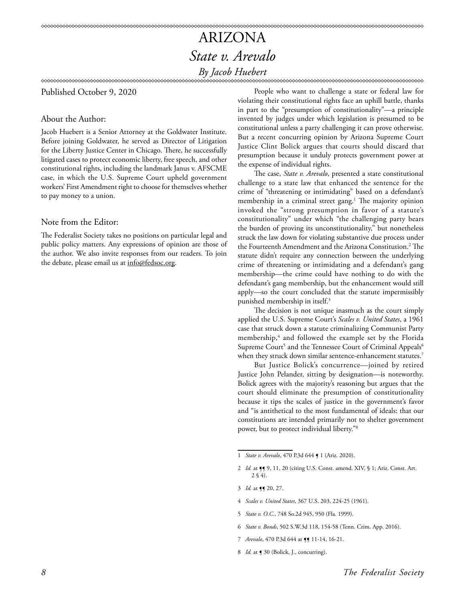## ARIZONA *State v. Arevalo By Jacob Huebert*

Published October 9, 2020

#### About the Author:

Jacob Huebert is a Senior Attorney at the Goldwater Institute. Before joining Goldwater, he served as Director of Litigation for the Liberty Justice Center in Chicago. There, he successfully litigated cases to protect economic liberty, free speech, and other constitutional rights, including the landmark Janus v. AFSCME case, in which the U.S. Supreme Court upheld government workers' First Amendment right to choose for themselves whether to pay money to a union.

#### Note from the Editor:

The Federalist Society takes no positions on particular legal and public policy matters. Any expressions of opinion are those of the author. We also invite responses from our readers. To join the debate, please email us at info@fedsoc.org.

People who want to challenge a state or federal law for violating their constitutional rights face an uphill battle, thanks in part to the "presumption of constitutionality"—a principle invented by judges under which legislation is presumed to be constitutional unless a party challenging it can prove otherwise. But a recent concurring opinion by Arizona Supreme Court Justice Clint Bolick argues that courts should discard that presumption because it unduly protects government power at the expense of individual rights.

The case, *State v. Arevalo*, presented a state constitutional challenge to a state law that enhanced the sentence for the crime of "threatening or intimidating" based on a defendant's membership in a criminal street gang.<sup>1</sup> The majority opinion invoked the "strong presumption in favor of a statute's constitutionality" under which "the challenging party bears the burden of proving its unconstitutionality," but nonetheless struck the law down for violating substantive due process under the Fourteenth Amendment and the Arizona Constitution.2 The statute didn't require any connection between the underlying crime of threatening or intimidating and a defendant's gang membership—the crime could have nothing to do with the defendant's gang membership, but the enhancement would still apply—so the court concluded that the statute impermissibly punished membership in itself.3

The decision is not unique inasmuch as the court simply applied the U.S. Supreme Court's *Scales v. United States*, a 1961 case that struck down a statute criminalizing Communist Party membership,4 and followed the example set by the Florida Supreme Court $^5$  and the Tennessee Court of Criminal Appeals $^6$ when they struck down similar sentence-enhancement statutes.<sup>7</sup>

But Justice Bolick's concurrence—joined by retired Justice John Pelander, sitting by designation—is noteworthy. Bolick agrees with the majority's reasoning but argues that the court should eliminate the presumption of constitutionality because it tips the scales of justice in the government's favor and "is antithetical to the most fundamental of ideals: that our constitutions are intended primarily not to shelter government power, but to protect individual liberty."8

5 *State v. O.C.*, 748 So.2d 945, 950 (Fla. 1999).

- 7 *Arevalo*, 470 P.3d 644 at  $\P$ [ 11-14, 16-21.
- 8 *Id.* at ¶ 30 (Bolick, J., concurring).

<sup>1</sup> *State v. Arevalo*, 470 P.3d 644 ¶ 1 (Ariz. 2020).

<sup>2</sup> *Id.* at  $\P$  9, 11, 20 (citing U.S. Const. amend. XIV, § 1; Ariz. Const. Art.  $2 \S 4$ .

<sup>3</sup> *Id.* at  $\P$  20, 27.

<sup>4</sup> *Scales v. United States*, 367 U.S. 203, 224-25 (1961).

<sup>6</sup> *State v. Bonds*, 502 S.W.3d 118, 154-58 (Tenn. Crim. App. 2016).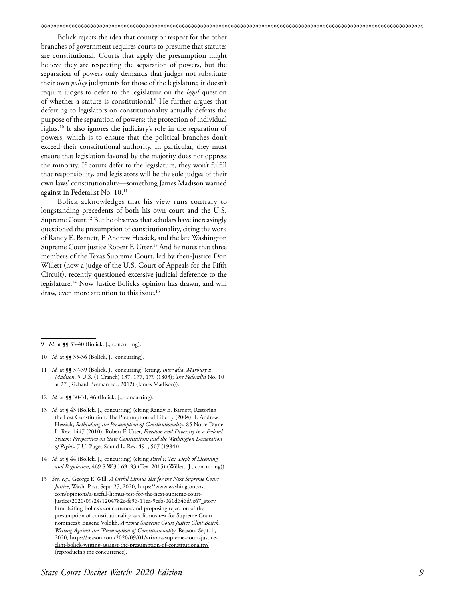Bolick rejects the idea that comity or respect for the other branches of government requires courts to presume that statutes are constitutional. Courts that apply the presumption might believe they are respecting the separation of powers, but the separation of powers only demands that judges not substitute their own *policy* judgments for those of the legislature; it doesn't require judges to defer to the legislature on the *legal* question of whether a statute is constitutional.9 He further argues that deferring to legislators on constitutionality actually defeats the purpose of the separation of powers: the protection of individual rights.10 It also ignores the judiciary's role in the separation of powers, which is to ensure that the political branches don't exceed their constitutional authority. In particular, they must ensure that legislation favored by the majority does not oppress the minority. If courts defer to the legislature, they won't fulfill that responsibility, and legislators will be the sole judges of their own laws' constitutionality—something James Madison warned against in Federalist No. 10.11

Bolick acknowledges that his view runs contrary to longstanding precedents of both his own court and the U.S. Supreme Court.<sup>12</sup> But he observes that scholars have increasingly questioned the presumption of constitutionality, citing the work of Randy E. Barnett, F. Andrew Hessick, and the late Washington Supreme Court justice Robert F. Utter.<sup>13</sup> And he notes that three members of the Texas Supreme Court, led by then-Justice Don Willett (now a judge of the U.S. Court of Appeals for the Fifth Circuit), recently questioned excessive judicial deference to the legislature.14 Now Justice Bolick's opinion has drawn, and will draw, even more attention to this issue.<sup>15</sup>

- 12 *Id.* at  $\P$  30-31, 46 (Bolick, J., concurring).
- 13 *Id.* at  $\triangleleft$  43 (Bolick, J., concurring) (citing Randy E. Barnett, Restoring the Lost Constitution: The Presumption of Liberty (2004); F. Andrew Hessick, *Rethinking the Presumption of Constitutionality*, 85 Notre Dame L. Rev. 1447 (2010); Robert F. Utter, *Freedom and Diversity in a Federal System: Perspectives on State Constitutions and the Washington Declaration of Rights*, 7 U. Puget Sound L. Rev. 491, 507 (1984)).
- 14 *Id.* at ¶ 44 (Bolick, J., concurring) (citing *Patel v. Tex. Dep't of Licensing and Regulation*, 469 S.W.3d 69, 93 (Tex. 2015) (Willett, J., concurring)).
- 15 *See, e.g.,* George F. Will, *A Useful Litmus Test for the Next Supreme Court Justice*, Wash. Post, Sept. 25, 2020, [https://www.washingtonpost.](https://www.washingtonpost.com/opinions/a-useful-litmus-test-for-the-next-supreme-court-justice/2020/09/24/1204782c-fe96-11ea-9ceb-061d646d9c67_story.html) [com/opinions/a-useful-litmus-test-for-the-next-supreme-court](https://www.washingtonpost.com/opinions/a-useful-litmus-test-for-the-next-supreme-court-justice/2020/09/24/1204782c-fe96-11ea-9ceb-061d646d9c67_story.html)[justice/2020/09/24/1204782c-fe96-11ea-9ceb-061d646d9c67\\_story.](https://www.washingtonpost.com/opinions/a-useful-litmus-test-for-the-next-supreme-court-justice/2020/09/24/1204782c-fe96-11ea-9ceb-061d646d9c67_story.html) [html](https://www.washingtonpost.com/opinions/a-useful-litmus-test-for-the-next-supreme-court-justice/2020/09/24/1204782c-fe96-11ea-9ceb-061d646d9c67_story.html) (citing Bolick's concurrence and proposing rejection of the presumption of constitutionality as a litmus test for Supreme Court nominees); Eugene Volokh, *Arizona Supreme Court Justice Clint Bolick, Writing Against the "Presumption of Constitutionality*, Reason, Sept. 1, 2020, [https://reason.com/2020/09/01/arizona-supreme-court-justice](https://reason.com/2020/09/01/arizona-supreme-court-justice-clint-bolick-writing-against-the-presumption-of-constitutionality/)[clint-bolick-writing-against-the-presumption-of-constitutionality/](https://reason.com/2020/09/01/arizona-supreme-court-justice-clint-bolick-writing-against-the-presumption-of-constitutionality/) (reproducing the concurrence).

<sup>9</sup> *Id.* at **[]** 33-40 (Bolick, J., concurring).

<sup>10</sup> *Id.* at **[]** 35-36 (Bolick, J., concurring).

<sup>11</sup> *Id.* at  $\P$   $\mathcal{J}$  37-39 (Bolick, J., concurring) (citing, *inter alia*, *Marbury v. Madison*, 5 U.S. (1 Cranch) 137, 177, 179 (1803); *The Federalist* No. 10 at 27 (Richard Beeman ed., 2012) (James Madison)).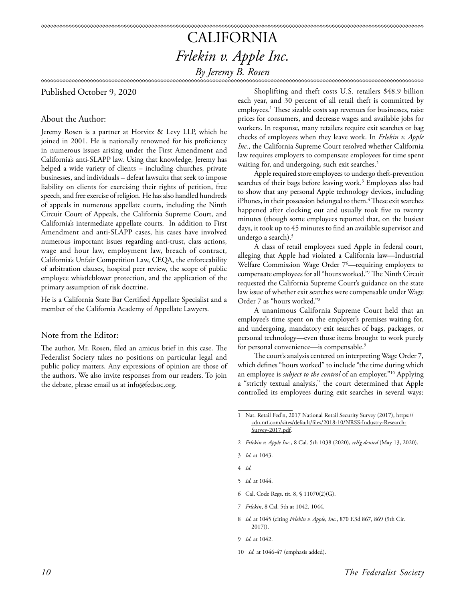### CALIFORNIA *Frlekin v. Apple Inc. By Jeremy B. Rosen*

Published October 9, 2020

#### About the Author:

Jeremy Rosen is a partner at Horvitz & Levy LLP, which he joined in 2001. He is nationally renowned for his proficiency in numerous issues arising under the First Amendment and California's anti-SLAPP law. Using that knowledge, Jeremy has helped a wide variety of clients – including churches, private businesses, and individuals – defeat lawsuits that seek to impose liability on clients for exercising their rights of petition, free speech, and free exercise of religion. He has also handled hundreds of appeals in numerous appellate courts, including the Ninth Circuit Court of Appeals, the California Supreme Court, and California's intermediate appellate courts. In addition to First Amendment and anti-SLAPP cases, his cases have involved numerous important issues regarding anti-trust, class actions, wage and hour law, employment law, breach of contract, California's Unfair Competition Law, CEQA, the enforceability of arbitration clauses, hospital peer review, the scope of public employee whistleblower protection, and the application of the primary assumption of risk doctrine.

He is a California State Bar Certified Appellate Specialist and a member of the California Academy of Appellate Lawyers.

### Note from the Editor:

The author, Mr. Rosen, filed an amicus brief in this case. The Federalist Society takes no positions on particular legal and public policy matters. Any expressions of opinion are those of the authors. We also invite responses from our readers. To join the debate, please email us at info@fedsoc.org.

Shoplifting and theft costs U.S. retailers \$48.9 billion each year, and 30 percent of all retail theft is committed by employees.1 These sizable costs sap revenues for businesses, raise prices for consumers, and decrease wages and available jobs for workers. In response, many retailers require exit searches or bag checks of employees when they leave work. In *Frlekin v. Apple Inc.*, the California Supreme Court resolved whether California law requires employers to compensate employees for time spent waiting for, and undergoing, such exit searches.<sup>2</sup>

Apple required store employees to undergo theft-prevention searches of their bags before leaving work.3 Employees also had to show that any personal Apple technology devices, including iPhones, in their possession belonged to them.<sup>4</sup> These exit searches happened after clocking out and usually took five to twenty minutes (though some employees reported that, on the busiest days, it took up to 45 minutes to find an available supervisor and undergo a search).<sup>5</sup>

A class of retail employees sued Apple in federal court, alleging that Apple had violated a California law—Industrial Welfare Commission Wage Order 76 —requiring employers to compensate employees for all "hours worked."7 The Ninth Circuit requested the California Supreme Court's guidance on the state law issue of whether exit searches were compensable under Wage Order 7 as "hours worked."8

A unanimous California Supreme Court held that an employee's time spent on the employer's premises waiting for, and undergoing, mandatory exit searches of bags, packages, or personal technology—even those items brought to work purely for personal convenience—is compensable.<sup>9</sup>

The court's analysis centered on interpreting Wage Order 7, which defines "hours worked" to include "the time during which an employee is *subject to the control* of an employer."10 Applying a "strictly textual analysis," the court determined that Apple controlled its employees during exit searches in several ways:

- 4 *Id.*
- 5 *Id.* at 1044.
- 6 Cal. Code Regs. tit. 8, § 11070(2)(G).
- 7 *Frlekin*, 8 Cal. 5th at 1042, 1044.
- 8 *Id.* at 1045 (citing *Frlekin v. Apple, Inc.*, 870 F.3d 867, 869 (9th Cir. 2017)).
- 9 *Id.* at 1042.
- 10 *Id.* at 1046-47 (emphasis added).

<sup>1</sup> Nat. Retail Fed'n, 2017 National Retail Security Survey (2017), https:// cdn.nrf.com/sites/default/files/2018-10/NRSS-Industry-Research-Survey-2017.pdf.

<sup>2</sup> *Frlekin v. Apple Inc.*, 8 Cal. 5th 1038 (2020), *reh'g denied* (May 13, 2020).

<sup>3</sup> *Id.* at 1043.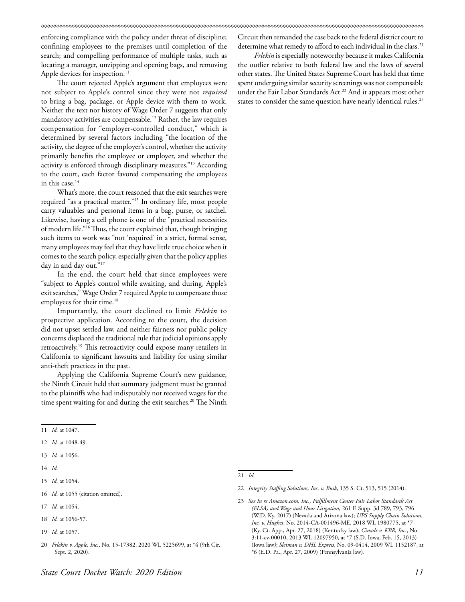enforcing compliance with the policy under threat of discipline; confining employees to the premises until completion of the search; and compelling performance of multiple tasks, such as locating a manager, unzipping and opening bags, and removing Apple devices for inspection.<sup>11</sup>

The court rejected Apple's argument that employees were not subject to Apple's control since they were not *required*  to bring a bag, package, or Apple device with them to work. Neither the text nor history of Wage Order 7 suggests that only mandatory activities are compensable.<sup>12</sup> Rather, the law requires compensation for "employer-controlled conduct," which is determined by several factors including "the location of the activity, the degree of the employer's control, whether the activity primarily benefits the employee or employer, and whether the activity is enforced through disciplinary measures."13 According to the court, each factor favored compensating the employees in this case.<sup>14</sup>

What's more, the court reasoned that the exit searches were required "as a practical matter."15 In ordinary life, most people carry valuables and personal items in a bag, purse, or satchel. Likewise, having a cell phone is one of the "practical necessities of modern life."16 Thus, the court explained that, though bringing such items to work was "not 'required' in a strict, formal sense, many employees may feel that they have little true choice when it comes to the search policy, especially given that the policy applies day in and day out."17

In the end, the court held that since employees were "subject to Apple's control while awaiting, and during, Apple's exit searches," Wage Order 7 required Apple to compensate those employees for their time.<sup>18</sup>

Importantly, the court declined to limit *Frlekin* to prospective application. According to the court, the decision did not upset settled law, and neither fairness nor public policy concerns displaced the traditional rule that judicial opinions apply retroactively.19 This retroactivity could expose many retailers in California to significant lawsuits and liability for using similar anti-theft practices in the past.

Applying the California Supreme Court's new guidance, the Ninth Circuit held that summary judgment must be granted to the plaintiffs who had indisputably not received wages for the time spent waiting for and during the exit searches.<sup>20</sup> The Ninth

- 14 *Id.*
- 15 *Id.* at 1054.
- 16 *Id.* at 1055 (citation omitted).
- 17 *Id.* at 1054.
- 18 *Id.* at 1056-57.
- 19 *Id.* at 1057.

Circuit then remanded the case back to the federal district court to determine what remedy to afford to each individual in the class.<sup>21</sup>

*Frlekin* is especially noteworthy because it makes California the outlier relative to both federal law and the laws of several other states. The United States Supreme Court has held that time spent undergoing similar security screenings was not compensable under the Fair Labor Standards Act.<sup>22</sup> And it appears most other states to consider the same question have nearly identical rules.<sup>23</sup>

22 *Integrity Staffing Solutions, Inc. v. Busk*, 135 S. Ct. 513, 515 (2014).

<sup>11</sup> *Id.* at 1047.

<sup>12</sup> *Id.* at 1048-49.

<sup>13</sup> *Id.* at 1056.

<sup>20</sup> *Frlekin v. Apple, Inc.*, No. 15-17382, 2020 WL 5225699, at \*4 (9th Cir. Sept. 2, 2020).

<sup>21</sup> *Id.*

<sup>23</sup> *See In re Amazon.com, Inc., Fulfillment Center Fair Labor Standards Act (FLSA) and Wage and Hour Litigation*, 261 F. Supp. 3d 789, 793, 796 (W.D. Ky. 2017) (Nevada and Arizona law); *UPS Supply Chain Solutions, Inc. v. Hughes*, No. 2014-CA-001496-ME, 2018 WL 1980775, at \*7 (Ky. Ct. App., Apr. 27, 2018) (Kentucky law); *Cinadr v. KBR, Inc.*, No. 3:11-cv-00010, 2013 WL 12097950, at \*7 (S.D. Iowa, Feb. 15, 2013) (Iowa law*)*; *Sleiman v. DHL Express*, No. 09-0414, 2009 WL 1152187, at \*6 (E.D. Pa., Apr. 27, 2009) (Pennsylvania law).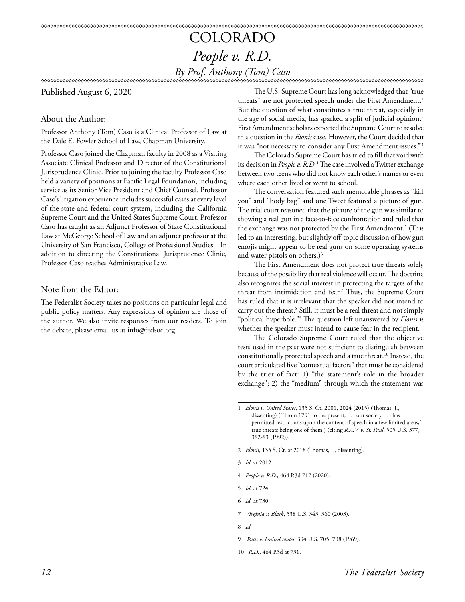### COLORADO *People v. R.D. By Prof. Anthony (Tom) Caso*

Published August 6, 2020

### About the Author:

Professor Anthony (Tom) Caso is a Clinical Professor of Law at the Dale E. Fowler School of Law, Chapman University.

Professor Caso joined the Chapman faculty in 2008 as a Visiting Associate Clinical Professor and Director of the Constitutional Jurisprudence Clinic. Prior to joining the faculty Professor Caso held a variety of positions at Pacific Legal Foundation, including service as its Senior Vice President and Chief Counsel. Professor Caso's litigation experience includes successful cases at every level of the state and federal court system, including the California Supreme Court and the United States Supreme Court. Professor Caso has taught as an Adjunct Professor of State Constitutional Law at McGeorge School of Law and an adjunct professor at the University of San Francisco, College of Professional Studies. In addition to directing the Constitutional Jurisprudence Clinic, Professor Caso teaches Administrative Law.

### Note from the Editor:

The Federalist Society takes no positions on particular legal and public policy matters. Any expressions of opinion are those of the author. We also invite responses from our readers. To join the debate, please email us at info@fedsoc.org.

The U.S. Supreme Court has long acknowledged that "true threats" are not protected speech under the First Amendment.<sup>1</sup> But the question of what constitutes a true threat, especially in the age of social media, has sparked a split of judicial opinion.<sup>2</sup> First Amendment scholars expected the Supreme Court to resolve this question in the *Elonis* case. However, the Court decided that it was "not necessary to consider any First Amendment issues."3

The Colorado Supreme Court has tried to fill that void with its decision in *People v. R.D*.<sup>4</sup> The case involved a Twitter exchange between two teens who did not know each other's names or even where each other lived or went to school.

The conversation featured such memorable phrases as "kill you" and "body bag" and one Tweet featured a picture of gun. The trial court reasoned that the picture of the gun was similar to showing a real gun in a face-to-face confrontation and ruled that the exchange was not protected by the First Amendment.<sup>5</sup> (This led to an interesting, but slightly off-topic discussion of how gun emojis might appear to be real guns on some operating systems and water pistols on others.)6

The First Amendment does not protect true threats solely because of the possibility that real violence will occur. The doctrine also recognizes the social interest in protecting the targets of the threat from intimidation and fear.7 Thus, the Supreme Court has ruled that it is irrelevant that the speaker did not intend to carry out the threat.<sup>8</sup> Still, it must be a real threat and not simply "political hyperbole."9 The question left unanswered by *Elonis* is whether the speaker must intend to cause fear in the recipient.

The Colorado Supreme Court ruled that the objective tests used in the past were not sufficient to distinguish between constitutionally protected speech and a true threat.10 Instead, the court articulated five "contextual factors" that must be considered by the trier of fact: 1) "the statement's role in the broader exchange"; 2) the "medium" through which the statement was

- 2 *Elonis*, 135 S. Ct. at 2018 (Thomas, J., dissenting).
- 3 *Id*. at 2012.
- 4 *People v. R.D.,* 464 P.3d 717 (2020).
- 5 *Id*. at 724.
- 6 *Id*. at 730.
- 7 *Virginia v. Black*, 538 U.S. 343, 360 (2003).
- 8 *Id*.
- 9 *Watts v. United States*, 394 U.S. 705, 708 (1969).
- 10 *R.D.*, 464 P.3d at 731.

<sup>1</sup> *Elonis v. United States*, 135 S. Ct. 2001, 2024 (2015) (Thomas, J., dissenting) ("'From 1791 to the present, . . . our society . . . has permitted restrictions upon the content of speech in a few limited areas,' true threats being one of them.) (citing *R.A.V. v. St. Paul*, 505 U.S. 377, 382-83 (1992)).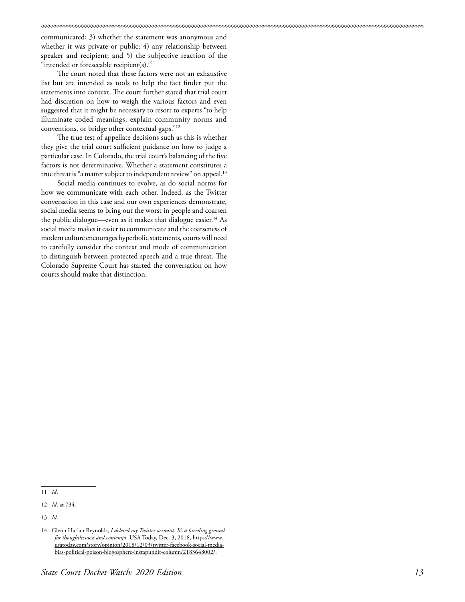communicated; 3) whether the statement was anonymous and whether it was private or public; 4) any relationship between speaker and recipient; and 5) the subjective reaction of the "intended or foreseeable recipient(s)."<sup>11</sup>

The court noted that these factors were not an exhaustive list but are intended as tools to help the fact finder put the statements into context. The court further stated that trial court had discretion on how to weigh the various factors and even suggested that it might be necessary to resort to experts "to help illuminate coded meanings, explain community norms and conventions, or bridge other contextual gaps."12

The true test of appellate decisions such as this is whether they give the trial court sufficient guidance on how to judge a particular case. In Colorado, the trial court's balancing of the five factors is not determinative. Whether a statement constitutes a true threat is "a matter subject to independent review" on appeal.<sup>13</sup>

Social media continues to evolve, as do social norms for how we communicate with each other. Indeed, as the Twitter conversation in this case and our own experiences demonstrate, social media seems to bring out the worst in people and coarsen the public dialogue—even as it makes that dialogue easier.<sup>14</sup> As social media makes it easier to communicate and the coarseness of modern culture encourages hyperbolic statements, courts will need to carefully consider the context and mode of communication to distinguish between protected speech and a true threat. The Colorado Supreme Court has started the conversation on how courts should make that distinction.

<sup>11</sup> *Id*.

<sup>12</sup> *Id*. at 734.

<sup>13</sup> *Id*.

<sup>14</sup> Glenn Harlan Reynolds, *I deleted my Twitter account. It's a breeding ground for thoughtlessness and contempt.* USA Today, Dec. 3, 2018, https://www. usatoday.com/story/opinion/2018/12/03/twitter-facebook-social-mediabias-political-poison-blogosphere-instapundit-column/2183648002/.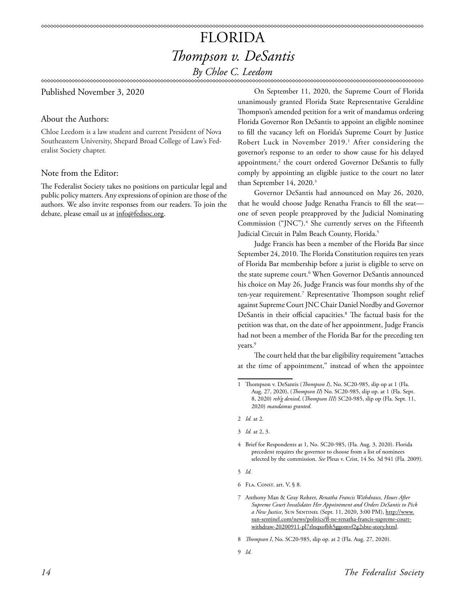### FLORIDA *Thompson v. DeSantis By Chloe C. Leedom*

#### Published November 3, 2020

#### About the Authors:

Chloe Leedom is a law student and current President of Nova Southeastern University, Shepard Broad College of Law's Federalist Society chapter.

#### Note from the Editor:

The Federalist Society takes no positions on particular legal and public policy matters. Any expressions of opinion are those of the authors. We also invite responses from our readers. To join the debate, please email us at info@fedsoc.org.

On September 11, 2020, the Supreme Court of Florida unanimously granted Florida State Representative Geraldine Thompson's amended petition for a writ of mandamus ordering Florida Governor Ron DeSantis to appoint an eligible nominee to fill the vacancy left on Florida's Supreme Court by Justice Robert Luck in November 2019.<sup>1</sup> After considering the governor's response to an order to show cause for his delayed appointment,<sup>2</sup> the court ordered Governor DeSantis to fully comply by appointing an eligible justice to the court no later than September 14, 2020.<sup>3</sup>

Governor DeSantis had announced on May 26, 2020, that he would choose Judge Renatha Francis to fill the seat one of seven people preapproved by the Judicial Nominating Commission ("JNC").<sup>4</sup> She currently serves on the Fifteenth Judicial Circuit in Palm Beach County, Florida.<sup>5</sup>

Judge Francis has been a member of the Florida Bar since September 24, 2010. The Florida Constitution requires ten years of Florida Bar membership before a jurist is eligible to serve on the state supreme court.6 When Governor DeSantis announced his choice on May 26, Judge Francis was four months shy of the ten-year requirement.<sup>7</sup> Representative Thompson sought relief against Supreme Court JNC Chair Daniel Nordby and Governor DeSantis in their official capacities.<sup>8</sup> The factual basis for the petition was that, on the date of her appointment, Judge Francis had not been a member of the Florida Bar for the preceding ten years.<sup>9</sup>

The court held that the bar eligibility requirement "attaches at the time of appointment," instead of when the appointee

<sup>1</sup> Thompson v. DeSantis (*Thompson I*), No. SC20-985, slip op at 1 (Fla. Aug. 27, 2020), (*Thompson II*) No. SC20-985, slip op. at 1 (Fla. Sept. 8, 2020) *reh'g denied*, (*Thompson III*) SC20-985, slip op (Fla. Sept. 11, 2020) *mandamus granted*.

<sup>2</sup> *Id.* at 2.

<sup>3</sup> *Id.* at 2, 3.

<sup>4</sup> Brief for Respondents at 1, No. SC20-985, (Fla. Aug. 3, 2020). Florida precedent requires the governor to choose from a list of nominees selected by the commission. *See* Pleus v. Crist, 14 So. 3d 941 (Fla. 2009).

<sup>5</sup> *Id.*

<sup>6</sup> Fla. Const. art. V, § 8.

<sup>7</sup> Anthony Man & Gray Rohrer, *Renatha Francis Withdraws, Hours After Supreme Court Invalidates Her Appointment and Orders DeSantis to Pick a New Justice*, SUN SENTINEL (Sept. 11, 2020, 3:00 PM), http://www. sun-sentinel.com/news/politics/fl-ne-renatha-francis-supreme-courtwithdraw-20200911-pl7rlnqxofbh5ggomvf2g2sbte-story.html.

<sup>8</sup> *Thompson I*, No. SC20-985, slip op. at 2 (Fla. Aug. 27, 2020).

<sup>9</sup> *Id.*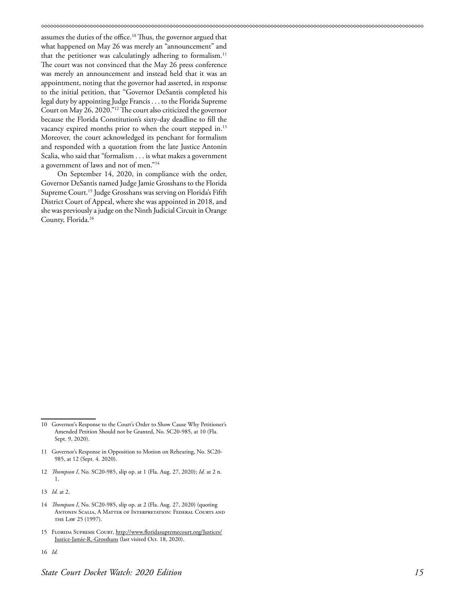assumes the duties of the office.<sup>10</sup> Thus, the governor argued that what happened on May 26 was merely an "announcement" and that the petitioner was calculatingly adhering to formalism. $11$ The court was not convinced that the May 26 press conference was merely an announcement and instead held that it was an appointment, noting that the governor had asserted, in response to the initial petition, that "Governor DeSantis completed his legal duty by appointing Judge Francis . . . to the Florida Supreme Court on May 26, 2020."12 The court also criticized the governor because the Florida Constitution's sixty-day deadline to fill the vacancy expired months prior to when the court stepped in.<sup>13</sup> Moreover, the court acknowledged its penchant for formalism and responded with a quotation from the late Justice Antonin Scalia, who said that "formalism . . . is what makes a government a government of laws and not of men."14

On September 14, 2020, in compliance with the order, Governor DeSantis named Judge Jamie Grosshans to the Florida Supreme Court.15 Judge Grosshans was serving on Florida's Fifth District Court of Appeal, where she was appointed in 2018, and she was previously a judge on the Ninth Judicial Circuit in Orange County, Florida.16

- 12 *Thompson I*, No. SC20-985, slip op. at 1 (Fla. Aug. 27, 2020); *Id.* at 2 n. 1.
- 13 *Id.* at 2.

<sup>10</sup> Governor's Response to the Court's Order to Show Cause Why Petitioner's Amended Petition Should not be Granted, No. SC20-985, at 10 (Fla. Sept. 9, 2020).

<sup>11</sup> Governor's Response in Opposition to Motion on Rehearing, No. SC20- 985, at 12 (Sept. 4. 2020).

<sup>14</sup> *Thompson I*, No. SC20-985, slip op. at 2 (Fla. Aug. 27, 2020) (quoting Antonin Scalia, A Matter of Interpretation: Federal Courts and the Law 25 (1997).

<sup>15</sup> Florida Supreme Court, http://www.floridasupremecourt.org/Justices/ Justice-Jamie-R.-Grosshans (last visited Oct. 18, 2020).

<sup>16</sup> *Id.*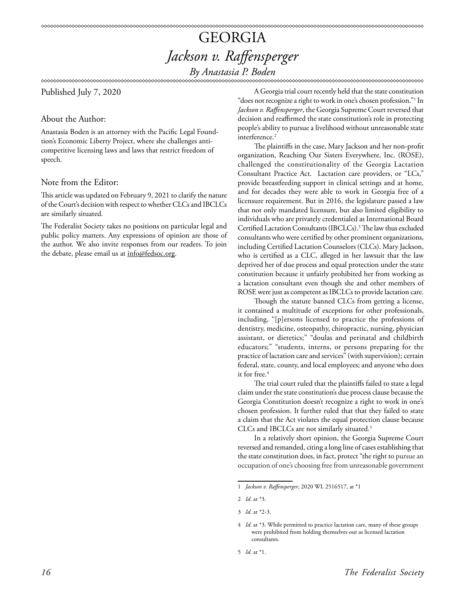### GEORGIA *Jackson v. Raffensperger By Anastasia P. Boden*

#### Published July 7, 2020

#### About the Author:

Anastasia Boden is an attorney with the Pacific Legal Foundtion's Economic Liberty Project, where she challenges anticompetitive licensing laws and laws that restrict freedom of speech.

#### Note from the Editor:

This article was updated on February 9, 2021 to clarify the nature of the Court's decision with respect to whether CLCs and IBCLCs are similarly situated.

The Federalist Society takes no positions on particular legal and public policy matters. Any expressions of opinion are those of the author. We also invite responses from our readers. To join the debate, please email us at info@fedsoc.org.

A Georgia trial court recently held that the state constitution "does not recognize a right to work in one's chosen profession."1 In *Jackson v. Raffensperger*, the Georgia Supreme Court reversed that decision and reaffirmed the state constitution's role in protecting people's ability to pursue a livelihood without unreasonable state interference.<sup>2</sup>

The plaintiffs in the case, Mary Jackson and her non-profit organization, Reaching Our Sisters Everywhere, Inc. (ROSE), challenged the constitutionality of the Georgia Lactation Consultant Practice Act. Lactation care providers, or "LCs," provide breastfeeding support in clinical settings and at home, and for decades they were able to work in Georgia free of a licensure requirement. But in 2016, the legislature passed a law that not only mandated licensure, but also limited eligibility to individuals who are privately credentialed as International Board Certified Lactation Consultants (IBCLCs).3 The law thus excluded consultants who were certified by other prominent organizations, including Certified Lactation Counselors (CLCs). Mary Jackson, who is certified as a CLC, alleged in her lawsuit that the law deprived her of due process and equal protection under the state constitution because it unfairly prohibited her from working as a lactation consultant even though she and other members of ROSE were just as competent as IBCLCs to provide lactation care.

Though the statute banned CLCs from getting a license, it contained a multitude of exceptions for other professionals, including, "[p]ersons licensed to practice the professions of dentistry, medicine, osteopathy, chiropractic, nursing, physician assistant, or dietetics;" "doulas and perinatal and childbirth educators;" "students, interns, or persons preparing for the practice of lactation care and services" (with supervision); certain federal, state, county, and local employees; and anyone who does it for free.<sup>4</sup>

The trial court ruled that the plaintiffs failed to state a legal claim under the state constitution's due process clause because the Georgia Constitution doesn't recognize a right to work in one's chosen profession. It further ruled that that they failed to state a claim that the Act violates the equal protection clause because CLCs and IBCLCs are not similarly situated.<sup>5</sup>

In a relatively short opinion, the Georgia Supreme Court reversed and remanded, citing a long line of cases establishing that the state constitution does, in fact, protect "the right to pursue an occupation of one's choosing free from unreasonable government

<sup>1</sup> *Jackson v. Raffensperger*, 2020 WL 2516517, at \*1

<sup>2</sup> *Id.* at \*3.

<sup>3</sup> *Id.* at \*2-3.

<sup>4</sup> *Id.* at \*3. While permitted to practice lactation care, many of these groups were prohibited from holding themselves out as licensed lactation consultants.

<sup>5</sup> *Id.* at \*1.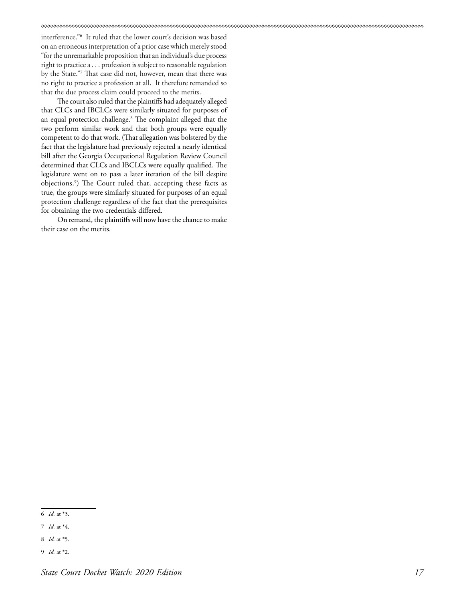interference."6 It ruled that the lower court's decision was based on an erroneous interpretation of a prior case which merely stood "for the unremarkable proposition that an individual's due process right to practice a . . . profession is subject to reasonable regulation by the State."7 That case did not, however, mean that there was no right to practice a profession at all. It therefore remanded so that the due process claim could proceed to the merits.

The court also ruled that the plaintiffs had adequately alleged that CLCs and IBCLCs were similarly situated for purposes of an equal protection challenge.8 The complaint alleged that the two perform similar work and that both groups were equally competent to do that work. (That allegation was bolstered by the fact that the legislature had previously rejected a nearly identical bill after the Georgia Occupational Regulation Review Council determined that CLCs and IBCLCs were equally qualified. The legislature went on to pass a later iteration of the bill despite objections.9 ) The Court ruled that, accepting these facts as true, the groups were similarly situated for purposes of an equal protection challenge regardless of the fact that the prerequisites for obtaining the two credentials differed.

On remand, the plaintiffs will now have the chance to make their case on the merits.

<sup>6</sup> *Id.* at \*3.

<sup>7</sup> *Id.* at \*4.

<sup>8</sup> *Id.* at \*5.

<sup>9</sup> *Id.* at \*2.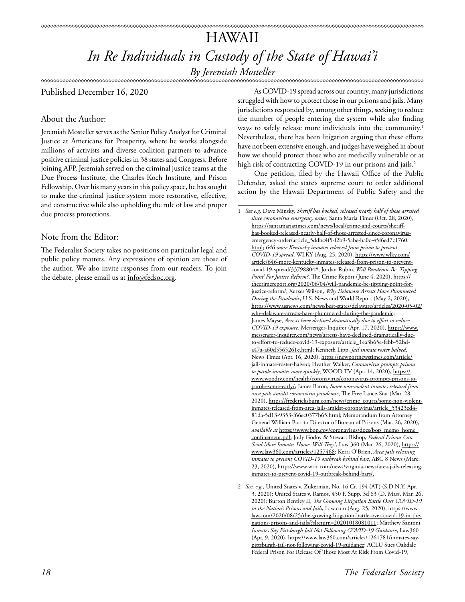## HAWAII *In Re Individuals in Custody of the State of Hawai'i By Jeremiah Mosteller*

\*\*\*\*\*\*\*\*\*\*\*\*\*\*\*\*\*\*\*\*\*\*\*\*\*\*\*\*\* \*\*\*\*\*\*\*\*\*\*\*\*\*\*\*\*\*\*\*\*\*\*\*\*\*\*\*\*\*\*\*\*\*\*

Published December 16, 2020

#### About the Author:

Jeremiah Mosteller serves as the Senior Policy Analyst for Criminal Justice at Americans for Prosperity, where he works alongside millions of activists and diverse coalition partners to advance positive criminal justice policies in 38 states and Congress. Before joining AFP, Jeremiah served on the criminal justice teams at the Due Process Institute, the Charles Koch Institute, and Prison Fellowship. Over his many years in this policy space, he has sought to make the criminal justice system more restorative, effective, and constructive while also upholding the rule of law and proper due process protections.

#### Note from the Editor:

The Federalist Society takes no positions on particular legal and public policy matters. Any expressions of opinion are those of the author. We also invite responses from our readers. To join the debate, please email us at info@fedsoc.org.

As COVID-19 spread across our country, many jurisdictions struggled with how to protect those in our prisons and jails. Many jurisdictions responded by, among other things, seeking to reduce the number of people entering the system while also finding ways to safely release more individuals into the community.<sup>1</sup> Nevertheless, there has been litigation arguing that these efforts have not been extensive enough, and judges have weighed in about how we should protect those who are medically vulnerable or at high risk of contracting COVID-19 in our prisons and jails.<sup>2</sup>

One petition, filed by the Hawaii Office of the Public Defender, asked the state's supreme court to order additional action by the Hawaii Department of Public Safety and the

<sup>1</sup> *See e.g.* Dave Minsky, *Sheriff has booked, released nearly half of those arrested since coronavirus emergency order*, Santa Maria Times (Oct. 28, 2020), [https://santamariatimes.com/news/local/crime-and-courts/sheriff](https://santamariatimes.com/news/local/crime-and-courts/sheriff-has-booked-released-nearly-half-of-those-arrested-since-coronavirus-emergency-order/article_5ddbc4f5-f2b9-5abe-ba0c-45f6ed7c1760.html)[has-booked-released-nearly-half-of-those-arrested-since-coronavirus](https://santamariatimes.com/news/local/crime-and-courts/sheriff-has-booked-released-nearly-half-of-those-arrested-since-coronavirus-emergency-order/article_5ddbc4f5-f2b9-5abe-ba0c-45f6ed7c1760.html)[emergency-order/article\\_5ddbc4f5-f2b9-5abe-ba0c-45f6ed7c1760.](https://santamariatimes.com/news/local/crime-and-courts/sheriff-has-booked-released-nearly-half-of-those-arrested-since-coronavirus-emergency-order/article_5ddbc4f5-f2b9-5abe-ba0c-45f6ed7c1760.html) [html](https://santamariatimes.com/news/local/crime-and-courts/sheriff-has-booked-released-nearly-half-of-those-arrested-since-coronavirus-emergency-order/article_5ddbc4f5-f2b9-5abe-ba0c-45f6ed7c1760.html); *646 more Kentucky inmates released from prison to prevent COVID-19 spread*, WLKY (Aug. 25, 2020), [https://www.wlky.com/](https://www.wlky.com/article/646-more-kentucky-inmates-released-from-prison-to-prevent-covid-19-spread/33798804) [article/646-more-kentucky-inmates-released-from-prison-to-prevent](https://www.wlky.com/article/646-more-kentucky-inmates-released-from-prison-to-prevent-covid-19-spread/33798804)[covid-19-spread/33798804#](https://www.wlky.com/article/646-more-kentucky-inmates-released-from-prison-to-prevent-covid-19-spread/33798804); Jordan Rubin, *Will Pandemic Be 'Tipping*  Point' For Justice Reform?, The Crime Report (June 4, 2020), [https://](https://thecrimereport.org/2020/06/04/will-pandemic-be-tipping-point-for-justice-reform/) [thecrimereport.org/2020/06/04/will-pandemic-be-tipping-point-for](https://thecrimereport.org/2020/06/04/will-pandemic-be-tipping-point-for-justice-reform/)[justice-reform/;](https://thecrimereport.org/2020/06/04/will-pandemic-be-tipping-point-for-justice-reform/) Xerxes Wilson, *Why Delaware Arrests Have Plummeted During the Pandemic*, U.S. News and World Report (May 2, 2020), [https://www.usnews.com/news/best-states/delaware/articles/2020-05-02/](https://www.usnews.com/news/best-states/delaware/articles/2020-05-02/why-delaware-arrests-have-plummeted-during-the-pandemic) [why-delaware-arrests-have-plummeted-during-the-pandemic](https://www.usnews.com/news/best-states/delaware/articles/2020-05-02/why-delaware-arrests-have-plummeted-during-the-pandemic); James Mayse, *Arrests have declined dramatically due to effort to reduce COVID-19 exposure*, Messenger-Inquirer (Apr. 17, 2020), [https://www.](https://www.messenger-inquirer.com/news/arrests-have-declined-dramatically-due-to-effort-to-reduce-covid-19-exposure/article_1ea3b65e-febb-52bd-a47a-a60d5565261e.html) [messenger-inquirer.com/news/arrests-have-declined-dramatically-due](https://www.messenger-inquirer.com/news/arrests-have-declined-dramatically-due-to-effort-to-reduce-covid-19-exposure/article_1ea3b65e-febb-52bd-a47a-a60d5565261e.html)[to-effort-to-reduce-covid-19-exposure/article\\_1ea3b65e-febb-52bd](https://www.messenger-inquirer.com/news/arrests-have-declined-dramatically-due-to-effort-to-reduce-covid-19-exposure/article_1ea3b65e-febb-52bd-a47a-a60d5565261e.html)[a47a-a60d5565261e.html;](https://www.messenger-inquirer.com/news/arrests-have-declined-dramatically-due-to-effort-to-reduce-covid-19-exposure/article_1ea3b65e-febb-52bd-a47a-a60d5565261e.html) Kenneth Lipp, *Jail inmate roster halved*, News Times (Apr. 16, 2020), [https://newportnewstimes.com/article/](https://newportnewstimes.com/article/jail-inmate-roster-halved) [jail-inmate-roster-halved;](https://newportnewstimes.com/article/jail-inmate-roster-halved) Heather Walker, *Coronavirus prompts prisons*  to parole inmates more quickly, WOOD TV (Apr. 14, 2020), [https://](https://www.woodtv.com/health/coronavirus/coronavirus-prompts-prisons-to-parole-some-early/) [www.woodtv.com/health/coronavirus/coronavirus-prompts-prisons-to](https://www.woodtv.com/health/coronavirus/coronavirus-prompts-prisons-to-parole-some-early/)[parole-some-early/](https://www.woodtv.com/health/coronavirus/coronavirus-prompts-prisons-to-parole-some-early/); James Baron, *Some non-violent inmates released from area jails amidst coronavirus pandemic*, The Free Lance-Star (Mar. 28, 2020), [https://fredericksburg.com/news/crime\\_courts/some-non-violent](https://fredericksburg.com/news/crime_courts/some-non-violent-inmates-released-from-area-jails-amidst-coronavirus/article_53423ed4-81da-5d13-9353-f66ec0377b65.html)[inmates-released-from-area-jails-amidst-coronavirus/article\\_53423ed4-](https://fredericksburg.com/news/crime_courts/some-non-violent-inmates-released-from-area-jails-amidst-coronavirus/article_53423ed4-81da-5d13-9353-f66ec0377b65.html) [81da-5d13-9353-f66ec0377b65.html;](https://fredericksburg.com/news/crime_courts/some-non-violent-inmates-released-from-area-jails-amidst-coronavirus/article_53423ed4-81da-5d13-9353-f66ec0377b65.html) Memorandum from Attorney General William Barr to Director of Bureau of Prisons (Mar. 26, 2020), *available at* [https://www.bop.gov/coronavirus/docs/bop\\_memo\\_home\\_](https://www.bop.gov/coronavirus/docs/bop_memo_home_confinement.pdf) [confinement.pdf;](https://www.bop.gov/coronavirus/docs/bop_memo_home_confinement.pdf) Jody Godoy & Stewart Bishop, *Federal Prisons Can Send More Inmates Home. Will They?*, Law 360 (Mar. 26, 2020), [https://](https://www.law360.com/articles/1257468) [www.law360.com/articles/1257468;](https://www.law360.com/articles/1257468) Kerri O'Brien, *Area jails releasing inmates to prevent COVID-19 outbreak behind bars*, ABC 8 News (Marc. 23, 2020), [https://www.wric.com/news/virginia-news/area-jails-releasing](https://www.wric.com/news/virginia-news/area-jails-releasing-inmates-to-prevent-covid-19-outbreak-behind-bars/)[inmates-to-prevent-covid-19-outbreak-behind-bars/](https://www.wric.com/news/virginia-news/area-jails-releasing-inmates-to-prevent-covid-19-outbreak-behind-bars/).

<sup>2</sup> *See, e.g.*, United States v. Zukerman, No. 16 Cr. 194 (AT) (S.D.N.Y. Apr. 3, 2020); United States v. Ramos, 450 F. Supp. 3d 63 (D. Mass. Mar. 26, 2020); Burton Bentley II, *The Growing Litigation Battle Over COVID-19 in the Nation's Prisons and Jails*, Law.com (Aug. 25, 2020), [https://www.](https://www.law.com/2020/08/25/the-growing-litigation-battle-over-covid-19-in-the-nations-prisons-and-jails/?slreturn=20201018081011) [law.com/2020/08/25/the-growing-litigation-battle-over-covid-19-in-the](https://www.law.com/2020/08/25/the-growing-litigation-battle-over-covid-19-in-the-nations-prisons-and-jails/?slreturn=20201018081011)[nations-prisons-and-jails/?slreturn=20201018081011;](https://www.law.com/2020/08/25/the-growing-litigation-battle-over-covid-19-in-the-nations-prisons-and-jails/?slreturn=20201018081011) Matthew Santoni, *Inmates Say Pittsburgh Jail Not Following COVID-19 Guidance*, Law360 (Apr. 9, 2020), [https://www.law360.com/articles/1261781/inmates-say](https://www.law360.com/articles/1261781/inmates-say-pittsburgh-jail-not-following-covid-19-guidance)[pittsburgh-jail-not-following-covid-19-guidance;](https://www.law360.com/articles/1261781/inmates-say-pittsburgh-jail-not-following-covid-19-guidance) ACLU Sues Oakdale Federal Prison For Release Of Those Most At Risk From Covid-19,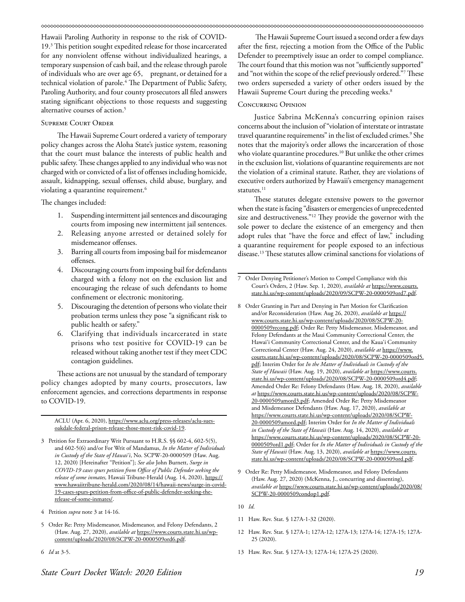Hawaii Paroling Authority in response to the risk of COVID-19.3 This petition sought expedited release for those incarcerated for any nonviolent offense without individualized hearings, a temporary suspension of cash bail, and the release through parole of individuals who are over age 65, pregnant, or detained for a technical violation of parole.4 The Department of Public Safety, Paroling Authority, and four county prosecutors all filed answers stating significant objections to those requests and suggesting alternative courses of action.<sup>5</sup>

#### Supreme Court Order

The Hawaii Supreme Court ordered a variety of temporary policy changes across the Aloha State's justice system, reasoning that the court must balance the interests of public health and public safety. These changes applied to any individual who was not charged with or convicted of a list of offenses including homicide, assault, kidnapping, sexual offenses, child abuse, burglary, and violating a quarantine requirement.<sup>6</sup>

The changes included:

- 1. Suspending intermittent jail sentences and discouraging courts from imposing new intermittent jail sentences.
- 2. Releasing anyone arrested or detained solely for misdemeanor offenses.
- 3. Barring all courts from imposing bail for misdemeanor offenses.
- 4. Discouraging courts from imposing bail for defendants charged with a felony not on the exclusion list and encouraging the release of such defendants to home confinement or electronic monitoring.
- 5. Discouraging the detention of persons who violate their probation terms unless they pose "a significant risk to public health or safety."
- 6. Clarifying that individuals incarcerated in state prisons who test positive for COVID-19 can be released without taking another test if they meet CDC contagion guidelines.

These actions are not unusual by the standard of temporary policy changes adopted by many courts, prosecutors, law enforcement agencies, and corrections departments in response to COVID-19.

ACLU (Apr. 6, 2020), [https://www.aclu.org/press-releases/aclu-sues](https://www.aclu.org/press-releases/aclu-sues-oakdale-federal-prison-release-those-most-risk-covid-19)[oakdale-federal-prison-release-those-most-risk-covid-19.](https://www.aclu.org/press-releases/aclu-sues-oakdale-federal-prison-release-those-most-risk-covid-19)

- 3 Petition for Extraordinary Writ Pursuant to H.R.S. §§ 602-4, 602-5(5), and 602-5(6) and/or For Writ of Mandamus, *In the Matter of Individuals in Custody of the State of Hawai'i*, No. SCPW-20-0000509 (Haw. Aug. 12, 2020) [Hereinafter "Petition"]; *See also* John Burnett, *Surge in COVID-19 cases spurs petition from Office of Public Defender seeking the release of some inmates,* Hawaii Tribune-Herald (Aug. 14, 2020), [https://](https://www.hawaiitribune-herald.com/2020/08/14/hawaii-news/surge-in-covid-19-cases-spurs-petition-from-office-of-public-defender-seeking-the-release-of-some-inmates/) [www.hawaiitribune-herald.com/2020/08/14/hawaii-news/surge-in-covid-](https://www.hawaiitribune-herald.com/2020/08/14/hawaii-news/surge-in-covid-19-cases-spurs-petition-from-office-of-public-defender-seeking-the-release-of-some-inmates/)[19-cases-spurs-petition-from-office-of-public-defender-seeking-the](https://www.hawaiitribune-herald.com/2020/08/14/hawaii-news/surge-in-covid-19-cases-spurs-petition-from-office-of-public-defender-seeking-the-release-of-some-inmates/)[release-of-some-inmates/](https://www.hawaiitribune-herald.com/2020/08/14/hawaii-news/surge-in-covid-19-cases-spurs-petition-from-office-of-public-defender-seeking-the-release-of-some-inmates/).
- 4 Petition *supra* note 3 at 14-16.
- 5 Order Re: Petty Misdemeanor, Misdemeanor, and Felony Defendants, 2 (Haw. Aug. 27, 2020), *available at* [https://www.courts.state.hi.us/wp](https://www.courts.state.hi.us/wp-content/uploads/2020/08/SCPW-20-0000509ord6.pdf)[content/uploads/2020/08/SCPW-20-0000509ord6.pdf](https://www.courts.state.hi.us/wp-content/uploads/2020/08/SCPW-20-0000509ord6.pdf).
- 6 *Id* at 3-5.

 The Hawaii Supreme Court issued a second order a few days after the first, rejecting a motion from the Office of the Public Defender to preemptively issue an order to compel compliance. The court found that this motion was not "sufficiently supported" and "not within the scope of the relief previously ordered."7 These two orders superseded a variety of other orders issued by the Hawaii Supreme Court during the preceding weeks.<sup>8</sup>

#### Concurring Opinion

Justice Sabrina McKenna's concurring opinion raises concerns about the inclusion of "violation of interstate or intrastate travel quarantine requirements" in the list of excluded crimes.9 She notes that the majority's order allows the incarceration of those who violate quarantine procedures.<sup>10</sup> But unlike the other crimes in the exclusion list, violations of quarantine requirements are not the violation of a criminal statute. Rather, they are violations of executive orders authorized by Hawaii's emergency management statutes.<sup>11</sup>

These statutes delegate extensive powers to the governor when the state is facing "disasters or emergencies of unprecedented size and destructiveness."12 They provide the governor with the sole power to declare the existence of an emergency and then adopt rules that "have the force and effect of law," including a quarantine requirement for people exposed to an infectious disease.13 These statutes allow criminal sanctions for violations of

- 8 Order Granting in Part and Denying in Part Motion for Clarification and/or Reconsideration (Haw. Aug 26, 2020), *available at* [https://](https://www.courts.state.hi.us/wp-content/uploads/2020/08/SCPW-20-0000509recong.pdf) [www.courts.state.hi.us/wp-content/uploads/2020/08/SCPW-20-](https://www.courts.state.hi.us/wp-content/uploads/2020/08/SCPW-20-0000509recong.pdf) [0000509recong.pdf](https://www.courts.state.hi.us/wp-content/uploads/2020/08/SCPW-20-0000509recong.pdf); Order Re: Petty Misdemeanor, Misdemeanor, and Felony Defendants at the Maui Community Correctional Center, the Hawai'i Community Correctional Center, and the Kaua'i Community Correctional Center (Haw. Aug. 24, 2020), *available at* [https://www.](https://www.courts.state.hi.us/wp-content/uploads/2020/08/SCPW-20-0000509ord5.pdf) [courts.state.hi.us/wp-content/uploads/2020/08/SCPW-20-0000509ord5.](https://www.courts.state.hi.us/wp-content/uploads/2020/08/SCPW-20-0000509ord5.pdf) [pdf;](https://www.courts.state.hi.us/wp-content/uploads/2020/08/SCPW-20-0000509ord5.pdf) Interim Order for *In the Matter of Individuals in Custody of the State of Hawaii* (Haw. Aug. 19, 2020), *available at* [https://www.courts.](https://www.courts.state.hi.us/wp-content/uploads/2020/08/SCPW-20-0000509ord4.pdf) [state.hi.us/wp-content/uploads/2020/08/SCPW-20-0000509ord4.pdf;](https://www.courts.state.hi.us/wp-content/uploads/2020/08/SCPW-20-0000509ord4.pdf) Amended Order Re: Felony Defendants (Haw. Aug. 18, 2020), *available at* [https://www.courts.state.hi.us/wp-content/uploads/2020/08/SCPW-](https://www.courts.state.hi.us/wp-content/uploads/2020/08/SCPW-20-0000509amord3.pdf)[20-0000509amord3.pdf](https://www.courts.state.hi.us/wp-content/uploads/2020/08/SCPW-20-0000509amord3.pdf); Amended Order Re: Petty Misdemeanor and Misdemeanor Defendants (Haw. Aug. 17, 2020), *available at* [https://www.courts.state.hi.us/wp-content/uploads/2020/08/SCPW-](https://www.courts.state.hi.us/wp-content/uploads/2020/08/SCPW-20-0000509amord.pdf)[20-0000509amord.pdf](https://www.courts.state.hi.us/wp-content/uploads/2020/08/SCPW-20-0000509amord.pdf); Interim Order for *In the Matter of Individuals in Custody of the State of Hawaii* (Haw. Aug. 14, 2020), *available at* [https://www.courts.state.hi.us/wp-content/uploads/2020/08/SCPW-20-](https://www.courts.state.hi.us/wp-content/uploads/2020/08/SCPW-20-0000509ord1.pdf) [0000509ord1.pdf](https://www.courts.state.hi.us/wp-content/uploads/2020/08/SCPW-20-0000509ord1.pdf); Order for *In the Matter of Individuals in Custody of the State of Hawaii* (Haw. Aug. 13, 2020), *available at* [https://www.courts.](https://www.courts.state.hi.us/wp-content/uploads/2020/08/SCPW-20-0000509ord.pdf) [state.hi.us/wp-content/uploads/2020/08/SCPW-20-0000509ord.pdf.](https://www.courts.state.hi.us/wp-content/uploads/2020/08/SCPW-20-0000509ord.pdf)
- 9 Order Re: Petty Misdemeanor, Misdemeanor, and Felony Defendants (Haw. Aug. 27, 2020) (McKenna, J., concurring and dissenting), *available at* [https://www.courts.state.hi.us/wp-content/uploads/2020/08/](https://www.courts.state.hi.us/wp-content/uploads/2020/08/SCPW-20-0000509condop1.pdf) [SCPW-20-0000509condop1.pdf](https://www.courts.state.hi.us/wp-content/uploads/2020/08/SCPW-20-0000509condop1.pdf).
- 10 *Id*.
- 11 Haw. Rev. Stat. § 127A-1-32 (2020).
- 12 Haw. Rev. Stat. § 127A-1; 127A-12; 127A-13; 127A-14; 127A-15; 127A-25 (2020).
- 13 Haw. Rev. Stat. § 127A-13; 127A-14; 127A-25 (2020).

<sup>7</sup> Order Denying Petitioner's Motion to Compel Compliance with this Court's Orders, 2 (Haw. Sep. 1, 2020), *available at* [https://www.courts.](https://www.courts.state.hi.us/wp-content/uploads/2020/09/SCPW-20-0000509ord7.pdf) [state.hi.us/wp-content/uploads/2020/09/SCPW-20-0000509ord7.pdf.](https://www.courts.state.hi.us/wp-content/uploads/2020/09/SCPW-20-0000509ord7.pdf)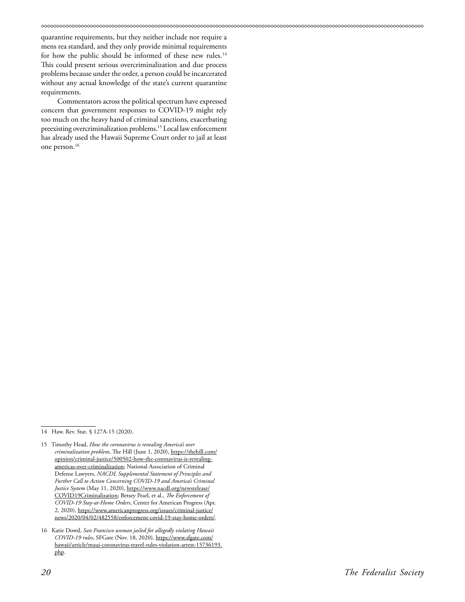quarantine requirements, but they neither include nor require a mens rea standard, and they only provide minimal requirements for how the public should be informed of these new rules.<sup>14</sup> This could present serious overcriminalization and due process problems because under the order, a person could be incarcerated without any actual knowledge of the state's current quarantine requirements.

Commentators across the political spectrum have expressed concern that government responses to COVID-19 might rely too much on the heavy hand of criminal sanctions, exacerbating preexisting overcriminalization problems.15 Local law enforcement has already used the Hawaii Supreme Court order to jail at least one person.16

<sup>14</sup> Haw. Rev. Stat. § 127A-15 (2020).

<sup>15</sup> Timothy Head, *How the coronavirus is revealing America's over criminalization problem*, The Hill (June 1, 2020), [https://thehill.com/](https://thehill.com/opinion/criminal-justice/500502-how-the-coronavirus-is-revealing-americas-over-criminalization) [opinion/criminal-justice/500502-how-the-coronavirus-is-revealing](https://thehill.com/opinion/criminal-justice/500502-how-the-coronavirus-is-revealing-americas-over-criminalization)[americas-over-criminalization](https://thehill.com/opinion/criminal-justice/500502-how-the-coronavirus-is-revealing-americas-over-criminalization); National Association of Criminal Defense Lawyers, *NACDL Supplemental Statement of Principles and Further Call to Action Concerning COVID-19 and America's Criminal Justice System* (May 11, 2020), [https://www.nacdl.org/newsrelease/](https://www.nacdl.org/newsrelease/COVID19Criminalization) [COVID19Criminalization;](https://www.nacdl.org/newsrelease/COVID19Criminalization) Betsey Pearl, et al., *The Enforcement of COVID-19 Stay-at-Home Orders*, Center for American Progress (Apr. 2, 2020), [https://www.americanprogress.org/issues/criminal-justice/](https://www.americanprogress.org/issues/criminal-justice/news/2020/04/02/482558/enforcement-covid-19-stay-home-orders/) [news/2020/04/02/482558/enforcement-covid-19-stay-home-orders/](https://www.americanprogress.org/issues/criminal-justice/news/2020/04/02/482558/enforcement-covid-19-stay-home-orders/).

<sup>16</sup> Katie Dowd, *San Francisco woman jailed for allegedly violating Hawaii COVID-19 rules*, SFGate (Nov. 18, 2020), [https://www.sfgate.com/](https://www.sfgate.com/hawaii/article/maui-coronavirus-travel-rules-violation-arrest-15736193.php) [hawaii/article/maui-coronavirus-travel-rules-violation-arrest-15736193.](https://www.sfgate.com/hawaii/article/maui-coronavirus-travel-rules-violation-arrest-15736193.php) [php](https://www.sfgate.com/hawaii/article/maui-coronavirus-travel-rules-violation-arrest-15736193.php).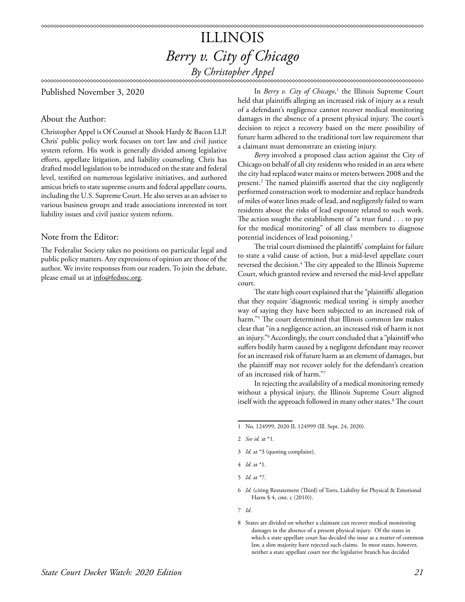### ILLINOIS *Berry v. City of Chicago By Christopher Appel*

Published November 3, 2020

#### About the Author:

Christopher Appel is Of Counsel at Shook Hardy & Bacon LLP. Chris' public policy work focuses on tort law and civil justice system reform. His work is generally divided among legislative efforts, appellate litigation, and liability counseling. Chris has drafted model legislation to be introduced on the state and federal level, testified on numerous legislative initiatives, and authored amicus briefs to state supreme courts and federal appellate courts, including the U.S. Supreme Court. He also serves as an adviser to various business groups and trade associations interested in tort liability issues and civil justice system reform.

#### Note from the Editor:

The Federalist Society takes no positions on particular legal and public policy matters. Any expressions of opinion are those of the author. We invite responses from our readers. To join the debate, please email us at info@fedsoc.org.

In *Berry v. City of Chicago*,<sup>1</sup> the Illinois Supreme Court held that plaintiffs alleging an increased risk of injury as a result of a defendant's negligence cannot recover medical monitoring damages in the absence of a present physical injury. The court's decision to reject a recovery based on the mere possibility of future harm adhered to the traditional tort law requirement that a claimant must demonstrate an existing injury.

∞∞∞∞∞∞∞∞∞∞∞∞∞∞∞∞∞∞∞∞∞∞∞∞∞∞∞∞

*Berry* involved a proposed class action against the City of Chicago on behalf of all city residents who resided in an area where the city had replaced water mains or meters between 2008 and the present.2 The named plaintiffs asserted that the city negligently performed construction work to modernize and replace hundreds of miles of water lines made of lead, and negligently failed to warn residents about the risks of lead exposure related to such work. The action sought the establishment of "a trust fund . . . to pay for the medical monitoring" of all class members to diagnose potential incidences of lead poisoning.<sup>3</sup>

The trial court dismissed the plaintiffs' complaint for failure to state a valid cause of action, but a mid-level appellate court reversed the decision.4 The city appealed to the Illinois Supreme Court, which granted review and reversed the mid-level appellate court.

The state high court explained that the "plaintiffs' allegation that they require 'diagnostic medical testing' is simply another way of saying they have been subjected to an increased risk of harm."5 The court determined that Illinois common law makes clear that "in a negligence action, an increased risk of harm is not an injury."6 Accordingly, the court concluded that a "plaintiff who suffers bodily harm caused by a negligent defendant may recover for an increased risk of future harm as an element of damages, but the plaintiff may not recover solely for the defendant's creation of an increased risk of harm."7

In rejecting the availability of a medical monitoring remedy without a physical injury, the Illinois Supreme Court aligned itself with the approach followed in many other states.<sup>8</sup> The court

<sup>1</sup> No. 124999, 2020 IL 124999 (Ill. Sept. 24, 2020).

<sup>2</sup> *See id.* at \*1.

<sup>3</sup> *Id.* at \*3 (quoting complaint).

<sup>4</sup> *Id.* at \*1.

<sup>5</sup> *Id.* at \*7.

<sup>6</sup> *Id.* (citing Restatement (Third) of Torts, Liability for Physical & Emotional Harm § 4, cmt. c (2010)).

<sup>7</sup> *Id.*

<sup>8</sup> States are divided on whether a claimant can recover medical monitoring damages in the absence of a present physical injury. Of the states in which a state appellate court has decided the issue as a matter of common law, a slim majority have rejected such claims. In most states, however, neither a state appellate court nor the legislative branch has decided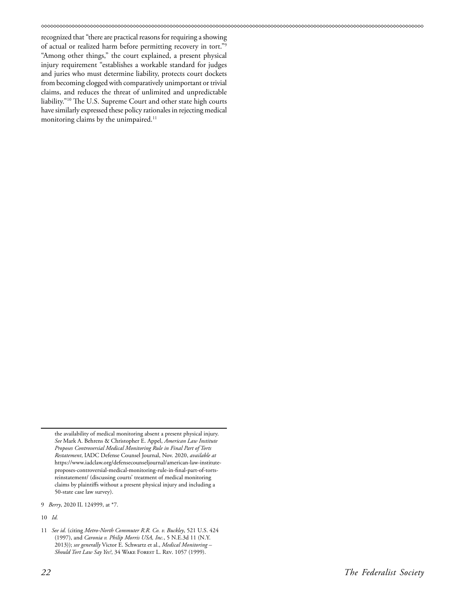recognized that "there are practical reasons for requiring a showing of actual or realized harm before permitting recovery in tort."9 "Among other things," the court explained, a present physical injury requirement "establishes a workable standard for judges and juries who must determine liability, protects court dockets from becoming clogged with comparatively unimportant or trivial claims, and reduces the threat of unlimited and unpredictable liability."10 The U.S. Supreme Court and other state high courts have similarly expressed these policy rationales in rejecting medical monitoring claims by the unimpaired.<sup>11</sup>

the availability of medical monitoring absent a present physical injury. *See* Mark A. Behrens & Christopher E. Appel, *American Law Institute Proposes Controversial Medical Monitoring Rule in Final Part of Torts Restatement*, IADC Defense Counsel Journal, Nov. 2020, *available at* https://www.iadclaw.org/defensecounseljournal/american-law-instituteproposes-controversial-medical-monitoring-rule-in-final-part-of-tortsreinstatement/ (discussing courts' treatment of medical monitoring claims by plaintiffs without a present physical injury and including a 50-state case law survey).

<sup>9</sup> *Berry*, 2020 IL 124999, at \*7.

<sup>10</sup> *Id.*

<sup>11</sup> *See id.* (citing *Metro-North Commuter R.R. Co. v. Buckley*, 521 U.S. 424 (1997), and *Caronia v. Philip Morris USA, Inc.*, 5 N.E.3d 11 (N.Y. 2013)); *see generally* Victor E. Schwartz et al., *Medical Monitoring –*  Should Tort Law Say Yes?, 34 WAKE FOREST L. REV. 1057 (1999).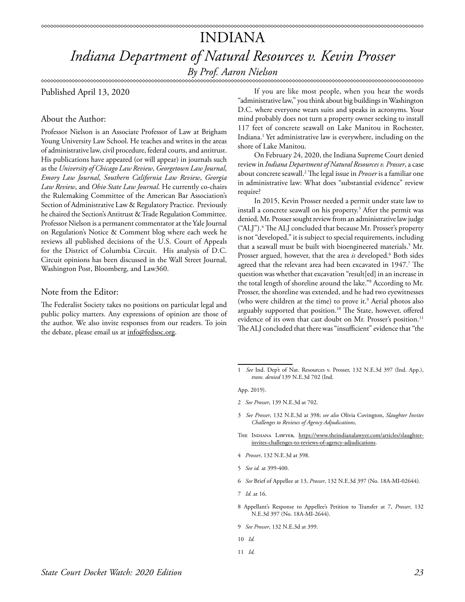## INDIANA *Indiana Department of Natural Resources v. Kevin Prosser*

*By Prof. Aaron Nielson*\*\*\*\*\*\*\*\*\*\*\*\*\*\*\*\*\*\*\*\*\*\*\*\*\*\*\*\*

Published April 13, 2020

#### About the Author:

Professor Nielson is an Associate Professor of Law at Brigham Young University Law School. He teaches and writes in the areas of administrative law, civil procedure, federal courts, and antitrust. His publications have appeared (or will appear) in journals such as the *University of Chicago Law Review*, *Georgetown Law Journal*, *Emory Law Journal*, *Southern California Law Review*, *Georgia Law Review*, and *Ohio State Law Journal*. He currently co-chairs the Rulemaking Committee of the American Bar Association's Section of Administrative Law & Regulatory Practice. Previously he chaired the Section's Antitrust & Trade Regulation Committee. Professor Nielson is a permanent commentator at the Yale Journal on Regulation's Notice & Comment blog where each week he reviews all published decisions of the U.S. Court of Appeals for the District of Columbia Circuit. His analysis of D.C. Circuit opinions has been discussed in the Wall Street Journal, Washington Post, Bloomberg, and Law360.

#### Note from the Editor:

The Federalist Society takes no positions on particular legal and public policy matters. Any expressions of opinion are those of the author. We also invite responses from our readers. To join the debate, please email us at info@fedsoc.org.

If you are like most people, when you hear the words "administrative law," you think about big buildings in Washington D.C. where everyone wears suits and speaks in acronyms. Your mind probably does not turn a property owner seeking to install 117 feet of concrete seawall on Lake Manitou in Rochester, Indiana.1 Yet administrative law is everywhere, including on the shore of Lake Manitou.

On February 24, 2020, the Indiana Supreme Court denied review in *Indiana Department of Natural Resources v. Prosser*, a case about concrete seawall.2 The legal issue in *Prosser* is a familiar one in administrative law: What does "substantial evidence" review require?

In 2015, Kevin Prosser needed a permit under state law to install a concrete seawall on his property.3 After the permit was denied, Mr. Prosser sought review from an administrative law judge ("ALJ").4 The ALJ concluded that because Mr. Prosser's property is not "developed," it is subject to special requirements, including that a seawall must be built with bioengineered materials.<sup>5</sup> Mr. Prosser argued, however, that the area *is* developed.<sup>6</sup> Both sides agreed that the relevant area had been excavated in 1947. $^7$  The question was whether that excavation "result[ed] in an increase in the total length of shoreline around the lake."8 According to Mr. Prosser, the shoreline was extended, and he had two eyewitnesses (who were children at the time) to prove it.<sup>9</sup> Aerial photos also arguably supported that position.<sup>10</sup> The State, however, offered evidence of its own that cast doubt on Mr. Prosser's position.<sup>11</sup> The ALJ concluded that there was "insufficient" evidence that "the

App. 2019).

- 2 *See Prosser*, 139 N.E.3d at 702.
- 3 *See Prosser*, 132 N.E.3d at 398; *see also* Olivia Covington, *Slaughter Invites Challenges to Reviews of Agency Adjudications*,
- THE INDIANA LAWYER, https://www.theindianalawyer.com/articles/slaughterinvites-challenges-to-reviews-of-agency-adjudications.
- 4 *Prosser*, 132 N.E.3d at 398.
- 5 *See id.* at 399-400.
- 6 *See* Brief of Appellee at 13, *Prosser*, 132 N.E.3d 397 (No. 18A-MI-02644).
- 7 *Id.* at 16.
- 8 Appellant's Response to Appellee's Petition to Transfer at 7, *Prosser*, 132 N.E.3d 397 (No. 18A-MI-2644).
- 9 *See Prosser*, 132 N.E.3d at 399.
- 10 *Id.*
- 11 *Id.*

<sup>1</sup> *See* Ind. Dep't of Nat. Resources v. Prosser, 132 N.E.3d 397 (Ind. App.), *trans. denied* 139 N.E.3d 702 (Ind.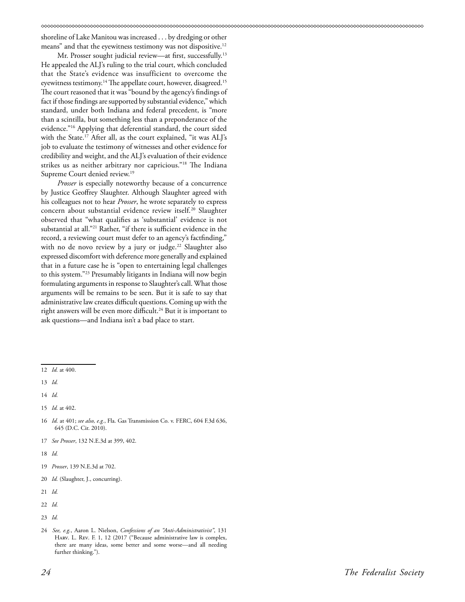shoreline of Lake Manitou was increased . . . by dredging or other means" and that the eyewitness testimony was not dispositive.<sup>12</sup>

Mr. Prosser sought judicial review—at first, successfully.<sup>13</sup> He appealed the ALJ's ruling to the trial court, which concluded that the State's evidence was insufficient to overcome the eyewitness testimony.<sup>14</sup> The appellate court, however, disagreed.<sup>15</sup> The court reasoned that it was "bound by the agency's findings of fact if those findings are supported by substantial evidence," which standard, under both Indiana and federal precedent, is "more than a scintilla, but something less than a preponderance of the evidence."16 Applying that deferential standard, the court sided with the State.17 After all, as the court explained, "it was ALJ's job to evaluate the testimony of witnesses and other evidence for credibility and weight, and the ALJ's evaluation of their evidence strikes us as neither arbitrary nor capricious."18 The Indiana Supreme Court denied review.<sup>19</sup>

*Prosser* is especially noteworthy because of a concurrence by Justice Geoffrey Slaughter. Although Slaughter agreed with his colleagues not to hear *Prosser*, he wrote separately to express concern about substantial evidence review itself.20 Slaughter observed that "what qualifies as 'substantial' evidence is not substantial at all."21 Rather, "if there is sufficient evidence in the record, a reviewing court must defer to an agency's factfinding," with no de novo review by a jury or judge.<sup>22</sup> Slaughter also expressed discomfort with deference more generally and explained that in a future case he is "open to entertaining legal challenges to this system."23 Presumably litigants in Indiana will now begin formulating arguments in response to Slaughter's call. What those arguments will be remains to be seen. But it is safe to say that administrative law creates difficult questions. Coming up with the right answers will be even more difficult.<sup>24</sup> But it is important to ask questions—and Indiana isn't a bad place to start.

- 16 *Id.* at 401; *see also, e.g.*, Fla. Gas Transmission Co. v. FERC, 604 F.3d 636, 645 (D.C. Cir. 2010).
- 17 *See Prosser*, 132 N.E.3d at 399, 402.

18 *Id.*

- 19 *Prosser*, 139 N.E.3d at 702.
- 20 *Id.* (Slaughter, J., concurring).
- 21 *Id.*
- 22 *Id.*
- 23 *Id.*
- 24 *See, e.g.*, Aaron L. Nielson, *Confessions of an "Anti-Administrativist"*, 131 Harv. L. Rev. F. 1, 12 (2017 ("Because administrative law is complex, there are many ideas, some better and some worse—and all needing further thinking.").

<sup>12</sup> *Id.* at 400.

<sup>13</sup> *Id.*

<sup>14</sup> *Id.*

<sup>15</sup> *Id.* at 402.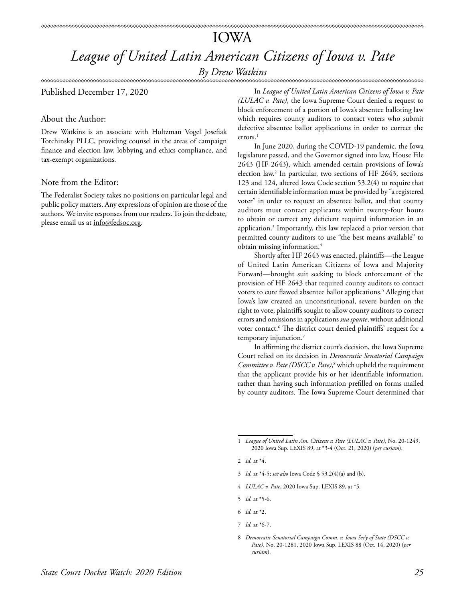## IOWA *League of United Latin American Citizens of Iowa v. Pate*

*By Drew Watkins*\*\*\*\*\*\*\*\*\*\*\*\*\*\*\*\*\*\*\*\*\*\*\*\*\*\*\*\*

Published December 17, 2020

#### About the Author:

Drew Watkins is an associate with Holtzman Vogel Josefiak Torchinsky PLLC, providing counsel in the areas of campaign finance and election law, lobbying and ethics compliance, and tax-exempt organizations.

#### Note from the Editor:

The Federalist Society takes no positions on particular legal and public policy matters. Any expressions of opinion are those of the authors. We invite responses from our readers. To join the debate, please email us at info@fedsoc.org.

In *League of United Latin American Citizens of Iowa v. Pate (LULAC v. Pate)*, the Iowa Supreme Court denied a request to block enforcement of a portion of Iowa's absentee balloting law which requires county auditors to contact voters who submit defective absentee ballot applications in order to correct the errors.<sup>1</sup>

In June 2020, during the COVID-19 pandemic, the Iowa legislature passed, and the Governor signed into law, House File 2643 (HF 2643), which amended certain provisions of Iowa's election law.2 In particular, two sections of HF 2643, sections 123 and 124, altered Iowa Code section 53.2(4) to require that certain identifiable information must be provided by "a registered voter" in order to request an absentee ballot, and that county auditors must contact applicants within twenty-four hours to obtain or correct any deficient required information in an application.3 Importantly, this law replaced a prior version that permitted county auditors to use "the best means available" to obtain missing information.4

Shortly after HF 2643 was enacted, plaintiffs—the League of United Latin American Citizens of Iowa and Majority Forward—brought suit seeking to block enforcement of the provision of HF 2643 that required county auditors to contact voters to cure flawed absentee ballot applications.<sup>5</sup> Alleging that Iowa's law created an unconstitutional, severe burden on the right to vote, plaintiffs sought to allow county auditors to correct errors and omissions in applications *sua sponte*, without additional voter contact.6 The district court denied plaintiffs' request for a temporary injunction.<sup>7</sup>

In affirming the district court's decision, the Iowa Supreme Court relied on its decision in *Democratic Senatorial Campaign*  Committee v. Pate (DSCC v. Pate),<sup>8</sup> which upheld the requirement that the applicant provide his or her identifiable information, rather than having such information prefilled on forms mailed by county auditors. The Iowa Supreme Court determined that

<sup>1</sup> *League of United Latin Am. Citizens v. Pate (LULAC v. Pate)*, No. 20-1249, 2020 Iowa Sup. LEXIS 89, at \*3-4 (Oct. 21, 2020) (*per curiam*).

<sup>2</sup> *Id.* at \*4.

<sup>3</sup> *Id.* at \*4-5; *see also* Iowa Code § 53.2(4)(a) and (b).

<sup>4</sup> *LULAC v. Pate*, 2020 Iowa Sup. LEXIS 89, at \*5.

<sup>5</sup> *Id.* at \*5-6.

<sup>6</sup> *Id.* at \*2.

<sup>7</sup> *Id.* at \*6-7.

<sup>8</sup> *Democratic Senatorial Campaign Comm. v. Iowa Sec'y of State (DSCC v. Pate)*, No. 20-1281, 2020 Iowa Sup. LEXIS 88 (Oct. 14, 2020) (*per curiam*).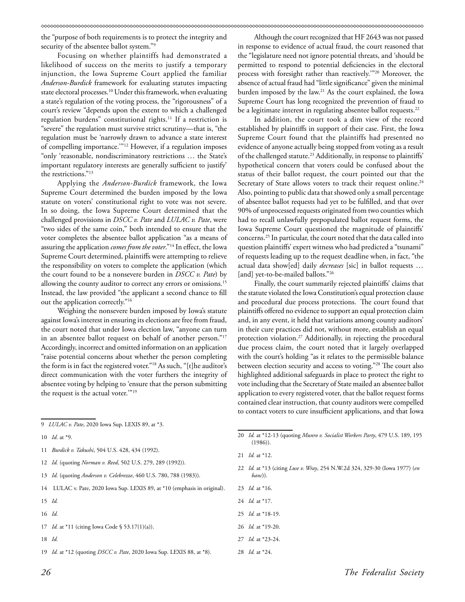the "purpose of both requirements is to protect the integrity and security of the absentee ballot system."<sup>9</sup>

Focusing on whether plaintiffs had demonstrated a likelihood of success on the merits to justify a temporary injunction, the Iowa Supreme Court applied the familiar *Anderson-Burdick* framework for evaluating statutes impacting state electoral processes.<sup>10</sup> Under this framework, when evaluating a state's regulation of the voting process, the "rigorousness" of a court's review "depends upon the extent to which a challenged regulation burdens" constitutional rights.<sup>11</sup> If a restriction is "severe" the regulation must survive strict scrutiny—that is, "the regulation must be 'narrowly drawn to advance a state interest of compelling importance.'"12 However, if a regulation imposes "only 'reasonable, nondiscriminatory restrictions … the State's important regulatory interests are generally sufficient to justify' the restrictions."13

Applying the *Anderson-Burdick* framework, the Iowa Supreme Court determined the burden imposed by the Iowa statute on voters' constitutional right to vote was not severe. In so doing, the Iowa Supreme Court determined that the challenged provisions in *DSCC v. Pate* and *LULAC v. Pate*, were "two sides of the same coin," both intended to ensure that the voter completes the absentee ballot application "as a means of assuring the application *comes from the voter*."14 In effect, the Iowa Supreme Court determined, plaintiffs were attempting to relieve the responsibility on voters to complete the application (which the court found to be a nonsevere burden in *DSCC v. Pate*) by allowing the county auditor to correct any errors or omissions.15 Instead, the law provided "the applicant a second chance to fill out the application correctly."16

Weighing the nonsevere burden imposed by Iowa's statute against Iowa's interest in ensuring its elections are free from fraud, the court noted that under Iowa election law, "anyone can turn in an absentee ballot request on behalf of another person."17 Accordingly, incorrect and omitted information on an application "raise potential concerns about whether the person completing the form is in fact the registered voter."18 As such, "[t]he auditor's direct communication with the voter furthers the integrity of absentee voting by helping to 'ensure that the person submitting the request is the actual voter.'"19

9 *LULAC v. Pate*, 2020 Iowa Sup. LEXIS 89, at \*3.

- 11 *Burdick v. Takushi*, 504 U.S. 428, 434 (1992).
- 12 *Id.* (quoting *Norman v. Reed*, 502 U.S. 279, 289 (1992)).
- 13 *Id.* (quoting *Anderson v. Celebrezze*, 460 U.S. 780, 788 (1983)).
- 14 LULAC v. Pate, 2020 Iowa Sup. LEXIS 89, at \*10 (emphasis in original).
- 15 *Id.*
- 16 *Id.*
- 17 *Id.* at \*11 (citing Iowa Code § 53.17(1)(a)).
- 18 *Id.*
- 19 *Id.* at \*12 (quoting *DSCC v. Pate*, 2020 Iowa Sup. LEXIS 88, at \*8).

Although the court recognized that HF 2643 was not passed in response to evidence of actual fraud, the court reasoned that the "legislature need not ignore potential threats, and 'should be permitted to respond to potential deficiencies in the electoral process with foresight rather than reactively.'"20 Moreover, the absence of actual fraud had "little significance" given the minimal burden imposed by the law.<sup>21</sup> As the court explained, the Iowa Supreme Court has long recognized the prevention of fraud to be a legitimate interest in regulating absentee ballot requests.<sup>22</sup>

In addition, the court took a dim view of the record established by plaintiffs in support of their case. First, the Iowa Supreme Court found that the plaintiffs had presented no evidence of anyone actually being stopped from voting as a result of the challenged statute.<sup>23</sup> Additionally, in response to plaintiffs' hypothetical concern that voters could be confused about the status of their ballot request, the court pointed out that the Secretary of State allows voters to track their request online.<sup>24</sup> Also, pointing to public data that showed only a small percentage of absentee ballot requests had yet to be fulfilled, and that over 90% of unprocessed requests originated from two counties which had to recall unlawfully prepopulated ballot request forms, the Iowa Supreme Court questioned the magnitude of plaintiffs' concerns.25 In particular, the court noted that the data called into question plaintiffs' expert witness who had predicted a "tsunami" of requests leading up to the request deadline when, in fact, "the actual data show[ed] daily *decreases* [sic] in ballot requests … [and] yet-to-be-mailed ballots."<sup>26</sup>

Finally, the court summarily rejected plaintiffs' claims that the statute violated the Iowa Constitution's equal protection clause and procedural due process protections. The court found that plaintiffs offered no evidence to support an equal protection claim and, in any event, it held that variations among county auditors' in their cure practices did not, without more, establish an equal protection violation.27 Additionally, in rejecting the procedural due process claim, the court noted that it largely overlapped with the court's holding "as it relates to the permissible balance between election security and access to voting."28 The court also highlighted additional safeguards in place to protect the right to vote including that the Secretary of State mailed an absentee ballot application to every registered voter, that the ballot request forms contained clear instruction, that county auditors were compelled to contact voters to cure insufficient applications, and that Iowa

20 *Id.* at \*12-13 (quoting *Munro v. Socialist Workers Party*, 479 U.S. 189, 195 (1986)).

- 22 *Id.* at \*13 (citing *Luse v. Wray*, 254 N.W.2d 324, 329-30 (Iowa 1977) (*en banc*)).
- 23 *Id.* at \*16.
- 24 *Id.* at \*17.
- 25 *Id.* at \*18-19.
- 26 *Id.* at \*19-20.
- 27 *Id.* at \*23-24.

<sup>10</sup> *Id.* at \*9.

<sup>21</sup> *Id.* at \*12.

<sup>28</sup> *Id.* at \*24.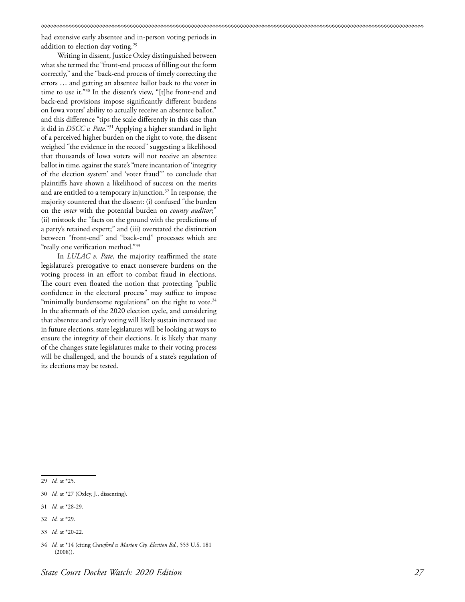had extensive early absentee and in-person voting periods in addition to election day voting.<sup>29</sup>

Writing in dissent, Justice Oxley distinguished between what she termed the "front-end process of filling out the form correctly," and the "back-end process of timely correcting the errors … and getting an absentee ballot back to the voter in time to use it."30 In the dissent's view, "[t]he front-end and back-end provisions impose significantly different burdens on Iowa voters' ability to actually receive an absentee ballot," and this difference "tips the scale differently in this case than it did in *DSCC v. Pate*."31 Applying a higher standard in light of a perceived higher burden on the right to vote, the dissent weighed "the evidence in the record" suggesting a likelihood that thousands of Iowa voters will not receive an absentee ballot in time, against the state's "mere incantation of 'integrity of the election system' and 'voter fraud'" to conclude that plaintiffs have shown a likelihood of success on the merits and are entitled to a temporary injunction.<sup>32</sup> In response, the majority countered that the dissent: (i) confused "the burden on the *voter* with the potential burden on *county auditor*;" (ii) mistook the "facts on the ground with the predictions of a party's retained expert;" and (iii) overstated the distinction between "front-end" and "back-end" processes which are "really one verification method."33

In *LULAC v. Pate*, the majority reaffirmed the state legislature's prerogative to enact nonsevere burdens on the voting process in an effort to combat fraud in elections. The court even floated the notion that protecting "public confidence in the electoral process" may suffice to impose "minimally burdensome regulations" on the right to vote.<sup>34</sup> In the aftermath of the 2020 election cycle, and considering that absentee and early voting will likely sustain increased use in future elections, state legislatures will be looking at ways to ensure the integrity of their elections. It is likely that many of the changes state legislatures make to their voting process will be challenged, and the bounds of a state's regulation of its elections may be tested.

- 30 *Id.* at \*27 (Oxley, J., dissenting).
- 31 *Id.* at \*28-29.
- 32 *Id.* at \*29.
- 33 *Id.* at \*20-22.

<sup>29</sup> *Id.* at \*25.

<sup>34</sup> *Id.* at \*14 (citing *Crawford v. Marion Cty. Election Bd.*, 553 U.S. 181 (2008)).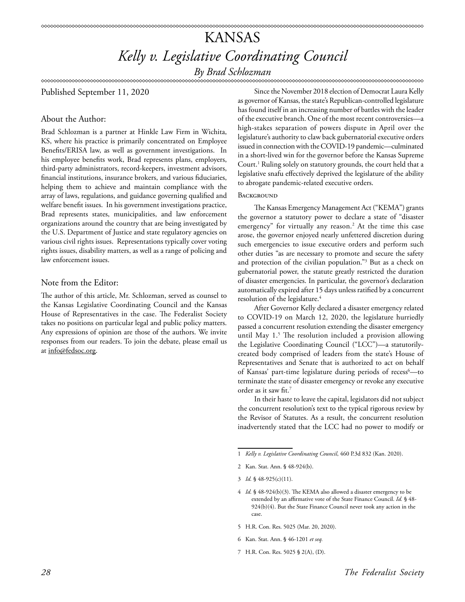## KANSAS *Kelly v. Legislative Coordinating Council*

*By Brad Schlozman*

xxxxxxxxxxxxxxxxxxxxxxxxxxxxxxxx

Published September 11, 2020

#### About the Author:

Brad Schlozman is a partner at Hinkle Law Firm in Wichita, KS, where his practice is primarily concentrated on Employee Benefits/ERISA law, as well as government investigations. In his employee benefits work, Brad represents plans, employers, third-party administrators, record-keepers, investment advisors, financial institutions, insurance brokers, and various fiduciaries, helping them to achieve and maintain compliance with the array of laws, regulations, and guidance governing qualified and welfare benefit issues. In his government investigations practice, Brad represents states, municipalities, and law enforcement organizations around the country that are being investigated by the U.S. Department of Justice and state regulatory agencies on various civil rights issues. Representations typically cover voting rights issues, disability matters, as well as a range of policing and law enforcement issues.

#### Note from the Editor:

The author of this article, Mr. Schlozman, served as counsel to the Kansas Legislative Coordinating Council and the Kansas House of Representatives in the case. The Federalist Society takes no positions on particular legal and public policy matters. Any expressions of opinion are those of the authors. We invite responses from our readers. To join the debate, please email us at info@fedsoc.org.

Since the November 2018 election of Democrat Laura Kelly as governor of Kansas, the state's Republican-controlled legislature has found itself in an increasing number of battles with the leader of the executive branch. One of the most recent controversies—a high-stakes separation of powers dispute in April over the legislature's authority to claw back gubernatorial executive orders issued in connection with the COVID-19 pandemic—culminated in a short-lived win for the governor before the Kansas Supreme Court.<sup>1</sup> Ruling solely on statutory grounds, the court held that a legislative snafu effectively deprived the legislature of the ability to abrogate pandemic-related executive orders.

#### **BACKGROUND**

The Kansas Emergency Management Act ("KEMA") grants the governor a statutory power to declare a state of "disaster emergency" for virtually any reason.2 At the time this case arose, the governor enjoyed nearly unfettered discretion during such emergencies to issue executive orders and perform such other duties "as are necessary to promote and secure the safety and protection of the civilian population."3 But as a check on gubernatorial power, the statute greatly restricted the duration of disaster emergencies. In particular, the governor's declaration automatically expired after 15 days unless ratified by a concurrent resolution of the legislature.<sup>4</sup>

After Governor Kelly declared a disaster emergency related to COVID-19 on March 12, 2020, the legislature hurriedly passed a concurrent resolution extending the disaster emergency until May 1.5 The resolution included a provision allowing the Legislative Coordinating Council ("LCC")—a statutorilycreated body comprised of leaders from the state's House of Representatives and Senate that is authorized to act on behalf of Kansas' part-time legislature during periods of recess<sup>6</sup>—to terminate the state of disaster emergency or revoke any executive order as it saw fit.7

In their haste to leave the capital, legislators did not subject the concurrent resolution's text to the typical rigorous review by the Revisor of Statutes. As a result, the concurrent resolution inadvertently stated that the LCC had no power to modify or

- 5 H.R. Con. Res. 5025 (Mar. 20, 2020).
- 6 Kan. Stat. Ann. § 46-1201 *et seq.*
- 7 H.R. Con. Res. 5025 § 2(A), (D).

<sup>1</sup> *Kelly v. Legislative Coordinating Council*, 460 P.3d 832 (Kan. 2020).

<sup>2</sup> Kan. Stat. Ann. § 48-924(b).

<sup>3</sup> *Id.* § 48-925(c)(11).

<sup>4</sup> *Id.* § 48-924(b)(3). The KEMA also allowed a disaster emergency to be extended by an affirmative vote of the State Finance Council. *Id.* § 48- 924(b)(4). But the State Finance Council never took any action in the case.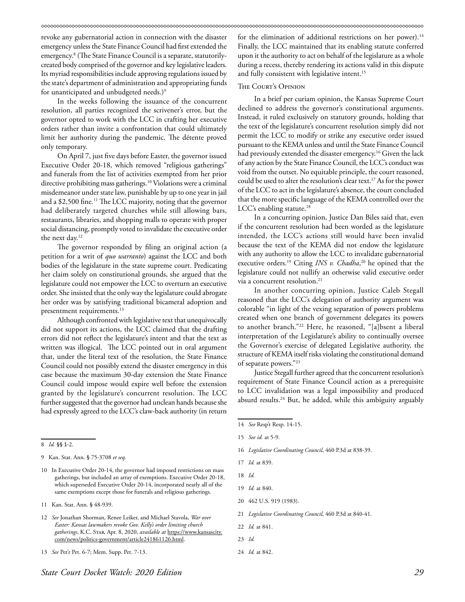revoke any gubernatorial action in connection with the disaster emergency unless the State Finance Council had first extended the emergency.8 (The State Finance Council is a separate, statutorilycreated body comprised of the governor and key legislative leaders. Its myriad responsibilities include approving regulations issued by the state's department of administration and appropriating funds for unanticipated and unbudgeted needs.)<sup>9</sup>

In the weeks following the issuance of the concurrent resolution, all parties recognized the scrivener's error, but the governor opted to work with the LCC in crafting her executive orders rather than invite a confrontation that could ultimately limit her authority during the pandemic. The détente proved only temporary.

On April 7, just five days before Easter, the governor issued Executive Order 20-18, which removed "religious gatherings" and funerals from the list of activities exempted from her prior directive prohibiting mass gatherings.<sup>10</sup> Violations were a criminal misdemeanor under state law, punishable by up to one year in jail and a \$2,500 fine.<sup>11</sup> The LCC majority, noting that the governor had deliberately targeted churches while still allowing bars, restaurants, libraries, and shopping malls to operate with proper social distancing, promptly voted to invalidate the executive order the next day.<sup>12</sup>

The governor responded by filing an original action (a petition for a writ of *quo warranto*) against the LCC and both bodies of the legislature in the state supreme court. Predicating her claim solely on constitutional grounds, she argued that the legislature could not empower the LCC to overturn an executive order. She insisted that the only way the legislature could abrogate her order was by satisfying traditional bicameral adoption and presentment requirements.<sup>13</sup>

Although confronted with legislative text that unequivocally did not support its actions, the LCC claimed that the drafting errors did not reflect the legislature's intent and that the text as written was illogical. The LCC pointed out in oral argument that, under the literal text of the resolution, the State Finance Council could not possibly extend the disaster emergency in this case because the maximum 30-day extension the State Finance Council could impose would expire well before the extension granted by the legislature's concurrent resolution. The LCC further suggested that the governor had unclean hands because she had expressly agreed to the LCC's claw-back authority (in return

- 11 Kan. Stat. Ann. § 48-939.
- 12 *See* Jonathan Shorman, Renee Leiker, and Michael Stavola, *War over Easter: Kansas lawmakers revoke Gov. Kelly's order limiting church gatherings*, K.C. Star, Apr. 8, 2020, *available at* [https://www.kansascity.](https://www.kansascity.com/news/politics-government/article241861126.html) [com/news/politics-government/article241861126.html.](https://www.kansascity.com/news/politics-government/article241861126.html)
- 13 *See* Pet'r Pet. 6-7; Mem. Supp. Pet. 7-13.

#### The Court's Opinion

In a brief per curiam opinion, the Kansas Supreme Court declined to address the governor's constitutional arguments. Instead, it ruled exclusively on statutory grounds, holding that the text of the legislature's concurrent resolution simply did not permit the LCC to modify or strike any executive order issued pursuant to the KEMA unless and until the State Finance Council had previously extended the disaster emergency.<sup>16</sup> Given the lack of any action by the State Finance Council, the LCC's conduct was void from the outset. No equitable principle, the court reasoned, could be used to alter the resolution's clear text.<sup>17</sup> As for the power of the LCC to act in the legislature's absence, the court concluded that the more specific language of the KEMA controlled over the LCC's enabling statute.<sup>18</sup>

In a concurring opinion, Justice Dan Biles said that, even if the concurrent resolution had been worded as the legislature intended, the LCC's actions still would have been invalid because the text of the KEMA did not endow the legislature with any authority to allow the LCC to invalidate gubernatorial executive orders.19 Citing *INS v. Chadha*, 20 he opined that the legislature could not nullify an otherwise valid executive order via a concurrent resolution.<sup>21</sup>

In another concurring opinion, Justice Caleb Stegall reasoned that the LCC's delegation of authority argument was colorable "in light of the vexing separation of powers problems created when one branch of government delegates its powers to another branch."22 Here, he reasoned, "[a]bsent a liberal interpretation of the Legislature's ability to continually oversee the Governor's exercise of delegated Legislative authority, the structure of KEMA itself risks violating the constitutional demand of separate powers."23

Justice Stegall further agreed that the concurrent resolution's requirement of State Finance Council action as a prerequisite to LCC invalidation was a legal impossibility and produced absurd results.24 But, he added, while this ambiguity arguably

16 *Legislative Coordinating Council*, 460 P.3d at 838-39.

- 19 *Id.* at 840.
- 20 462 U.S. 919 (1983).
- 21 *Legislative Coordinating Council*, 460 P.3d at 840-41.

<sup>8</sup> *Id.* §§ 1-2.

<sup>9</sup> Kan. Stat. Ann. § 75-3708 *et seq.*

<sup>10</sup> In Executive Order 20-14, the governor had imposed restrictions on mass gatherings, but included an array of exemptions. Executive Order 20-18, which superseded Executive Order 20-14, incorporated nearly all of the same exemptions except those for funerals and religious gatherings.

<sup>14</sup> *See* Resp't Resp. 14-15.

<sup>15</sup> *See id.* at 5-9.

<sup>17</sup> *Id.* at 839.

<sup>18</sup> *Id.*

<sup>22</sup> *Id.* at 841.

<sup>23</sup> *Id.*

<sup>24</sup> *Id.* at 842.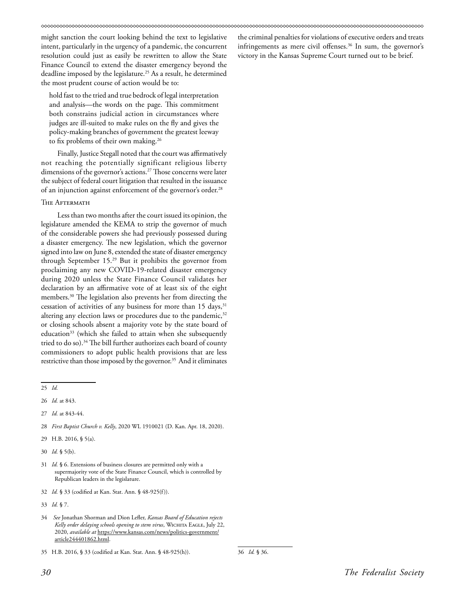might sanction the court looking behind the text to legislative intent, particularly in the urgency of a pandemic, the concurrent resolution could just as easily be rewritten to allow the State Finance Council to extend the disaster emergency beyond the deadline imposed by the legislature.<sup>25</sup> As a result, he determined the most prudent course of action would be to:

hold fast to the tried and true bedrock of legal interpretation and analysis—the words on the page. This commitment both constrains judicial action in circumstances where judges are ill-suited to make rules on the fly and gives the policy-making branches of government the greatest leeway to fix problems of their own making.<sup>26</sup>

Finally, Justice Stegall noted that the court was affirmatively not reaching the potentially significant religious liberty dimensions of the governor's actions.<sup>27</sup> Those concerns were later the subject of federal court litigation that resulted in the issuance of an injunction against enforcement of the governor's order.28

#### The Aftermath

Less than two months after the court issued its opinion, the legislature amended the KEMA to strip the governor of much of the considerable powers she had previously possessed during a disaster emergency. The new legislation, which the governor signed into law on June 8, extended the state of disaster emergency through September 15.29 But it prohibits the governor from proclaiming any new COVID-19-related disaster emergency during 2020 unless the State Finance Council validates her declaration by an affirmative vote of at least six of the eight members.30 The legislation also prevents her from directing the cessation of activities of any business for more than  $15 \text{ days}^{31}$ altering any election laws or procedures due to the pandemic,<sup>32</sup> or closing schools absent a majority vote by the state board of education<sup>33</sup> (which she failed to attain when she subsequently tried to do so).<sup>34</sup> The bill further authorizes each board of county commissioners to adopt public health provisions that are less restrictive than those imposed by the governor.<sup>35</sup> And it eliminates

- 28 *First Baptist Church v. Kelly*, 2020 WL 1910021 (D. Kan. Apr. 18, 2020).
- 29 H.B. 2016, § 5(a).
- 30 *Id.* § 5(b).
- 31 *Id.* § 6. Extensions of business closures are permitted only with a supermajority vote of the State Finance Council, which is controlled by Republican leaders in the legislature.
- 32 *Id.* § 33 (codified at Kan. Stat. Ann. § 48-925(f)).
- 33 *Id.* § 7.
- 34 *See* Jonathan Shorman and Dion Lefler, *Kansas Board of Education rejects*  Kelly order delaying schools opening to stem virus, WICHITA EAGLE, July 22, 2020, *available at* [https://www.kansas.com/news/politics-government/](https://www.kansas.com/news/politics-government/article244401862.html) [article244401862.html.](https://www.kansas.com/news/politics-government/article244401862.html)

36 *Id.* § 36.

the criminal penalties for violations of executive orders and treats infringements as mere civil offenses.<sup>36</sup> In sum, the governor's victory in the Kansas Supreme Court turned out to be brief.

<sup>25</sup> *Id.*

<sup>26</sup> *Id.* at 843.

<sup>27</sup> *Id.* at 843-44.

<sup>35</sup> H.B. 2016, § 33 (codified at Kan. Stat. Ann. § 48-925(h)).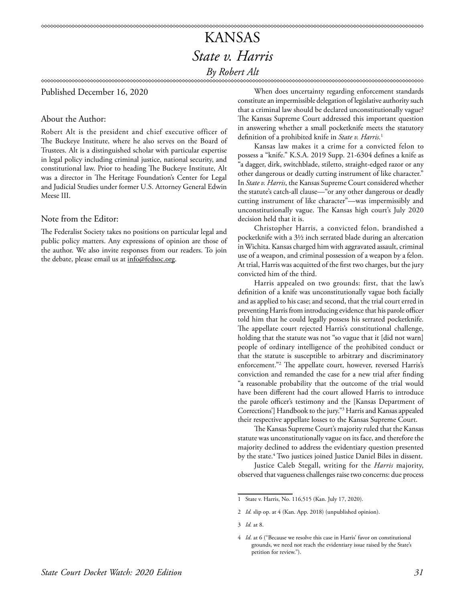### KANSAS *State v. Harris By Robert Alt*

Published December 16, 2020

#### About the Author:

Robert Alt is the president and chief executive officer of The Buckeye Institute, where he also serves on the Board of Trustees. Alt is a distinguished scholar with particular expertise in legal policy including criminal justice, national security, and constitutional law. Prior to heading The Buckeye Institute, Alt was a director in The Heritage Foundation's Center for Legal and Judicial Studies under former U.S. Attorney General Edwin Meese III.

#### Note from the Editor:

The Federalist Society takes no positions on particular legal and public policy matters. Any expressions of opinion are those of the author. We also invite responses from our readers. To join the debate, please email us at info@fedsoc.org.

When does uncertainty regarding enforcement standards constitute an impermissible delegation of legislative authority such that a criminal law should be declared unconstitutionally vague? The Kansas Supreme Court addressed this important question in answering whether a small pocketknife meets the statutory definition of a prohibited knife in *State v. Harris.*<sup>1</sup>

Kansas law makes it a crime for a convicted felon to possess a "knife." K.S.A. 2019 Supp. 21-6304 defines a knife as "a dagger, dirk, switchblade, stiletto, straight-edged razor or any other dangerous or deadly cutting instrument of like character." In *State v. Harris*, the Kansas Supreme Court considered whether the statute's catch-all clause—"or any other dangerous or deadly cutting instrument of like character"—was impermissibly and unconstitutionally vague. The Kansas high court's July 2020 decision held that it is.

Christopher Harris, a convicted felon, brandished a pocketknife with a 3½ inch serrated blade during an altercation in Wichita. Kansas charged him with aggravated assault, criminal use of a weapon, and criminal possession of a weapon by a felon. At trial, Harris was acquitted of the first two charges, but the jury convicted him of the third.

Harris appealed on two grounds: first, that the law's definition of a knife was unconstitutionally vague both facially and as applied to his case; and second, that the trial court erred in preventing Harris from introducing evidence that his parole officer told him that he could legally possess his serrated pocketknife. The appellate court rejected Harris's constitutional challenge, holding that the statute was not "so vague that it [did not warn] people of ordinary intelligence of the prohibited conduct or that the statute is susceptible to arbitrary and discriminatory enforcement."2 The appellate court, however, reversed Harris's conviction and remanded the case for a new trial after finding "a reasonable probability that the outcome of the trial would have been different had the court allowed Harris to introduce the parole officer's testimony and the [Kansas Department of Corrections'] Handbook to the jury."3 Harris and Kansas appealed their respective appellate losses to the Kansas Supreme Court.

The Kansas Supreme Court's majority ruled that the Kansas statute was unconstitutionally vague on its face, and therefore the majority declined to address the evidentiary question presented by the state.4 Two justices joined Justice Daniel Biles in dissent.

Justice Caleb Stegall, writing for the *Harris* majority, observed that vagueness challenges raise two concerns: due process

<sup>1</sup> State v. Harris, No. 116,515 (Kan. July 17, 2020).

<sup>2</sup> *Id.* slip op. at 4 (Kan. App. 2018) (unpublished opinion).

<sup>3</sup> *Id.* at 8.

<sup>4</sup> *Id*. at 6 ("Because we resolve this case in Harris' favor on constitutional grounds, we need not reach the evidentiary issue raised by the State's petition for review.").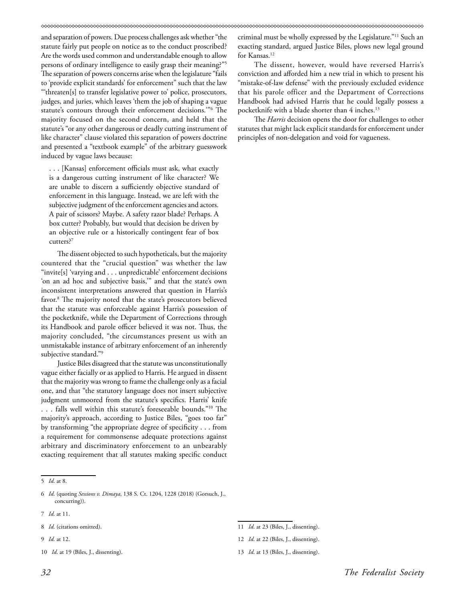and separation of powers. Due process challenges ask whether "the statute fairly put people on notice as to the conduct proscribed? Are the words used common and understandable enough to allow persons of ordinary intelligence to easily grasp their meaning?"5 The separation of powers concerns arise when the legislature "fails to 'provide explicit standards' for enforcement" such that the law "'threaten[s] to transfer legislative power to' police, prosecutors, judges, and juries, which leaves 'them the job of shaping a vague statute's contours through their enforcement decisions.'"6 The majority focused on the second concern, and held that the statute's "or any other dangerous or deadly cutting instrument of like character" clause violated this separation of powers doctrine and presented a "textbook example" of the arbitrary guesswork induced by vague laws because:

. . . [Kansas] enforcement officials must ask, what exactly is a dangerous cutting instrument of like character? We are unable to discern a sufficiently objective standard of enforcement in this language. Instead, we are left with the subjective judgment of the enforcement agencies and actors. A pair of scissors? Maybe. A safety razor blade? Perhaps. A box cutter? Probably, but would that decision be driven by an objective rule or a historically contingent fear of box cutters?<sup>7</sup>

The dissent objected to such hypotheticals, but the majority countered that the "crucial question" was whether the law "invite[s] 'varying and . . . unpredictable' enforcement decisions 'on an ad hoc and subjective basis,'" and that the state's own inconsistent interpretations answered that question in Harris's favor.8 The majority noted that the state's prosecutors believed that the statute was enforceable against Harris's possession of the pocketknife, while the Department of Corrections through its Handbook and parole officer believed it was not. Thus, the majority concluded, "the circumstances present us with an unmistakable instance of arbitrary enforcement of an inherently subjective standard."9

Justice Biles disagreed that the statute was unconstitutionally vague either facially or as applied to Harris. He argued in dissent that the majority was wrong to frame the challenge only as a facial one, and that "the statutory language does not insert subjective judgment unmoored from the statute's specifics. Harris' knife . . . falls well within this statute's foreseeable bounds."10 The majority's approach, according to Justice Biles, "goes too far" by transforming "the appropriate degree of specificity . . . from a requirement for commonsense adequate protections against arbitrary and discriminatory enforcement to an unbearably exacting requirement that all statutes making specific conduct

- 8 *Id*. (citations omitted).
- 9 *Id*. at 12.
- 10 *Id*. at 19 (Biles, J., dissenting).

criminal must be wholly expressed by the Legislature."11 Such an exacting standard, argued Justice Biles, plows new legal ground for Kansas.<sup>12</sup>

The dissent, however, would have reversed Harris's conviction and afforded him a new trial in which to present his "mistake-of-law defense" with the previously excluded evidence that his parole officer and the Department of Corrections Handbook had advised Harris that he could legally possess a pocketknife with a blade shorter than 4 inches.<sup>13</sup>

The *Harris* decision opens the door for challenges to other statutes that might lack explicit standards for enforcement under principles of non-delegation and void for vagueness.

<sup>5</sup> *Id*. at 8.

<sup>6</sup> *Id*. (quoting *Sessions v. Dimaya*, 138 S. Ct. 1204, 1228 (2018) (Gorsuch, J., concurring)).

<sup>7</sup> *Id*. at 11.

<sup>11</sup> *Id*. at 23 (Biles, J., dissenting).

<sup>12</sup> *Id*. at 22 (Biles, J., dissenting).

<sup>13</sup> *Id*. at 13 (Biles, J., dissenting).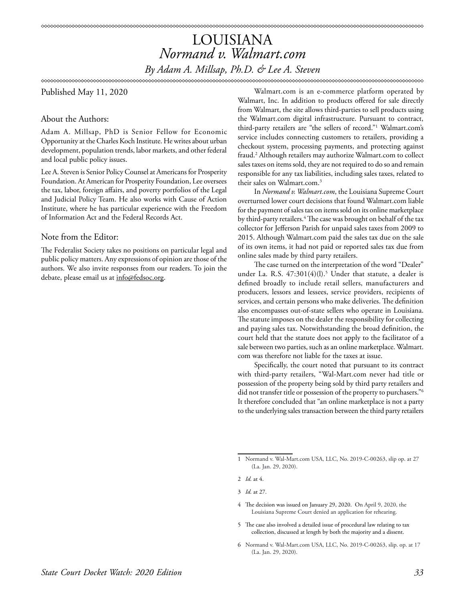### LOUISIANA *Normand v. Walmart.com By Adam A. Millsap, Ph.D. & Lee A. Steven*

Published May 11, 2020

About the Authors:

Adam A. Millsap, PhD is Senior Fellow for Economic Opportunity at the Charles Koch Institute. He writes about urban development, population trends, labor markets, and other federal and local public policy issues.

Lee A. Steven is Senior Policy Counsel at Americans for Prosperity Foundation. At American for Prosperity Foundation, Lee oversees the tax, labor, foreign affairs, and poverty portfolios of the Legal and Judicial Policy Team. He also works with Cause of Action Institute, where he has particular experience with the Freedom of Information Act and the Federal Records Act.

#### Note from the Editor:

The Federalist Society takes no positions on particular legal and public policy matters. Any expressions of opinion are those of the authors. We also invite responses from our readers. To join the debate, please email us at info@fedsoc.org.

Walmart.com is an e-commerce platform operated by Walmart, Inc. In addition to products offered for sale directly from Walmart, the site allows third-parties to sell products using the Walmart.com digital infrastructure. Pursuant to contract, third-party retailers are "the sellers of record."1 Walmart.com's service includes connecting customers to retailers, providing a checkout system, processing payments, and protecting against fraud.2 Although retailers may authorize Walmart.com to collect sales taxes on items sold, they are not required to do so and remain responsible for any tax liabilities, including sales taxes, related to their sales on Walmart.com.3

In *Normand v. Walmart.com*, the Louisiana Supreme Court overturned lower court decisions that found Walmart.com liable for the payment of sales tax on items sold on its online marketplace by third-party retailers.4 The case was brought on behalf of the tax collector for Jefferson Parish for unpaid sales taxes from 2009 to 2015. Although Walmart.com paid the sales tax due on the sale of its own items, it had not paid or reported sales tax due from online sales made by third party retailers.

The case turned on the interpretation of the word "Dealer" under La. R.S.  $47:301(4)(1)$ .<sup>5</sup> Under that statute, a dealer is defined broadly to include retail sellers, manufacturers and producers, lessors and lessees, service providers, recipients of services, and certain persons who make deliveries. The definition also encompasses out-of-state sellers who operate in Louisiana. The statute imposes on the dealer the responsibility for collecting and paying sales tax. Notwithstanding the broad definition, the court held that the statute does not apply to the facilitator of a sale between two parties, such as an online marketplace. Walmart. com was therefore not liable for the taxes at issue.

Specifically, the court noted that pursuant to its contract with third-party retailers, "Wal-Mart.com never had title or possession of the property being sold by third party retailers and did not transfer title or possession of the property to purchasers."<sup>6</sup> It therefore concluded that "an online marketplace is not a party to the underlying sales transaction between the third party retailers

- 4 The decision was issued on January 29, 2020. On April 9, 2020, the Louisiana Supreme Court denied an application for rehearing.
- 5 The case also involved a detailed issue of procedural law relating to tax collection, discussed at length by both the majority and a dissent.
- 6 Normand v. Wal-Mart.com USA, LLC, No. 2019-C-00263, slip. op. at 17 (La. Jan. 29, 2020).

<sup>1</sup> Normand v. Wal-Mart.com USA, LLC, No. 2019-C-00263, slip op. at 27 (La. Jan. 29, 2020).

<sup>2</sup> *Id.* at 4.

<sup>3</sup> *Id.* at 27.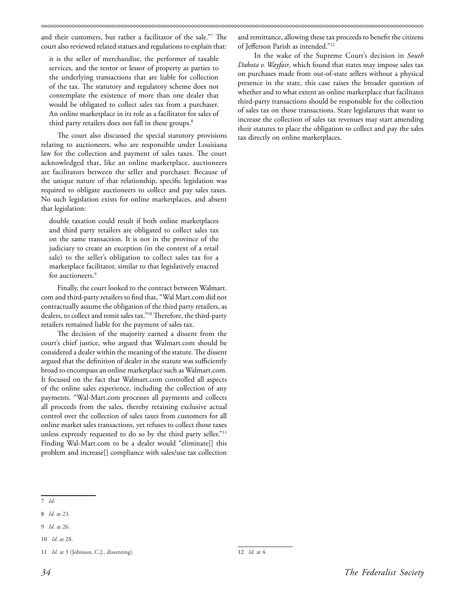and their customers, but rather a facilitator of the sale."7 The court also reviewed related statues and regulations to explain that:

it is the seller of merchandise, the performer of taxable services, and the rentor or lessor of property as parties to the underlying transactions that are liable for collection of the tax. The statutory and regulatory scheme does not contemplate the existence of more than one dealer that would be obligated to collect sales tax from a purchaser. An online marketplace in its role as a facilitator for sales of third party retailers does not fall in these groups.<sup>8</sup>

The court also discussed the special statutory provisions relating to auctioneers, who are responsible under Louisiana law for the collection and payment of sales taxes. The court acknowledged that, like an online marketplace, auctioneers are facilitators between the seller and purchaser. Because of the unique nature of that relationship, specific legislation was required to obligate auctioneers to collect and pay sales taxes. No such legislation exists for online marketplaces, and absent that legislation:

double taxation could result if both online marketplaces and third party retailers are obligated to collect sales tax on the same transaction. It is not in the province of the judiciary to create an exception (in the context of a retail sale) to the seller's obligation to collect sales tax for a marketplace facilitator, similar to that legislatively enacted for auctioneers.<sup>9</sup>

Finally, the court looked to the contract between Walmart. com and third-party retailers to find that, "Wal Mart.com did not contractually assume the obligation of the third party retailers, as dealers, to collect and remit sales tax."10 Therefore, the third-party retailers remained liable for the payment of sales tax.

The decision of the majority earned a dissent from the court's chief justice, who argued that Walmart.com should be considered a dealer within the meaning of the statute. The dissent argued that the definition of dealer in the statute was sufficiently broad to encompass an online marketplace such as Walmart.com. It focused on the fact that Walmart.com controlled all aspects of the online sales experience, including the collection of any payments. "Wal-Mart.com processes all payments and collects all proceeds from the sales, thereby retaining exclusive actual control over the collection of sales taxes from customers for all online market sales transactions, yet refuses to collect those taxes unless expressly requested to do so by the third party seller."11 Finding Wal-Mart.com to be a dealer would "eliminate[] this problem and increase[] compliance with sales/use tax collection and remittance, allowing these tax proceeds to benefit the citizens of Jefferson Parish as intended."12

In the wake of the Supreme Court's decision in *South Dakota v. Wayfair*, which found that states may impose sales tax on purchases made from out-of-state sellers without a physical presence in the state, this case raises the broader question of whether and to what extent an online marketplace that facilitates third-party transactions should be responsible for the collection of sales tax on those transactions. State legislatures that want to increase the collection of sales tax revenues may start amending their statutes to place the obligation to collect and pay the sales tax directly on online marketplaces.

<sup>7</sup> *Id.*

<sup>8</sup> *Id.* at 23.

<sup>9</sup> *Id.* at 26.

<sup>10</sup> *Id.* at 28.

<sup>11</sup> *Id.* at 3 (Johnson, C.J., dissenting).

<sup>12</sup> *Id.* at 4.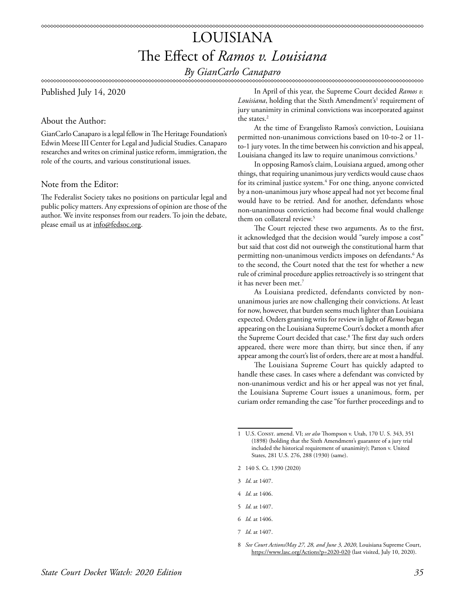### LOUISIANA The Effect of *Ramos v. Louisiana*

*By GianCarlo Canaparo*

Published July 14, 2020

#### About the Author:

GianCarlo Canaparo is a legal fellow in The Heritage Foundation's Edwin Meese III Center for Legal and Judicial Studies. Canaparo researches and writes on criminal justice reform, immigration, the role of the courts, and various constitutional issues.

#### Note from the Editor:

The Federalist Society takes no positions on particular legal and public policy matters. Any expressions of opinion are those of the author. We invite responses from our readers. To join the debate, please email us at info@fedsoc.org.

In April of this year, the Supreme Court decided *Ramos v.*  Louisiana, holding that the Sixth Amendment's<sup>1</sup> requirement of jury unanimity in criminal convictions was incorporated against the states.<sup>2</sup>

At the time of Evangelisto Ramos's conviction, Louisiana permitted non-unanimous convictions based on 10-to-2 or 11 to-1 jury votes. In the time between his conviction and his appeal, Louisiana changed its law to require unanimous convictions. $3$ 

In opposing Ramos's claim, Louisiana argued, among other things, that requiring unanimous jury verdicts would cause chaos for its criminal justice system.4 For one thing, anyone convicted by a non-unanimous jury whose appeal had not yet become final would have to be retried. And for another, defendants whose non-unanimous convictions had become final would challenge them on collateral review.<sup>5</sup>

The Court rejected these two arguments. As to the first, it acknowledged that the decision would "surely impose a cost" but said that cost did not outweigh the constitutional harm that permitting non-unanimous verdicts imposes on defendants.6 As to the second, the Court noted that the test for whether a new rule of criminal procedure applies retroactively is so stringent that it has never been met.<sup>7</sup>

As Louisiana predicted, defendants convicted by nonunanimous juries are now challenging their convictions. At least for now, however, that burden seems much lighter than Louisiana expected. Orders granting writs for review in light of *Ramos* began appearing on the Louisiana Supreme Court's docket a month after the Supreme Court decided that case.<sup>8</sup> The first day such orders appeared, there were more than thirty, but since then, if any appear among the court's list of orders, there are at most a handful.

The Louisiana Supreme Court has quickly adapted to handle these cases. In cases where a defendant was convicted by non-unanimous verdict and his or her appeal was not yet final, the Louisiana Supreme Court issues a unanimous, form, per curiam order remanding the case "for further proceedings and to

<sup>1</sup> U.S. Const. amend. VI; *see also* Thompson v. Utah, 170 U. S. 343, 351 (1898) (holding that the Sixth Amendment's guarantee of a jury trial included the historical requirement of unanimity); Patton v. United States, 281 U.S. 276, 288 (1930) (same).

<sup>2 140</sup> S. Ct. 1390 (2020)

<sup>3</sup> *Id*. at 1407.

<sup>4</sup> *Id*. at 1406.

<sup>5</sup> *Id*. at 1407.

<sup>6</sup> *Id.* at 1406.

<sup>7</sup> *Id*. at 1407.

<sup>8</sup> *See Court Actions/May 27, 28, and June 3, 2020*, Louisiana Supreme Court, <https://www.lasc.org/Actions?p=2020-020>(last visited, July 10, 2020).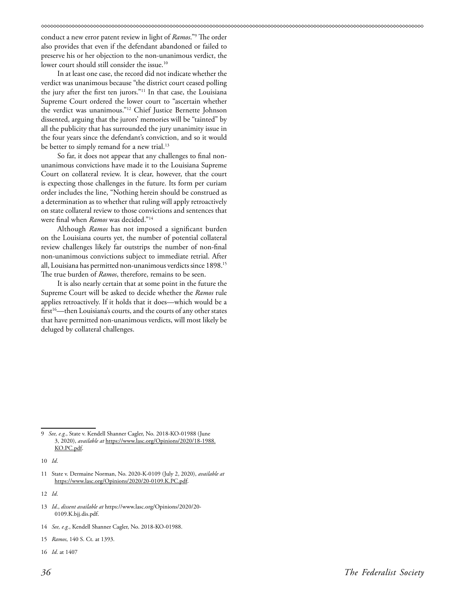conduct a new error patent review in light of *Ramos*."9 The order also provides that even if the defendant abandoned or failed to preserve his or her objection to the non-unanimous verdict, the lower court should still consider the issue.<sup>10</sup>

In at least one case, the record did not indicate whether the verdict was unanimous because "the district court ceased polling the jury after the first ten jurors."11 In that case, the Louisiana Supreme Court ordered the lower court to "ascertain whether the verdict was unanimous."12 Chief Justice Bernette Johnson dissented, arguing that the jurors' memories will be "tainted" by all the publicity that has surrounded the jury unanimity issue in the four years since the defendant's conviction, and so it would be better to simply remand for a new trial.<sup>13</sup>

So far, it does not appear that any challenges to final nonunanimous convictions have made it to the Louisiana Supreme Court on collateral review. It is clear, however, that the court is expecting those challenges in the future. Its form per curiam order includes the line, "Nothing herein should be construed as a determination as to whether that ruling will apply retroactively on state collateral review to those convictions and sentences that were final when *Ramos* was decided."14

Although *Ramos* has not imposed a significant burden on the Louisiana courts yet, the number of potential collateral review challenges likely far outstrips the number of non-final non-unanimous convictions subject to immediate retrial. After all, Louisiana has permitted non-unanimous verdicts since 1898.15 The true burden of *Ramos*, therefore, remains to be seen.

It is also nearly certain that at some point in the future the Supreme Court will be asked to decide whether the *Ramos* rule applies retroactively. If it holds that it does—which would be a first<sup>16</sup>—then Louisiana's courts, and the courts of any other states that have permitted non-unanimous verdicts, will most likely be deluged by collateral challenges.

- 13 *Id*., *dissent available at* https://www.lasc.org/Opinions/2020/20- 0109.K.bjj.dis.pdf.
- 14 *See, e.g.*, Kendell Shanner Cagler, No. 2018-KO-01988.
- 15 *Ramos*, 140 S. Ct. at 1393.
- 16 *Id*. at 1407

<sup>9</sup> *See, e.g.*, State v. Kendell Shanner Cagler, No. 2018-KO-01988 (June 3, 2020), *available at* [https://www.lasc.org/Opinions/2020/18-1988.](https://www.lasc.org/Opinions/2020/18-1988.KO.PC.pdf) [KO.PC.pdf.](https://www.lasc.org/Opinions/2020/18-1988.KO.PC.pdf)

<sup>10</sup> *Id*.

<sup>11</sup> State v. Dermaine Norman, No. 2020-K-0109 (July 2, 2020), *available at* [https://www.lasc.org/Opinions/2020/20-0109.K.PC.pdf.](https://www.lasc.org/Opinions/2020/20-0109.K.PC.pdf)

<sup>12</sup> *Id*.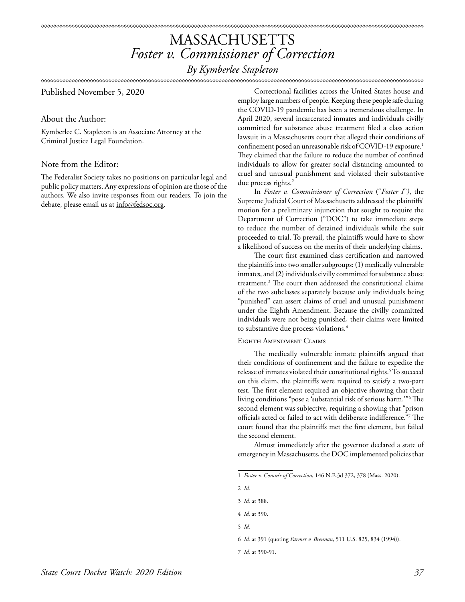## MASSACHUSETTS *Foster v. Commissioner of Correction By Kymberlee Stapleton*

Published November 5, 2020

About the Author:

Kymberlee C. Stapleton is an Associate Attorney at the Criminal Justice Legal Foundation.

### Note from the Editor:

The Federalist Society takes no positions on particular legal and public policy matters. Any expressions of opinion are those of the authors. We also invite responses from our readers. To join the debate, please email us at info@fedsoc.org.

Correctional facilities across the United States house and employ large numbers of people. Keeping these people safe during the COVID-19 pandemic has been a tremendous challenge. In April 2020, several incarcerated inmates and individuals civilly committed for substance abuse treatment filed a class action lawsuit in a Massachusetts court that alleged their conditions of confinement posed an unreasonable risk of COVID-19 exposure.<sup>1</sup> They claimed that the failure to reduce the number of confined individuals to allow for greater social distancing amounted to cruel and unusual punishment and violated their substantive due process rights.<sup>2</sup>

In *Foster v. Commissioner of Correction* ("*Foster I*"*)*, the Supreme Judicial Court of Massachusetts addressed the plaintiffs' motion for a preliminary injunction that sought to require the Department of Correction ("DOC") to take immediate steps to reduce the number of detained individuals while the suit proceeded to trial. To prevail, the plaintiffs would have to show a likelihood of success on the merits of their underlying claims.

The court first examined class certification and narrowed the plaintiffs into two smaller subgroups: (1) medically vulnerable inmates, and (2) individuals civilly committed for substance abuse treatment.3 The court then addressed the constitutional claims of the two subclasses separately because only individuals being "punished" can assert claims of cruel and unusual punishment under the Eighth Amendment. Because the civilly committed individuals were not being punished, their claims were limited to substantive due process violations.4

### Eighth Amendment Claims

The medically vulnerable inmate plaintiffs argued that their conditions of confinement and the failure to expedite the release of inmates violated their constitutional rights.<sup>5</sup> To succeed on this claim, the plaintiffs were required to satisfy a two-part test. The first element required an objective showing that their living conditions "pose a 'substantial risk of serious harm.'"6 The second element was subjective, requiring a showing that "prison officials acted or failed to act with deliberate indifference."7 The court found that the plaintiffs met the first element, but failed the second element.

Almost immediately after the governor declared a state of emergency in Massachusetts, the DOC implemented policies that

2 *Id.*

<sup>1</sup> *Foster v. Comm'r of Correction*, 146 N.E.3d 372, 378 (Mass. 2020).

<sup>3</sup> *Id.* at 388.

<sup>4</sup> *Id.* at 390.

<sup>5</sup> *Id.*

<sup>6</sup> *Id.* at 391 (quoting *Farmer v. Brennan*, 511 U.S. 825, 834 (1994)).

<sup>7</sup> *Id.* at 390-91.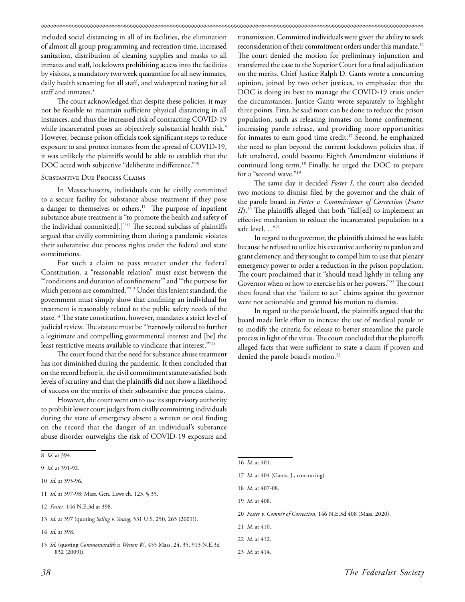included social distancing in all of its facilities, the elimination of almost all group programming and recreation time, increased sanitation, distribution of cleaning supplies and masks to all inmates and staff, lockdowns prohibiting access into the facilities by visitors, a mandatory two week quarantine for all new inmates, daily health screening for all staff, and widespread testing for all staff and inmates.<sup>8</sup>

The court acknowledged that despite these policies, it may not be feasible to maintain sufficient physical distancing in all instances, and thus the increased risk of contracting COVID-19 while incarcerated poses an objectively substantial health risk.<sup>9</sup> However, because prison officials took significant steps to reduce exposure to and protect inmates from the spread of COVID-19, it was unlikely the plaintiffs would be able to establish that the DOC acted with subjective "deliberate indifference."<sup>10</sup>

### Substantive Due Process Claims

In Massachusetts, individuals can be civilly committed to a secure facility for substance abuse treatment if they pose a danger to themselves or others.<sup>11</sup> The purpose of inpatient substance abuse treatment is "to promote the health and safety of the individual committed[.]"12 The second subclass of plaintiffs argued that civilly committing them during a pandemic violates their substantive due process rights under the federal and state constitutions.

For such a claim to pass muster under the federal Constitution, a "reasonable relation" must exist between the "'conditions and duration of confinement'" and "'the purpose for which persons are committed.'"13 Under this lenient standard, the government must simply show that confining an individual for treatment is reasonably related to the public safety needs of the state.14 The state constitution, however, mandates a strict level of judicial review. The statute must be "'narrowly tailored to further a legitimate and compelling governmental interest and [be] the least restrictive means available to vindicate that interest.'"15

The court found that the need for substance abuse treatment has not diminished during the pandemic. It then concluded that on the record before it, the civil commitment statute satisfied both levels of scrutiny and that the plaintiffs did not show a likelihood of success on the merits of their substantive due process claims.

However, the court went on to use its supervisory authority to prohibit lower court judges from civilly committing individuals during the state of emergency absent a written or oral finding on the record that the danger of an individual's substance abuse disorder outweighs the risk of COVID-19 exposure and

- 10 *Id.* at 395-96.
- 11 *Id.* at 397-98; Mass. Gen. Laws ch. 123, § 35.
- 12 *Foster*, 146 N.E.3d at 398.
- 13 *Id.* at 397 (quoting *Seling v. Young*, 531 U.S. 250, 265 (2001)).
- 14 *Id.* at 398.
- 15 *Id.* (quoting *Commonwealth v. Weston W.*, 455 Mass. 24, 35, 913 N.E.3d 832 (2009)).

transmission. Committed individuals were given the ability to seek reconsideration of their commitment orders under this mandate.16 The court denied the motion for preliminary injunction and transferred the case to the Superior Court for a final adjudication on the merits. Chief Justice Ralph D. Gants wrote a concurring opinion, joined by two other justices, to emphasize that the DOC is doing its best to manage the COVID-19 crisis under the circumstances. Justice Gants wrote separately to highlight three points. First, he said more can be done to reduce the prison population, such as releasing inmates on home confinement, increasing parole release, and providing more opportunities for inmates to earn good time credit.<sup>17</sup> Second, he emphasized the need to plan beyond the current lockdown policies that, if left unaltered, could become Eighth Amendment violations if continued long term.18 Finally, he urged the DOC to prepare for a "second wave."19

The same day it decided *Foster I*, the court also decided two motions to dismiss filed by the governor and the chair of the parole board in *Foster v. Commissioner of Correction* (*Foster II*).<sup>20</sup> The plaintiffs alleged that both "fail[ed] to implement an effective mechanism to reduce the incarcerated population to a safe level. . ."<sup>21</sup>

In regard to the governor, the plaintiffs claimed he was liable because he refused to utilize his executive authority to pardon and grant clemency, and they sought to compel him to use that plenary emergency power to order a reduction in the prison population. The court proclaimed that it "should tread lightly in telling any Governor when or how to exercise his or her powers."22 The court then found that the "failure to act" claims against the governor were not actionable and granted his motion to dismiss.

In regard to the parole board, the plaintiffs argued that the board made little effort to increase the use of medical parole or to modify the criteria for release to better streamline the parole process in light of the virus. The court concluded that the plaintiffs alleged facts that were sufficient to state a claim if proven and denied the parole board's motion.<sup>23</sup>

17 *Id.* at 404 (Gants, J., concurring).

- 19 *Id.* at 408.
- 20 *Foster v. Comm'r of Correction*, 146 N.E.3d 408 (Mass. 2020).
- 21 *Id.* at 410.
- 22 *Id.* at 412.
- 23 *Id.* at 414.

<sup>8</sup> *Id.* at 394.

<sup>9</sup> *Id.* at 391-92.

<sup>16</sup> *Id.* at 401.

<sup>18</sup> *Id.* at 407-08.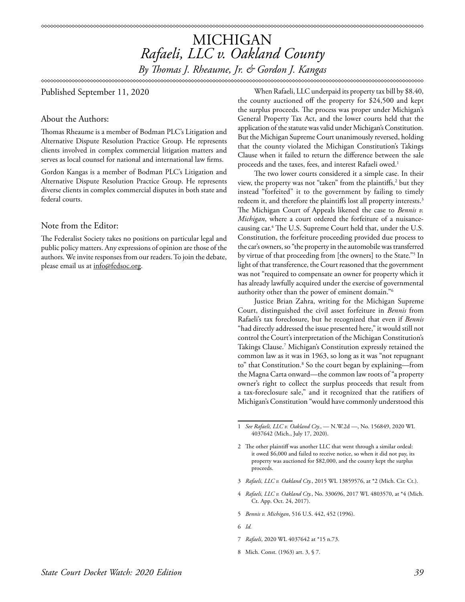## MICHIGAN *Rafaeli, LLC v. Oakland County By Thomas J. Rheaume, Jr. & Gordon J. Kangas*

Published September 11, 2020

### About the Authors:

Thomas Rheaume is a member of Bodman PLC's Litigation and Alternative Dispute Resolution Practice Group. He represents clients involved in complex commercial litigation matters and serves as local counsel for national and international law firms.

Gordon Kangas is a member of Bodman PLC's Litigation and Alternative Dispute Resolution Practice Group. He represents diverse clients in complex commercial disputes in both state and federal courts.

### Note from the Editor:

The Federalist Society takes no positions on particular legal and public policy matters. Any expressions of opinion are those of the authors. We invite responses from our readers. To join the debate, please email us at info@fedsoc.org.

When Rafaeli, LLC underpaid its property tax bill by \$8.40, the county auctioned off the property for \$24,500 and kept the surplus proceeds. The process was proper under Michigan's General Property Tax Act, and the lower courts held that the application of the statute was valid under Michigan's Constitution. But the Michigan Supreme Court unanimously reversed, holding that the county violated the Michigan Constitution's Takings Clause when it failed to return the difference between the sale proceeds and the taxes, fees, and interest Rafaeli owed.<sup>1</sup>

The two lower courts considered it a simple case. In their view, the property was not "taken" from the plaintiffs,<sup>2</sup> but they instead "forfeited" it to the government by failing to timely redeem it, and therefore the plaintiffs lost all property interests.<sup>3</sup> The Michigan Court of Appeals likened the case to *Bennis v. Michigan*, where a court ordered the forfeiture of a nuisancecausing car.4 The U.S. Supreme Court held that, under the U.S. Constitution, the forfeiture proceeding provided due process to the car's owners, so "the property in the automobile was transferred by virtue of that proceeding from [the owners] to the State."5 In light of that transference, the Court reasoned that the government was not "required to compensate an owner for property which it has already lawfully acquired under the exercise of governmental authority other than the power of eminent domain."6

Justice Brian Zahra, writing for the Michigan Supreme Court, distinguished the civil asset forfeiture in *Bennis* from Rafaeli's tax foreclosure, but he recognized that even if *Bennis* "had directly addressed the issue presented here," it would still not control the Court's interpretation of the Michigan Constitution's Takings Clause.7 Michigan's Constitution expressly retained the common law as it was in 1963, so long as it was "not repugnant to" that Constitution.8 So the court began by explaining—from the Magna Carta onward—the common law roots of "a property owner's right to collect the surplus proceeds that result from a tax-foreclosure sale," and it recognized that the ratifiers of Michigan's Constitution "would have commonly understood this

- 3 *Rafaeli, LLC v. Oakland Cty.*, 2015 WL 13859576, at \*2 (Mich. Cir. Ct.).
- 4 *Rafaeli, LLC v. Oakland Cty.*, No. 330696, 2017 WL 4803570, at \*4 (Mich. Ct. App. Oct. 24, 2017).
- 5 *Bennis v. Michigan*, 516 U.S. 442, 452 (1996).
- 6 *Id.*
- 7 *Rafaeli*, 2020 WL 4037642 at \*15 n.73.
- 8 Mich. Const. (1963) art. 3, § 7.

<sup>1</sup> *See Rafaeli, LLC v. Oakland Cty.*, — N.W.2d —, No. 156849, 2020 WL 4037642 (Mich., July 17, 2020).

<sup>2</sup> The other plaintiff was another LLC that went through a similar ordeal: it owed \$6,000 and failed to receive notice, so when it did not pay, its property was auctioned for \$82,000, and the county kept the surplus proceeds.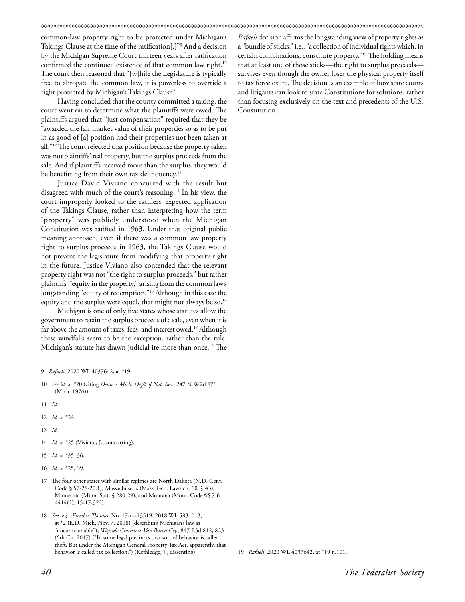common-law property right to be protected under Michigan's Takings Clause at the time of the ratification[.]"9 And a decision by the Michigan Supreme Court thirteen years after ratification confirmed the continued existence of that common law right.<sup>10</sup> The court then reasoned that "[w]hile the Legislature is typically free to abrogate the common law, it is powerless to override a right protected by Michigan's Takings Clause."11

Having concluded that the county committed a taking, the court went on to determine what the plaintiffs were owed. The plaintiffs argued that "just compensation" required that they be "awarded the fair market value of their properties so as to be put in as good of [a] position had their properties not been taken at all."12 The court rejected that position because the property taken was not plaintiffs' real property, but the surplus proceeds from the sale. And if plaintiffs received more than the surplus, they would be benefitting from their own tax delinquency.<sup>13</sup>

Justice David Viviano concurred with the result but disagreed with much of the court's reasoning.<sup>14</sup> In his view, the court improperly looked to the ratifiers' expected application of the Takings Clause, rather than interpreting how the term "property" was publicly understood when the Michigan Constitution was ratified in 1963. Under that original public meaning approach, even if there was a common law property right to surplus proceeds in 1963, the Takings Clause would not prevent the legislature from modifying that property right in the future. Justice Viviano also contended that the relevant property right was not "the right to surplus proceeds," but rather plaintiffs' "equity in the property," arising from the common law's longstanding "equity of redemption."15 Although in this case the equity and the surplus were equal, that might not always be so.<sup>16</sup>

Michigan is one of only five states whose statutes allow the government to retain the surplus proceeds of a sale, even when it is far above the amount of taxes, fees, and interest owed.<sup>17</sup> Although these windfalls seem to be the exception, rather than the rule, Michigan's statute has drawn judicial ire more than once.<sup>18</sup> The

- 10 *See id.* at \*20 (citing *Dean v. Mich. Dep't of Nat. Res.*, 247 N.W.2d 876 (Mich. 1976)).
- 11 *Id*.
- 12 *Id.* at \*24.
- 13 *Id.*
- 14 *Id.* at \*25 (Viviano, J., concurring).
- 15 *Id.* at \*35–36.
- 16 *Id.* at \*25, 39.
- 17 The four other states with similar regimes are North Dakota (N.D. Cent. Code § 57-28-20.1), Massachusetts (Mass. Gen. Laws ch. 60, § 43), Minnesota (Minn. Stat. § 280-29), and Montana (Mont. Code §§ 7-6- 4414(2), 15-17-322).
- 18 *See, e.g.*, *Freed v. Thomas*, No. 17-cv-13519, 2018 WL 5831013, at \*2 (E.D. Mich. Nov. 7, 2018) (describing Michigan's law as "unconscionable"); *Wayside Church v. Van Buren Cty.*, 847 F.3d 812, 823 (6th Cir. 2017) ("In some legal precincts that sort of behavior is called theft. But under the Michigan General Property Tax Act, apparently, that behavior is called tax collection.") (Kethledge, J., dissenting).

*Rafaeli* decision affirms the longstanding view of property rights as a "bundle of sticks," i.e., "a collection of individual rights which, in certain combinations, constitute property."19 The holding means that at least one of those sticks—the right to surplus proceeds survives even though the owner loses the physical property itself to tax foreclosure. The decision is an example of how state courts and litigants can look to state Constitutions for solutions, rather than focusing exclusively on the text and precedents of the U.S. Constitution.

<sup>9</sup> *Rafaeli*, 2020 WL 4037642, at \*19.

<sup>19</sup> *Rafaeli*, 2020 WL 4037642, at \*19 n.101.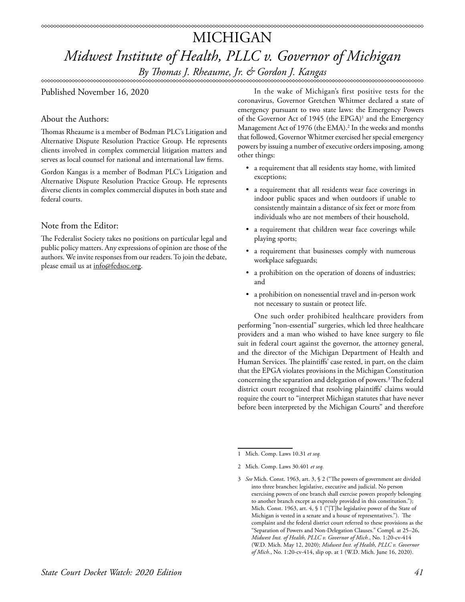# MICHIGAN *Midwest Institute of Health, PLLC v. Governor of Michigan*

*By Thomas J. Rheaume, Jr. & Gordon J. Kangas*

Published November 16, 2020

### About the Authors:

Thomas Rheaume is a member of Bodman PLC's Litigation and Alternative Dispute Resolution Practice Group. He represents clients involved in complex commercial litigation matters and serves as local counsel for national and international law firms.

Gordon Kangas is a member of Bodman PLC's Litigation and Alternative Dispute Resolution Practice Group. He represents diverse clients in complex commercial disputes in both state and federal courts.

### Note from the Editor:

The Federalist Society takes no positions on particular legal and public policy matters. Any expressions of opinion are those of the authors. We invite responses from our readers. To join the debate, please email us at info@fedsoc.org.

In the wake of Michigan's first positive tests for the coronavirus, Governor Gretchen Whitmer declared a state of emergency pursuant to two state laws: the Emergency Powers of the Governor Act of 1945 (the EPGA)<sup>1</sup> and the Emergency Management Act of 1976 (the EMA).<sup>2</sup> In the weeks and months that followed, Governor Whitmer exercised her special emergency powers by issuing a number of executive orders imposing, among other things:

- a requirement that all residents stay home, with limited exceptions;
- a requirement that all residents wear face coverings in indoor public spaces and when outdoors if unable to consistently maintain a distance of six feet or more from individuals who are not members of their household,
- a requirement that children wear face coverings while playing sports;
- a requirement that businesses comply with numerous workplace safeguards;
- a prohibition on the operation of dozens of industries; and
- a prohibition on nonessential travel and in-person work not necessary to sustain or protect life.

One such order prohibited healthcare providers from performing "non-essential" surgeries, which led three healthcare providers and a man who wished to have knee surgery to file suit in federal court against the governor, the attorney general, and the director of the Michigan Department of Health and Human Services. The plaintiffs' case rested, in part, on the claim that the EPGA violates provisions in the Michigan Constitution concerning the separation and delegation of powers.<sup>3</sup> The federal district court recognized that resolving plaintiffs' claims would require the court to "interpret Michigan statutes that have never before been interpreted by the Michigan Courts" and therefore

<sup>1</sup> Mich. Comp. Laws 10.31 *et seq.*

<sup>2</sup> Mich. Comp. Laws 30.401 *et seq.*

<sup>3</sup> *See* Mich. Const. 1963, art. 3, § 2 ("The powers of government are divided into three branches: legislative, executive and judicial. No person exercising powers of one branch shall exercise powers properly belonging to another branch except as expressly provided in this constitution."); Mich. Const. 1963, art. 4, § 1 ("[T]he legislative power of the State of Michigan is vested in a senate and a house of representatives."). The complaint and the federal district court referred to these provisions as the "Separation of Powers and Non-Delegation Clauses." Compl. at 25–26, *Midwest Inst. of Health, PLLC v. Governor of Mich.*, No. 1:20-cv-414 (W.D. Mich. May 12, 2020); *Midwest Inst. of Health, PLLC v. Governor of Mich.*, No. 1:20-cv-414, slip op. at 1 (W.D. Mich. June 16, 2020).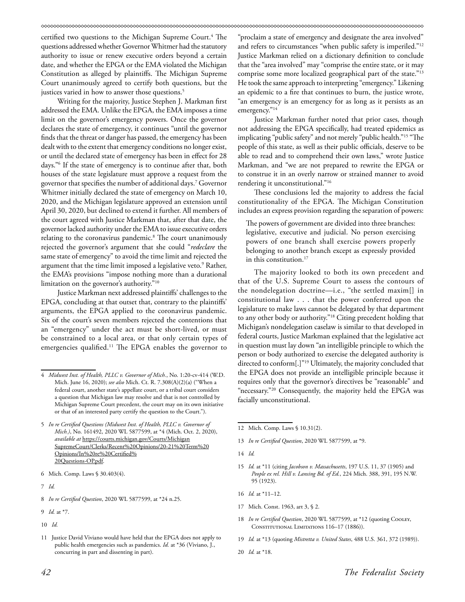certified two questions to the Michigan Supreme Court.<sup>4</sup> The questions addressed whether Governor Whitmer had the statutory authority to issue or renew executive orders beyond a certain date, and whether the EPGA or the EMA violated the Michigan Constitution as alleged by plaintiffs. The Michigan Supreme Court unanimously agreed to certify both questions, but the justices varied in how to answer those questions.<sup>5</sup>

Writing for the majority, Justice Stephen J. Markman first addressed the EMA. Unlike the EPGA, the EMA imposes a time limit on the governor's emergency powers. Once the governor declares the state of emergency, it continues "until the governor finds that the threat or danger has passed, the emergency has been dealt with to the extent that emergency conditions no longer exist, or until the declared state of emergency has been in effect for 28 days."6 If the state of emergency is to continue after that, both houses of the state legislature must approve a request from the governor that specifies the number of additional days.7 Governor Whitmer initially declared the state of emergency on March 10, 2020, and the Michigan legislature approved an extension until April 30, 2020, but declined to extend it further. All members of the court agreed with Justice Markman that, after that date, the governor lacked authority under the EMA to issue executive orders relating to the coronavirus pandemic.8 The court unanimously rejected the governor's argument that she could "*redeclare* the same state of emergency" to avoid the time limit and rejected the argument that the time limit imposed a legislative veto.<sup>9</sup> Rather, the EMA's provisions "impose nothing more than a durational limitation on the governor's authority."10

Justice Markman next addressed plaintiffs' challenges to the EPGA, concluding at that outset that, contrary to the plaintiffs' arguments, the EPGA applied to the coronavirus pandemic. Six of the court's seven members rejected the contentions that an "emergency" under the act must be short-lived, or must be constrained to a local area, or that only certain types of emergencies qualified.<sup>11</sup> The EPGA enables the governor to

- 5 *In re Certified Questions (Midwest Inst. of Health, PLLC v. Governor of Mich.)*, No. 161492, 2020 WL 5877599, at \*4 (Mich. Oct. 2, 2020), *available at* https://courts.michigan.gov/Courts/Michigan SupremeCourt/Clerks/Recent%20Opinions/20-21%20Term%20 Opinions/In%20re%20Certified% 20Questions-OP.pdf.
- 6 Mich. Comp. Laws § 30.403(4).
- 7 *Id.*
- 8 *In re Certified Question*, 2020 WL 5877599, at \*24 n.25.
- 9 *Id.* at \*7.
- 10 *Id.*

"proclaim a state of emergency and designate the area involved" and refers to circumstances "when public safety is imperiled."12 Justice Markman relied on a dictionary definition to conclude that the "area involved" may "comprise the entire state, or it may comprise some more localized geographical part of the state."<sup>13</sup> He took the same approach to interpreting "emergency." Likening an epidemic to a fire that continues to burn, the justice wrote, "an emergency is an emergency for as long as it persists as an emergency."<sup>14</sup>

Justice Markman further noted that prior cases, though not addressing the EPGA specifically, had treated epidemics as implicating "public safety" and not merely "public health."15 "The people of this state, as well as their public officials, deserve to be able to read and to comprehend their own laws," wrote Justice Markman, and "we are not prepared to rewrite the EPGA or to construe it in an overly narrow or strained manner to avoid rendering it unconstitutional."16

These conclusions led the majority to address the facial constitutionality of the EPGA. The Michigan Constitution includes an express provision regarding the separation of powers:

The powers of government are divided into three branches: legislative, executive and judicial. No person exercising powers of one branch shall exercise powers properly belonging to another branch except as expressly provided in this constitution.<sup>17</sup>

The majority looked to both its own precedent and that of the U.S. Supreme Court to assess the contours of the nondelegation doctrine—i.e., "the settled maxim[] in constitutional law . . . that the power conferred upon the legislature to make laws cannot be delegated by that department to any other body or authority."18 Citing precedent holding that Michigan's nondelegation caselaw is similar to that developed in federal courts, Justice Markman explained that the legislative act in question must lay down "an intelligible principle to which the person or body authorized to exercise the delegated authority is directed to conform[.]"<sup>19</sup> Ultimately, the majority concluded that the EPGA does not provide an intelligible principle because it requires only that the governor's directives be "reasonable" and "necessary."20 Consequently, the majority held the EPGA was facially unconstitutional.

- 12 Mich. Comp. Laws § 10.31(2).
- 13 *In re Certified Question*, 2020 WL 5877599, at \*9.
- 14 *Id.*

- 16 *Id.* at \*11–12.
- 17 Mich. Const. 1963, art 3, § 2.
- 18 *In re Certified Question*, 2020 WL 5877599, at \*12 (quoting Cooley, CONSTITUTIONAL LIMITATIONS 116-17 (1886)).
- 19 *Id.* at \*13 (quoting *Mistretta v. United States*, 488 U.S. 361, 372 (1989)).
- 20 *Id.* at \*18.

<sup>4</sup> *Midwest Inst. of Health, PLLC v. Governor of Mich.*, No. 1:20-cv-414 (W.D. Mich. June 16, 2020); *see also* Mich. Ct. R. 7.308(A)(2)(a) ("When a federal court, another state's appellate court, or a tribal court considers a question that Michigan law may resolve and that is not controlled by Michigan Supreme Court precedent, the court may on its own initiative or that of an interested party certify the question to the Court.").

<sup>11</sup> Justice David Viviano would have held that the EPGA does not apply to public health emergencies such as pandemics. *Id.* at \*36 (Viviano, J., concurring in part and dissenting in part).

<sup>15</sup> *Id.* at \*11 (citing *Jacobson v. Massachusetts*, 197 U.S. 11, 37 (1905) and *People ex rel. Hill v. Lansing Bd. of Ed.*, 224 Mich. 388, 391, 195 N.W. 95 (1923).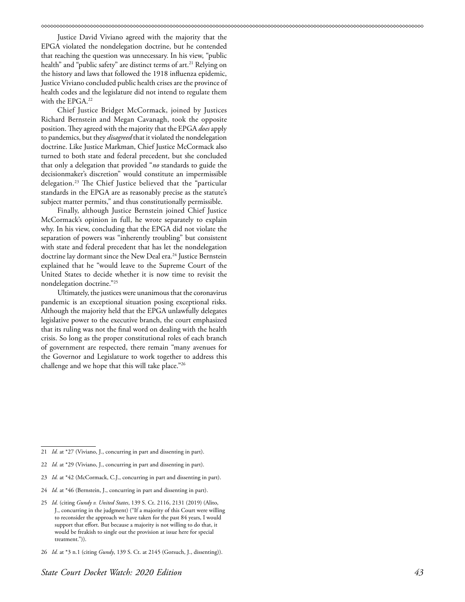Justice David Viviano agreed with the majority that the EPGA violated the nondelegation doctrine, but he contended that reaching the question was unnecessary. In his view, "public health" and "public safety" are distinct terms of art.<sup>21</sup> Relying on the history and laws that followed the 1918 influenza epidemic, Justice Viviano concluded public health crises are the province of health codes and the legislature did not intend to regulate them with the EPGA.22

Chief Justice Bridget McCormack, joined by Justices Richard Bernstein and Megan Cavanagh, took the opposite position. They agreed with the majority that the EPGA *does* apply to pandemics, but they *disagreed* that it violated the nondelegation doctrine. Like Justice Markman, Chief Justice McCormack also turned to both state and federal precedent, but she concluded that only a delegation that provided "*no* standards to guide the decisionmaker's discretion" would constitute an impermissible delegation.23 The Chief Justice believed that the "particular standards in the EPGA are as reasonably precise as the statute's subject matter permits," and thus constitutionally permissible.

Finally, although Justice Bernstein joined Chief Justice McCormack's opinion in full, he wrote separately to explain why. In his view, concluding that the EPGA did not violate the separation of powers was "inherently troubling" but consistent with state and federal precedent that has let the nondelegation doctrine lay dormant since the New Deal era.<sup>24</sup> Justice Bernstein explained that he "would leave to the Supreme Court of the United States to decide whether it is now time to revisit the nondelegation doctrine."25

Ultimately, the justices were unanimous that the coronavirus pandemic is an exceptional situation posing exceptional risks. Although the majority held that the EPGA unlawfully delegates legislative power to the executive branch, the court emphasized that its ruling was not the final word on dealing with the health crisis. So long as the proper constitutional roles of each branch of government are respected, there remain "many avenues for the Governor and Legislature to work together to address this challenge and we hope that this will take place."26

- 21 *Id.* at \*27 (Viviano, J., concurring in part and dissenting in part).
- 22 *Id.* at \*29 (Viviano, J., concurring in part and dissenting in part).
- 23 *Id.* at \*42 (McCormack, C.J., concurring in part and dissenting in part).
- 24 *Id.* at \*46 (Bernstein, J., concurring in part and dissenting in part).

26 *Id.* at \*3 n.1 (citing *Gundy*, 139 S. Ct. at 2145 (Gorsuch, J., dissenting)).

<sup>25</sup> *Id.* (citing *Gundy v. United States*, 139 S. Ct. 2116, 2131 (2019) (Alito, J., concurring in the judgment) ("If a majority of this Court were willing to reconsider the approach we have taken for the past 84 years, I would support that effort. But because a majority is not willing to do that, it would be freakish to single out the provision at issue here for special treatment.")).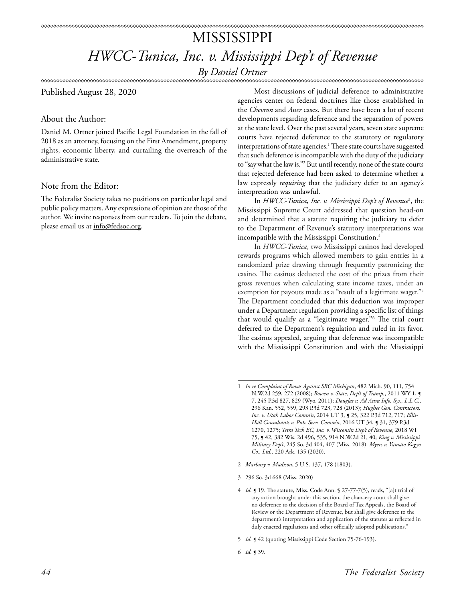### MISSISSIPPI *HWCC-Tunica, Inc. v. Mississippi Dep't of Revenue By Daniel Ortner*\*\*\*\*\*\*\*\*\*\*\*\*\*\*\*\*\*\*\*\*\*\*\*\*\*\*\* ∞∞∞∞∞∞∞∞∞∞∞∞∞∞∞∞∞∞∞∞∞∞∞∞∞∞∞∞

## Published August 28, 2020

### About the Author:

Daniel M. Ortner joined Pacific Legal Foundation in the fall of 2018 as an attorney, focusing on the First Amendment, property rights, economic liberty, and curtailing the overreach of the administrative state.

### Note from the Editor:

The Federalist Society takes no positions on particular legal and public policy matters. Any expressions of opinion are those of the author. We invite responses from our readers. To join the debate, please email us at info@fedsoc.org.

Most discussions of judicial deference to administrative agencies center on federal doctrines like those established in the *Chevron* and *Auer* cases. But there have been a lot of recent developments regarding deference and the separation of powers at the state level. Over the past several years, seven state supreme courts have rejected deference to the statutory or regulatory interpretations of state agencies.<sup>1</sup> These state courts have suggested that such deference is incompatible with the duty of the judiciary to "say what the law is."2 But until recently, none of the state courts that rejected deference had been asked to determine whether a law expressly *requiring* that the judiciary defer to an agency's interpretation was unlawful.

In *HWCC-Tunica, Inc. v. Mississippi Dep't of Revenue*<sup>3</sup> , the Mississippi Supreme Court addressed that question head-on and determined that a statute requiring the judiciary to defer to the Department of Revenue's statutory interpretations was incompatible with the Mississippi Constitution.4

In *HWCC-Tunica*, two Mississippi casinos had developed rewards programs which allowed members to gain entries in a randomized prize drawing through frequently patronizing the casino. The casinos deducted the cost of the prizes from their gross revenues when calculating state income taxes, under an exemption for payouts made as a "result of a legitimate wager."5 The Department concluded that this deduction was improper under a Department regulation providing a specific list of things that would qualify as a "legitimate wager."6 The trial court deferred to the Department's regulation and ruled in its favor. The casinos appealed, arguing that deference was incompatible with the Mississippi Constitution and with the Mississippi

- 2 *Marbury v. Madison*, 5 U.S. 137, 178 (1803).
- 3 296 So. 3d 668 (Miss. 2020)

5 *Id.* ¶ 42 (quoting Mississippi Code Section 75-76-193).

<sup>1</sup> *In re Complaint of Rovas Against SBC Michigan*, 482 Mich. 90, 111, 754 N.W.2d 259, 272 (2008); *Bowen v. State, Dep't of Transp.*, 2011 WY 1, ¶ 7, 245 P.3d 827, 829 (Wyo. 2011); *Douglas v. Ad Astra Info. Sys., L.L.C.*, 296 Kan. 552, 559, 293 P.3d 723, 728 (2013); *Hughes Gen. Contractors, Inc. v. Utah Labor Comm'n*, 2014 UT 3, ¶ 25, 322 P.3d 712, 717; *Ellis-Hall Consultants v. Pub. Serv. Comm'n*, 2016 UT 34, ¶ 31, 379 P.3d 1270, 1275; *Tetra Tech EC, Inc. v. Wisconsin Dep't of Revenue*, 2018 WI 75, ¶ 42, 382 Wis. 2d 496, 535, 914 N.W.2d 21, 40; *King v. Mississippi Military Dep't*, 245 So. 3d 404, 407 (Miss. 2018). *Myers v. Yamato Kogyo Co., Ltd.*, 220 Ark. 135 (2020).

<sup>4</sup> *Id.* ¶ 19. The statute, Miss. Code Ann. § 27-77-7(5), reads, "[a]t trial of any action brought under this section, the chancery court shall give no deference to the decision of the Board of Tax Appeals, the Board of Review or the Department of Revenue, but shall give deference to the department's interpretation and application of the statutes as reflected in duly enacted regulations and other officially adopted publications."

<sup>6</sup> *Id.* ¶ 39.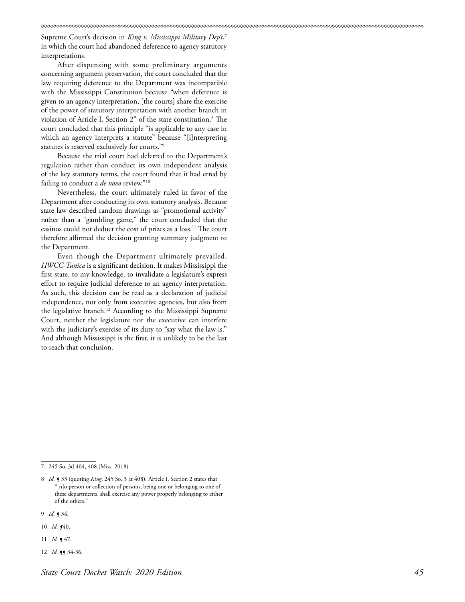Supreme Court's decision in *King v. Mississippi Military Dep't*, 7 in which the court had abandoned deference to agency statutory interpretations.

After dispensing with some preliminary arguments concerning argument preservation, the court concluded that the law requiring deference to the Department was incompatible with the Mississippi Constitution because "when deference is given to an agency interpretation, [the courts] share the exercise of the power of statutory interpretation with another branch in violation of Article I, Section 2" of the state constitution.8 The court concluded that this principle "is applicable to any case in which an agency interprets a statute" because "[i]nterpreting statutes is reserved exclusively for courts."9

Because the trial court had deferred to the Department's regulation rather than conduct its own independent analysis of the key statutory terms, the court found that it had erred by failing to conduct a *de novo* review."<sup>10</sup>

Nevertheless, the court ultimately ruled in favor of the Department after conducting its own statutory analysis. Because state law described random drawings as "promotional activity" rather than a "gambling game," the court concluded that the casinos could not deduct the cost of prizes as a loss.11 The court therefore affirmed the decision granting summary judgment to the Department.

Even though the Department ultimately prevailed, *HWCC-Tunica* is a significant decision. It makes Mississippi the first state, to my knowledge, to invalidate a legislature's express effort to require judicial deference to an agency interpretation. As such, this decision can be read as a declaration of judicial independence, not only from executive agencies, but also from the legislative branch.<sup>12</sup> According to the Mississippi Supreme Court, neither the legislature nor the executive can interfere with the judiciary's exercise of its duty to "say what the law is." And although Mississippi is the first, it is unlikely to be the last to reach that conclusion.

- 10 *Id. ¶*40.
- 11 *Id.*  $\leq 47$ .

<sup>7</sup> 245 So. 3d 404, 408 (Miss. 2018)

<sup>8</sup> *Id.* ¶ 33 (quoting *King*, 245 So. 3 at 408). Article I, Section 2 states that "[n]o person or collection of persons, being one or belonging to one of these departments, shall exercise any power properly belonging to either of the others."

<sup>9</sup> *Id.* ¶ 34.

<sup>12</sup> *Id.* **[**¶ 34-36.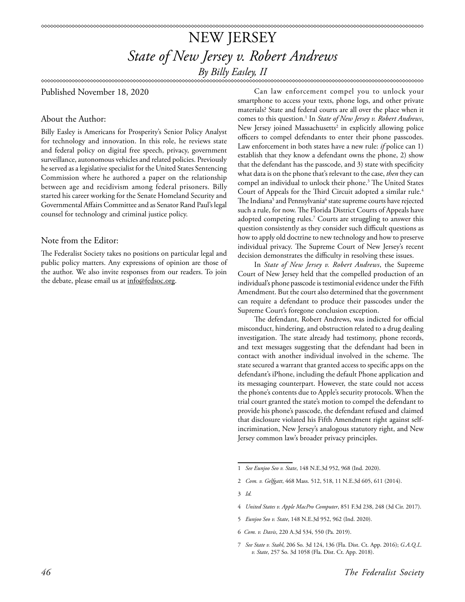# NEW JERSEY *State of New Jersey v. Robert Andrews By Billy Easley, II*

xxxxxxxxxxxxxxxxxxxxxxxxxxxxxxxxxxxx

Published November 18, 2020

### About the Author:

Billy Easley is Americans for Prosperity's Senior Policy Analyst for technology and innovation. In this role, he reviews state and federal policy on digital free speech, privacy, government surveillance, autonomous vehicles and related policies. Previously he served as a legislative specialist for the United States Sentencing Commission where he authored a paper on the relationship between age and recidivism among federal prisoners. Billy started his career working for the Senate Homeland Security and Governmental Affairs Committee and as Senator Rand Paul's legal counsel for technology and criminal justice policy.

### Note from the Editor:

The Federalist Society takes no positions on particular legal and public policy matters. Any expressions of opinion are those of the author. We also invite responses from our readers. To join the debate, please email us at info@fedsoc.org.

Can law enforcement compel you to unlock your smartphone to access your texts, phone logs, and other private materials? State and federal courts are all over the place when it comes to this question.1 In *State of New Jersey v. Robert Andrews*, New Jersey joined Massachusetts<sup>2</sup> in explicitly allowing police officers to compel defendants to enter their phone passcodes. Law enforcement in both states have a new rule: *if* police can 1) establish that they know a defendant owns the phone, 2) show that the defendant has the passcode, and 3) state with specificity what data is on the phone that's relevant to the case, *then* they can compel an individual to unlock their phone.3 The United States Court of Appeals for the Third Circuit adopted a similar rule.<sup>4</sup> The Indiana<sup>5</sup> and Pennsylvania<sup>6</sup> state supreme courts have rejected such a rule, for now. The Florida District Courts of Appeals have adopted competing rules.7 Courts are struggling to answer this question consistently as they consider such difficult questions as how to apply old doctrine to new technology and how to preserve individual privacy. The Supreme Court of New Jersey's recent decision demonstrates the difficulty in resolving these issues.

In *State of New Jersey v. Robert Andrews*, the Supreme Court of New Jersey held that the compelled production of an individual's phone passcode is testimonial evidence under the Fifth Amendment. But the court also determined that the government can require a defendant to produce their passcodes under the Supreme Court's foregone conclusion exception.

The defendant, Robert Andrews, was indicted for official misconduct, hindering, and obstruction related to a drug dealing investigation. The state already had testimony, phone records, and text messages suggesting that the defendant had been in contact with another individual involved in the scheme. The state secured a warrant that granted access to specific apps on the defendant's iPhone, including the default Phone application and its messaging counterpart. However, the state could not access the phone's contents due to Apple's security protocols. When the trial court granted the state's motion to compel the defendant to provide his phone's passcode, the defendant refused and claimed that disclosure violated his Fifth Amendment right against selfincrimination, New Jersey's analogous statutory right, and New Jersey common law's broader privacy principles.

- 5 *Eunjoo Seo v. State*, 148 N.E.3d 952, 962 (Ind. 2020).
- 6 *Com. v. Davis*, 220 A.3d 534, 550 (Pa. 2019).
- 7 *See State v. Stahl*, 206 So. 3d 124, 136 (Fla. Dist. Ct. App. 2016); *G.A.Q.L. v. State*, 257 So. 3d 1058 (Fla. Dist. Ct. App. 2018).

<sup>1</sup> *See Eunjoo Seo v. State*, 148 N.E.3d 952, 968 (Ind. 2020).

<sup>2</sup> *Com. v. Gelfgatt*, 468 Mass. 512, 518, 11 N.E.3d 605, 611 (2014).

<sup>3</sup> *Id.*

<sup>4</sup> *United States v. Apple MacPro Computer*, 851 F.3d 238, 248 (3d Cir. 2017).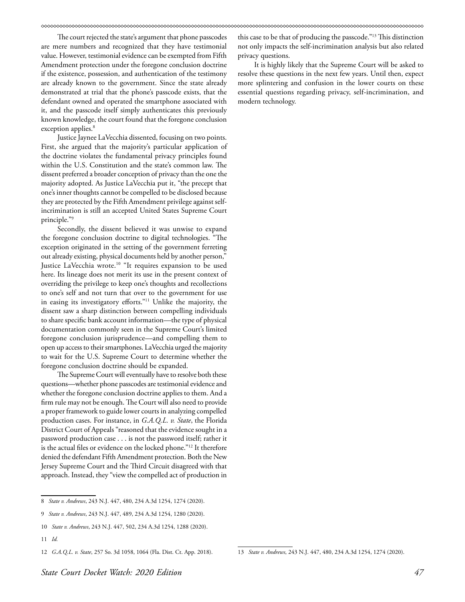The court rejected the state's argument that phone passcodes are mere numbers and recognized that they have testimonial value. However, testimonial evidence can be exempted from Fifth Amendment protection under the foregone conclusion doctrine if the existence, possession, and authentication of the testimony are already known to the government. Since the state already demonstrated at trial that the phone's passcode exists, that the defendant owned and operated the smartphone associated with it, and the passcode itself simply authenticates this previously known knowledge, the court found that the foregone conclusion exception applies.<sup>8</sup>

Justice Jaynee LaVecchia dissented, focusing on two points. First, she argued that the majority's particular application of the doctrine violates the fundamental privacy principles found within the U.S. Constitution and the state's common law. The dissent preferred a broader conception of privacy than the one the majority adopted. As Justice LaVecchia put it, "the precept that one's inner thoughts cannot be compelled to be disclosed because they are protected by the Fifth Amendment privilege against selfincrimination is still an accepted United States Supreme Court principle."9

Secondly, the dissent believed it was unwise to expand the foregone conclusion doctrine to digital technologies. "The exception originated in the setting of the government ferreting out already existing, physical documents held by another person," Justice LaVecchia wrote.<sup>10</sup> "It requires expansion to be used here. Its lineage does not merit its use in the present context of overriding the privilege to keep one's thoughts and recollections to one's self and not turn that over to the government for use in easing its investigatory efforts."11 Unlike the majority, the dissent saw a sharp distinction between compelling individuals to share specific bank account information—the type of physical documentation commonly seen in the Supreme Court's limited foregone conclusion jurisprudence—and compelling them to open up access to their smartphones. LaVecchia urged the majority to wait for the U.S. Supreme Court to determine whether the foregone conclusion doctrine should be expanded.

The Supreme Court will eventually have to resolve both these questions—whether phone passcodes are testimonial evidence and whether the foregone conclusion doctrine applies to them. And a firm rule may not be enough. The Court will also need to provide a proper framework to guide lower courts in analyzing compelled production cases. For instance, in *G.A.Q.L. v. State*, the Florida District Court of Appeals "reasoned that the evidence sought in a password production case . . . is not the password itself; rather it is the actual files or evidence on the locked phone."12 It therefore denied the defendant Fifth Amendment protection. Both the New Jersey Supreme Court and the Third Circuit disagreed with that approach. Instead, they "view the compelled act of production in

11 *Id.*

this case to be that of producing the passcode."13 This distinction not only impacts the self-incrimination analysis but also related privacy questions.

It is highly likely that the Supreme Court will be asked to resolve these questions in the next few years. Until then, expect more splintering and confusion in the lower courts on these essential questions regarding privacy, self-incrimination, and modern technology.

<sup>8</sup> *State v. Andrews*, 243 N.J. 447, 480, 234 A.3d 1254, 1274 (2020).

<sup>9</sup> *State v. Andrews*, 243 N.J. 447, 489, 234 A.3d 1254, 1280 (2020).

<sup>10</sup> *State v. Andrews*, 243 N.J. 447, 502, 234 A.3d 1254, 1288 (2020).

<sup>12</sup> *G.A.Q.L. v. State*, 257 So. 3d 1058, 1064 (Fla. Dist. Ct. App. 2018).

<sup>13</sup> *State v. Andrews*, 243 N.J. 447, 480, 234 A.3d 1254, 1274 (2020).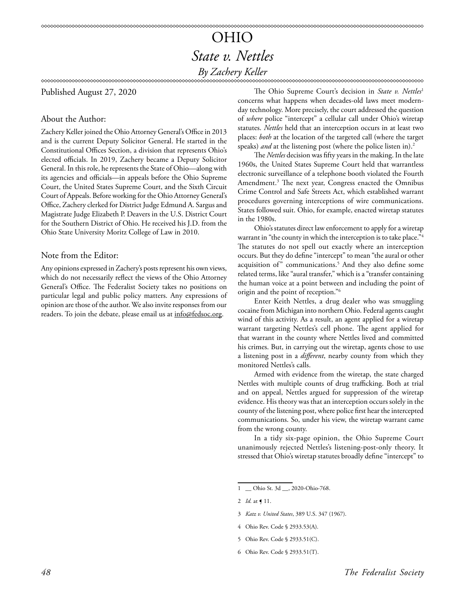# OHIO *State v. Nettles By Zachery Keller*

Published August 27, 2020

### About the Author:

Zachery Keller joined the Ohio Attorney General's Office in 2013 and is the current Deputy Solicitor General. He started in the Constitutional Offices Section, a division that represents Ohio's elected officials. In 2019, Zachery became a Deputy Solicitor General. In this role, he represents the State of Ohio—along with its agencies and officials—in appeals before the Ohio Supreme Court, the United States Supreme Court, and the Sixth Circuit Court of Appeals. Before working for the Ohio Attorney General's Office, Zachery clerked for District Judge Edmund A. Sargus and Magistrate Judge Elizabeth P. Deavers in the U.S. District Court for the Southern District of Ohio. He received his J.D. from the Ohio State University Moritz College of Law in 2010.

### Note from the Editor:

Any opinions expressed in Zachery's posts represent his own views, which do not necessarily reflect the views of the Ohio Attorney General's Office. The Federalist Society takes no positions on particular legal and public policy matters. Any expressions of opinion are those of the author. We also invite responses from our readers. To join the debate, please email us at info@fedsoc.org.

The Ohio Supreme Court's decision in State v. Nettles<sup>1</sup> concerns what happens when decades-old laws meet modernday technology. More precisely, the court addressed the question of *where* police "intercept" a cellular call under Ohio's wiretap statutes. *Nettles* held that an interception occurs in at least two places: *both* at the location of the targeted call (where the target speaks) *and* at the listening post (where the police listen in).<sup>2</sup>

∞∞∞∞∞∞∞∞∞∞∞∞∞∞∞∞∞∞∞∞∞∞∞∞∞∞∞∞∞

The *Nettles* decision was fifty years in the making. In the late 1960s, the United States Supreme Court held that warrantless electronic surveillance of a telephone booth violated the Fourth Amendment.3 The next year, Congress enacted the Omnibus Crime Control and Safe Streets Act, which established warrant procedures governing interceptions of wire communications. States followed suit. Ohio, for example, enacted wiretap statutes in the 1980s.

Ohio's statutes direct law enforcement to apply for a wiretap warrant in "the county in which the interception is to take place."<sup>4</sup> The statutes do not spell out exactly where an interception occurs. But they do define "intercept" to mean "the aural or other acquisition of" communications.5 And they also define some related terms, like "aural transfer," which is a "transfer containing the human voice at a point between and including the point of origin and the point of reception."6

Enter Keith Nettles, a drug dealer who was smuggling cocaine from Michigan into northern Ohio. Federal agents caught wind of this activity. As a result, an agent applied for a wiretap warrant targeting Nettles's cell phone. The agent applied for that warrant in the county where Nettles lived and committed his crimes. But, in carrying out the wiretap, agents chose to use a listening post in a *different*, nearby county from which they monitored Nettles's calls.

Armed with evidence from the wiretap, the state charged Nettles with multiple counts of drug trafficking. Both at trial and on appeal, Nettles argued for suppression of the wiretap evidence. His theory was that an interception occurs solely in the county of the listening post, where police first hear the intercepted communications. So, under his view, the wiretap warrant came from the wrong county.

In a tidy six-page opinion, the Ohio Supreme Court unanimously rejected Nettles's listening-post-only theory. It stressed that Ohio's wiretap statutes broadly define "intercept" to

- 3 *Katz v. United States*, 389 U.S. 347 (1967).
- 4 Ohio Rev. Code § 2933.53(A).
- 5 Ohio Rev. Code § 2933.51(C).
- 6 Ohio Rev. Code § 2933.51(T).

Ohio St. 3d \_\_, 2020-Ohio-768.

<sup>2</sup> *Id.* at **[** 11.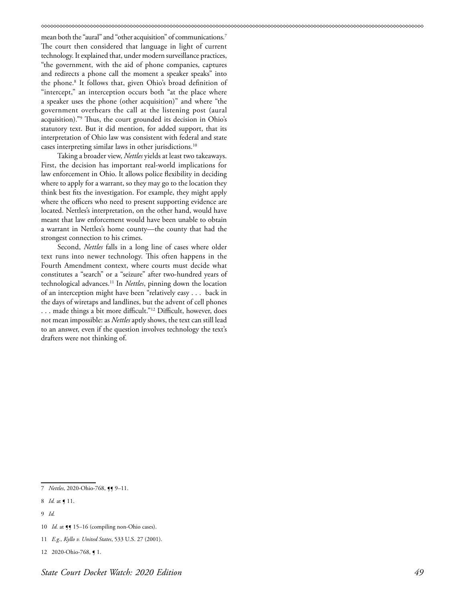mean both the "aural" and "other acquisition" of communications.7 The court then considered that language in light of current technology. It explained that, under modern surveillance practices, "the government, with the aid of phone companies, captures and redirects a phone call the moment a speaker speaks" into the phone.8 It follows that, given Ohio's broad definition of "intercept," an interception occurs both "at the place where a speaker uses the phone (other acquisition)" and where "the government overhears the call at the listening post (aural acquisition)."9 Thus, the court grounded its decision in Ohio's statutory text. But it did mention, for added support, that its interpretation of Ohio law was consistent with federal and state cases interpreting similar laws in other jurisdictions.10

Taking a broader view, *Nettles* yields at least two takeaways. First, the decision has important real-world implications for law enforcement in Ohio. It allows police flexibility in deciding where to apply for a warrant, so they may go to the location they think best fits the investigation. For example, they might apply where the officers who need to present supporting evidence are located. Nettles's interpretation, on the other hand, would have meant that law enforcement would have been unable to obtain a warrant in Nettles's home county—the county that had the strongest connection to his crimes.

Second, *Nettles* falls in a long line of cases where older text runs into newer technology. This often happens in the Fourth Amendment context, where courts must decide what constitutes a "search" or a "seizure" after two-hundred years of technological advances.11 In *Nettles*, pinning down the location of an interception might have been "relatively easy . . . back in the days of wiretaps and landlines, but the advent of cell phones . . . made things a bit more difficult."12 Difficult, however, does not mean impossible: as *Nettles* aptly shows, the text can still lead to an answer, even if the question involves technology the text's drafters were not thinking of.

<sup>7</sup> *Nettles*, 2020-Ohio-768, 55 9-11.

<sup>8</sup> *Id.* at ¶ 11.

<sup>9</sup> *Id.*

<sup>10</sup> *Id.* at **[]** 15-16 (compiling non-Ohio cases).

<sup>11</sup> *E.g.*, *Kyllo v. United States*, 533 U.S. 27 (2001).

<sup>12 2020-</sup>Ohio-768, ¶ 1.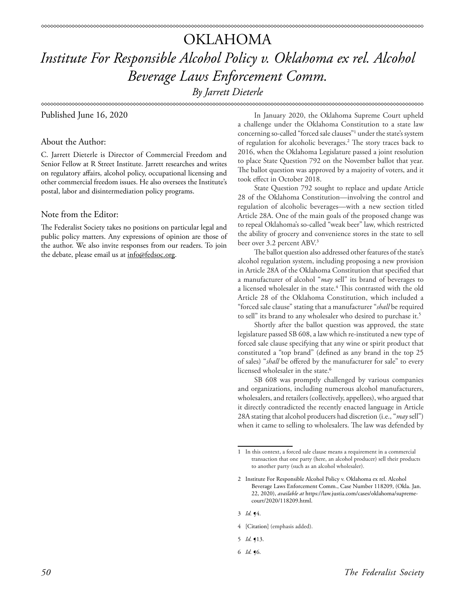# OKLAHOMA *Institute For Responsible Alcohol Policy v. Oklahoma ex rel. Alcohol Beverage Laws Enforcement Comm.*

*By Jarrett Dieterle*

Published June 16, 2020

### About the Author:

C. Jarrett Dieterle is Director of Commercial Freedom and Senior Fellow at R Street Institute. Jarrett researches and writes on regulatory affairs, alcohol policy, occupational licensing and other commercial freedom issues. He also oversees the Institute's postal, labor and disintermediation policy programs.

### Note from the Editor:

The Federalist Society takes no positions on particular legal and public policy matters. Any expressions of opinion are those of the author. We also invite responses from our readers. To join the debate, please email us at info@fedsoc.org.

In January 2020, the Oklahoma Supreme Court upheld a challenge under the Oklahoma Constitution to a state law concerning so-called "forced sale clauses"1 under the state's system of regulation for alcoholic beverages.2 The story traces back to 2016, when the Oklahoma Legislature passed a joint resolution to place State Question 792 on the November ballot that year. The ballot question was approved by a majority of voters, and it took effect in October 2018.

State Question 792 sought to replace and update Article 28 of the Oklahoma Constitution—involving the control and regulation of alcoholic beverages—with a new section titled Article 28A. One of the main goals of the proposed change was to repeal Oklahoma's so-called "weak beer" law, which restricted the ability of grocery and convenience stores in the state to sell beer over 3.2 percent ABV.3

The ballot question also addressed other features of the state's alcohol regulation system, including proposing a new provision in Article 28A of the Oklahoma Constitution that specified that a manufacturer of alcohol "*may* sell" its brand of beverages to a licensed wholesaler in the state.4 This contrasted with the old Article 28 of the Oklahoma Constitution, which included a "forced sale clause" stating that a manufacturer "*shall* be required to sell" its brand to any wholesaler who desired to purchase it.<sup>5</sup>

Shortly after the ballot question was approved, the state legislature passed SB 608, a law which re-instituted a new type of forced sale clause specifying that any wine or spirit product that constituted a "top brand" (defined as any brand in the top 25 of sales) "*shall* be offered by the manufacturer for sale" to every licensed wholesaler in the state.<sup>6</sup>

SB 608 was promptly challenged by various companies and organizations, including numerous alcohol manufacturers, wholesalers, and retailers (collectively, appellees), who argued that it directly contradicted the recently enacted language in Article 28A stating that alcohol producers had discretion (i.e., "*may* sell") when it came to selling to wholesalers. The law was defended by

3 *Id.* ¶4.

- 4 [Citation] (emphasis added).
- 5 *Id.* ¶13.
- 6 *Id.* ¶6.

<sup>1</sup> In this context, a forced sale clause means a requirement in a commercial transaction that one party (here, an alcohol producer) sell their products to another party (such as an alcohol wholesaler).

<sup>2</sup> Institute For Responsible Alcohol Policy v. Oklahoma ex rel. Alcohol Beverage Laws Enforcement Comm., Case Number 118209, (Okla. Jan. 22, 2020), *available at* https://law.justia.com/cases/oklahoma/supremecourt/2020/118209.html.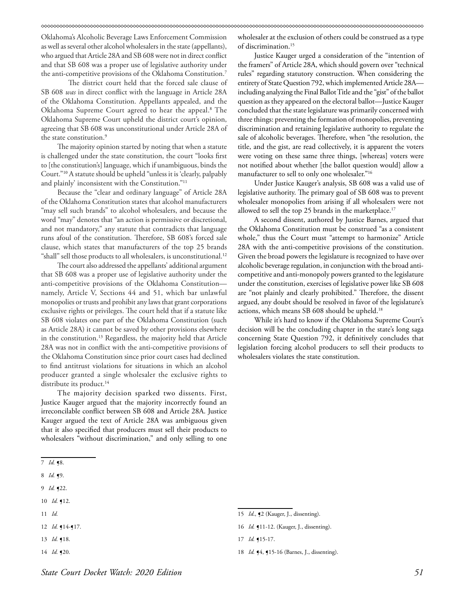Oklahoma's Alcoholic Beverage Laws Enforcement Commission as well as several other alcohol wholesalers in the state (appellants), who argued that Article 28A and SB 608 were not in direct conflict and that SB 608 was a proper use of legislative authority under the anti-competitive provisions of the Oklahoma Constitution.7

The district court held that the forced sale clause of SB 608 *was* in direct conflict with the language in Article 28A of the Oklahoma Constitution. Appellants appealed, and the Oklahoma Supreme Court agreed to hear the appeal.8 The Oklahoma Supreme Court upheld the district court's opinion, agreeing that SB 608 was unconstitutional under Article 28A of the state constitution.9

The majority opinion started by noting that when a statute is challenged under the state constitution, the court "looks first to [the constitution's] language, which if unambiguous, binds the Court."10 A statute should be upheld "unless it is 'clearly, palpably and plainly' inconsistent with the Constitution."11

Because the "clear and ordinary language" of Article 28A of the Oklahoma Constitution states that alcohol manufacturers "may sell such brands" to alcohol wholesalers, and because the word "may" denotes that "an action is permissive or discretional, and not mandatory," any statute that contradicts that language runs afoul of the constitution. Therefore, SB 608's forced sale clause, which states that manufacturers of the top 25 brands "shall" sell those products to all wholesalers, is unconstitutional.<sup>12</sup>

The court also addressed the appellants' additional argument that SB 608 was a proper use of legislative authority under the anti-competitive provisions of the Oklahoma Constitution namely, Article V, Sections 44 and 51, which bar unlawful monopolies or trusts and prohibit any laws that grant corporations exclusive rights or privileges. The court held that if a statute like SB 608 violates one part of the Oklahoma Constitution (such as Article 28A) it cannot be saved by other provisions elsewhere in the constitution.13 Regardless, the majority held that Article 28A was not in conflict with the anti-competitive provisions of the Oklahoma Constitution since prior court cases had declined to find antitrust violations for situations in which an alcohol producer granted a single wholesaler the exclusive rights to distribute its product.<sup>14</sup>

The majority decision sparked two dissents. First, Justice Kauger argued that the majority incorrectly found an irreconcilable conflict between SB 608 and Article 28A. Justice Kauger argued the text of Article 28A was ambiguous given that it also specified that producers must sell their products to wholesalers "without discrimination," and only selling to one

- 10 *Id.* ¶12.
- 11 *Id.*

- 13 *Id.* ¶18.
- 14 *Id.* ¶20.

wholesaler at the exclusion of others could be construed as a type of discrimination.15

Justice Kauger urged a consideration of the "intention of the framers" of Article 28A, which should govern over "technical rules" regarding statutory construction. When considering the entirety of State Question 792, which implemented Article 28A including analyzing the Final Ballot Title and the "gist" of the ballot question as they appeared on the electoral ballot—Justice Kauger concluded that the state legislature was primarily concerned with three things: preventing the formation of monopolies, preventing discrimination and retaining legislative authority to regulate the sale of alcoholic beverages. Therefore, when "the resolution, the title, and the gist, are read collectively, it is apparent the voters were voting on these same three things, [whereas] voters were not notified about whether [the ballot question would] allow a manufacturer to sell to only one wholesaler."16

Under Justice Kauger's analysis, SB 608 was a valid use of legislative authority. The primary goal of SB 608 was to prevent wholesaler monopolies from arising if all wholesalers were not allowed to sell the top 25 brands in the marketplace.<sup>17</sup>

A second dissent, authored by Justice Barnes, argued that the Oklahoma Constitution must be construed "as a consistent whole," thus the Court must "attempt to harmonize" Article 28A with the anti-competitive provisions of the constitution. Given the broad powers the legislature is recognized to have over alcoholic beverage regulation, in conjunction with the broad anticompetitive and anti-monopoly powers granted to the legislature under the constitution, exercises of legislative power like SB 608 are "not plainly and clearly prohibited." Therefore, the dissent argued, any doubt should be resolved in favor of the legislature's actions, which means SB 608 should be upheld.<sup>18</sup>

While it's hard to know if the Oklahoma Supreme Court's decision will be the concluding chapter in the state's long saga concerning State Question 792, it definitively concludes that legislation forcing alcohol producers to sell their products to wholesalers violates the state constitution.

16 *Id.* **[11-12.** (Kauger, J., dissenting).

<sup>7</sup> *Id.* ¶8.

<sup>8</sup> *Id.* ¶9.

<sup>9</sup> *Id.* ¶22.

<sup>12</sup> *Id.* **1**4-**1**7.

<sup>15</sup> *Id*., ¶2 (Kauger, J., dissenting).

<sup>17</sup> *Id.* ¶15-17.

<sup>18</sup> *Id.* **44**, **1**15-16 (Barnes, J., dissenting).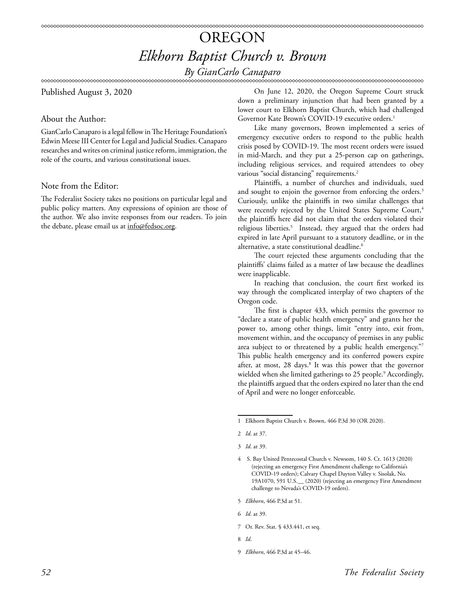# OREGON *Elkhorn Baptist Church v. Brown By GianCarlo Canaparo*

Published August 3, 2020

### About the Author:

GianCarlo Canaparo is a legal fellow in The Heritage Foundation's Edwin Meese III Center for Legal and Judicial Studies. Canaparo researches and writes on criminal justice reform, immigration, the role of the courts, and various constitutional issues.

### Note from the Editor:

The Federalist Society takes no positions on particular legal and public policy matters. Any expressions of opinion are those of the author. We also invite responses from our readers. To join the debate, please email us at info@fedsoc.org.

On June 12, 2020, the Oregon Supreme Court struck down a preliminary injunction that had been granted by a lower court to Elkhorn Baptist Church, which had challenged Governor Kate Brown's COVID-19 executive orders.<sup>1</sup>

Like many governors, Brown implemented a series of emergency executive orders to respond to the public health crisis posed by COVID-19. The most recent orders were issued in mid-March, and they put a 25-person cap on gatherings, including religious services, and required attendees to obey various "social distancing" requirements.<sup>2</sup>

Plaintiffs, a number of churches and individuals, sued and sought to enjoin the governor from enforcing the orders.<sup>3</sup> Curiously, unlike the plaintiffs in two similar challenges that were recently rejected by the United States Supreme Court,<sup>4</sup> the plaintiffs here did not claim that the orders violated their religious liberties.<sup>5</sup> Instead, they argued that the orders had expired in late April pursuant to a statutory deadline, or in the alternative, a state constitutional deadline.<sup>6</sup>

The court rejected these arguments concluding that the plaintiffs' claims failed as a matter of law because the deadlines were inapplicable.

In reaching that conclusion, the court first worked its way through the complicated interplay of two chapters of the Oregon code.

The first is chapter 433, which permits the governor to "declare a state of public health emergency" and grants her the power to, among other things, limit "entry into, exit from, movement within, and the occupancy of premises in any public area subject to or threatened by a public health emergency."7 This public health emergency and its conferred powers expire after, at most, 28 days.<sup>8</sup> It was this power that the governor wielded when she limited gatherings to 25 people.<sup>9</sup> Accordingly, the plaintiffs argued that the orders expired no later than the end of April and were no longer enforceable.

- 5 *Elkhorn*, 466 P.3d at 51.
- 6 *Id*. at 39.
- 7 Or. Rev. Stat. § 433.441, et seq.
- 8 *Id*.
- 9 *Elkhorn*, 466 P.3d at 45–46.

<sup>1</sup> Elkhorn Baptist Church v. Brown, 466 P.3d 30 (OR 2020).

<sup>2</sup> *Id*. at 37.

<sup>3</sup> *Id*. at 39.

<sup>4</sup> S. Bay United Pentecostal Church v. Newsom, 140 S. Ct. 1613 (2020) (rejecting an emergency First Amendment challenge to California's COVID-19 orders); Calvary Chapel Dayton Valley v. Sisolak, No. 19A1070, 591 U.S.\_\_ (2020) (rejecting an emergency First Amendment challenge to Nevada's COVID-19 orders).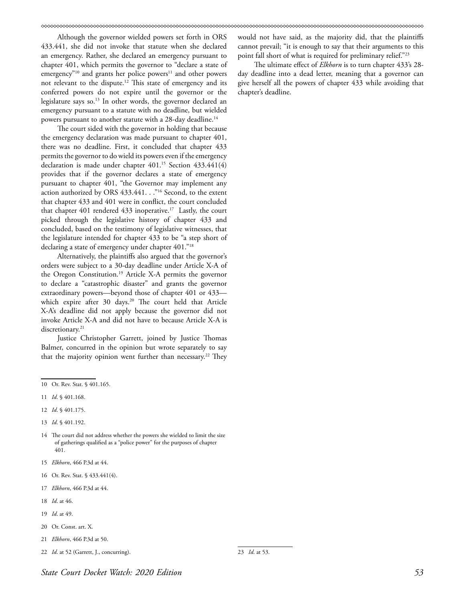Although the governor wielded powers set forth in ORS 433.441, she did not invoke that statute when she declared an emergency. Rather, she declared an emergency pursuant to chapter 401, which permits the governor to "declare a state of emergency"<sup>10</sup> and grants her police powers<sup>11</sup> and other powers not relevant to the dispute.12 This state of emergency and its conferred powers do not expire until the governor or the legislature says so.<sup>13</sup> In other words, the governor declared an emergency pursuant to a statute with no deadline, but wielded powers pursuant to another statute with a 28-day deadline.14

The court sided with the governor in holding that because the emergency declaration was made pursuant to chapter 401, there was no deadline. First, it concluded that chapter 433 permits the governor to do wield its powers even if the emergency declaration is made under chapter 401.15 Section 433.441(4) provides that if the governor declares a state of emergency pursuant to chapter 401, "the Governor may implement any action authorized by ORS 433.441. . ."<sup>16</sup> Second, to the extent that chapter 433 and 401 were in conflict, the court concluded that chapter 401 rendered 433 inoperative.<sup>17</sup> Lastly, the court picked through the legislative history of chapter 433 and concluded, based on the testimony of legislative witnesses, that the legislature intended for chapter 433 to be "a step short of declaring a state of emergency under chapter 401."18

Alternatively, the plaintiffs also argued that the governor's orders were subject to a 30-day deadline under Article X-A of the Oregon Constitution.19 Article X-A permits the governor to declare a "catastrophic disaster" and grants the governor extraordinary powers—beyond those of chapter 401 or 433 which expire after 30 days.<sup>20</sup> The court held that Article X-A's deadline did not apply because the governor did not invoke Article X-A and did not have to because Article X-A is discretionary.<sup>21</sup>

Justice Christopher Garrett, joined by Justice Thomas Balmer, concurred in the opinion but wrote separately to say that the majority opinion went further than necessary.<sup>22</sup> They

- 12 *Id*. § 401.175.
- 13 *Id*. § 401.192.
- 14 The court did not address whether the powers she wielded to limit the size of gatherings qualified as a "police power" for the purposes of chapter 401.
- 15 *Elkhorn*, 466 P.3d at 44.
- 16 Or. Rev. Stat. § 433.441(4).
- 17 *Elkhorn*, 466 P.3d at 44.
- 18 *Id*. at 46.
- 19 *Id*. at 49.
- 20 Or. Const. art. X.
- 21 *Elkhorn*, 466 P.3d at 50.
- 22 *Id*. at 52 (Garrett, J., concurring).

would not have said, as the majority did, that the plaintiffs cannot prevail; "it is enough to say that their arguments to this point fall short of what is required for preliminary relief."23

The ultimate effect of *Elkhorn* is to turn chapter 433's 28 day deadline into a dead letter, meaning that a governor can give herself all the powers of chapter 433 while avoiding that chapter's deadline.

<sup>10</sup> Or. Rev. Stat. § 401.165.

<sup>11</sup> *Id*. § 401.168.

<sup>23</sup> *Id*. at 53.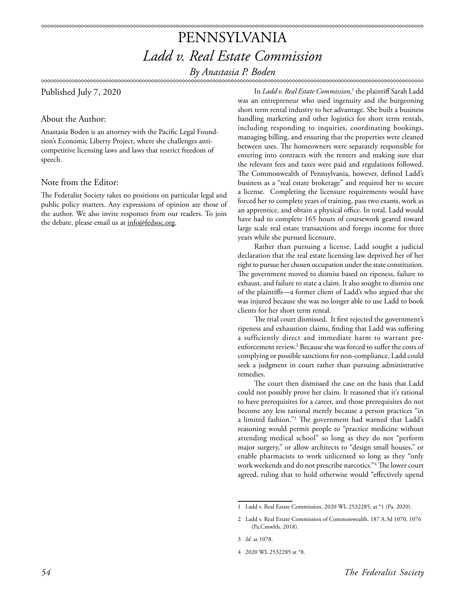# PENNSYLVANIA *Ladd v. Real Estate Commission*

*By Anastasia P. Boden*

Published July 7, 2020

### About the Author:

Anastasia Boden is an attorney with the Pacific Legal Foundtion's Economic Liberty Project, where she challenges anticompetitive licensing laws and laws that restrict freedom of speech.

### Note from the Editor:

The Federalist Society takes no positions on particular legal and public policy matters. Any expressions of opinion are those of the author. We also invite responses from our readers. To join the debate, please email us at info@fedsoc.org.

In *Ladd v. Real Estate Commission*, 1 the plaintiff Sarah Ladd was an entrepreneur who used ingenuity and the burgeoning short term rental industry to her advantage. She built a business handling marketing and other logistics for short term rentals, including responding to inquiries, coordinating bookings, managing billing, and ensuring that the properties were cleaned between uses. The homeowners were separately responsible for entering into contracts with the renters and making sure that the relevant fees and taxes were paid and regulations followed. The Commonwealth of Pennsylvania, however, defined Ladd's business as a "real estate brokerage" and required her to secure a license. Completing the licensure requirements would have forced her to complete years of training, pass two exams, work as an apprentice, and obtain a physical office. In total, Ladd would have had to complete 165 hours of coursework geared toward large scale real estate transactions and forego income for three years while she pursued licensure.

Rather than pursuing a license, Ladd sought a judicial declaration that the real estate licensing law deprived her of her right to pursue her chosen occupation under the state constitution. The government moved to dismiss based on ripeness, failure to exhaust, and failure to state a claim. It also sought to dismiss one of the plaintiffs—a former client of Ladd's who argued that she was injured because she was no longer able to use Ladd to book clients for her short term rental.

The trial court dismissed. It first rejected the government's ripeness and exhaustion claims, finding that Ladd was suffering a sufficiently direct and immediate harm to warrant preenforcement review.<sup>2</sup> Because she was forced to suffer the costs of complying or possible sanctions for non-compliance, Ladd could seek a judgment in court rather than pursuing administrative remedies.

The court then dismissed the case on the basis that Ladd could not possibly prove her claim. It reasoned that it's rational to have prerequisites for a career, and those prerequisites do not become any less rational merely because a person practices "in a limited fashion."3 The government had warned that Ladd's reasoning would permit people to "practice medicine without attending medical school" so long as they do not "perform major surgery," or allow architects to "design small houses," or enable pharmacists to work unlicensed so long as they "only work weekends and do not prescribe narcotics."4 The lower court agreed, ruling that to hold otherwise would "effectively upend

<sup>1</sup> Ladd v. Real Estate Commission, 2020 WL 2532285, at \*1 (Pa. 2020).

<sup>2</sup> Ladd v. Real Estate Commission of Commonwealth, 187 A.3d 1070, 1076 (Pa.Cmwlth. 2018).

<sup>3</sup> *Id.* at 1078.

<sup>4 2020</sup> WL 2532285 at \*8.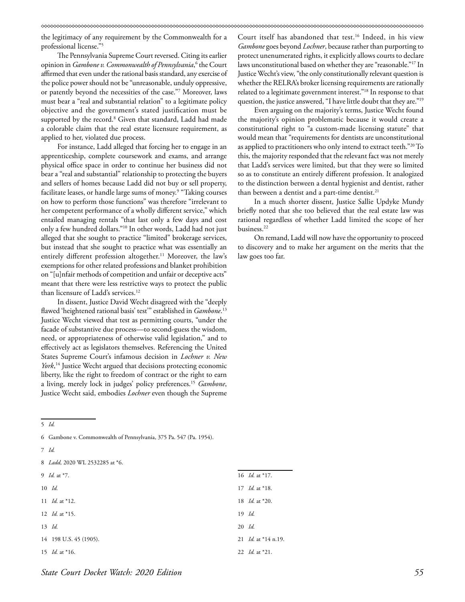the legitimacy of any requirement by the Commonwealth for a professional license."5

The Pennsylvania Supreme Court reversed. Citing its earlier opinion in *Gambone v. Commonwealth of Pennsylvania*, 6 the Court affirmed that even under the rational basis standard, any exercise of the police power should not be "unreasonable, unduly oppressive, or patently beyond the necessities of the case."7 Moreover, laws must bear a "real and substantial relation" to a legitimate policy objective and the government's stated justification must be supported by the record.<sup>8</sup> Given that standard, Ladd had made a colorable claim that the real estate licensure requirement, as applied to her, violated due process.

For instance, Ladd alleged that forcing her to engage in an apprenticeship, complete coursework and exams, and arrange physical office space in order to continue her business did not bear a "real and substantial" relationship to protecting the buyers and sellers of homes because Ladd did not buy or sell property, facilitate leases, or handle large sums of money.<sup>9</sup> "Taking courses on how to perform those functions" was therefore "irrelevant to her competent performance of a wholly different service," which entailed managing rentals "that last only a few days and cost only a few hundred dollars."10 In other words, Ladd had not just alleged that she sought to practice "limited" brokerage services, but instead that she sought to practice what was essentially an entirely different profession altogether.<sup>11</sup> Moreover, the law's exemptions for other related professions and blanket prohibition on "[u]nfair methods of competition and unfair or deceptive acts" meant that there were less restrictive ways to protect the public than licensure of Ladd's services.<sup>12</sup>

In dissent, Justice David Wecht disagreed with the "deeply flawed 'heightened rational basis' test'" established in *Gambone*. 13 Justice Wecht viewed that test as permitting courts, "under the facade of substantive due process—to second-guess the wisdom, need, or appropriateness of otherwise valid legislation," and to effectively act as legislators themselves. Referencing the United States Supreme Court's infamous decision in *Lochner v. New York*, 14 Justice Wecht argued that decisions protecting economic liberty, like the right to freedom of contract or the right to earn a living, merely lock in judges' policy preferences.15 *Gambone*, Justice Wecht said, embodies *Lochner* even though the Supreme

Court itself has abandoned that test.16 Indeed, in his view *Gambone* goes beyond *Lochner*, because rather than purporting to protect unenumerated rights, it explicitly allows courts to declare laws unconstitutional based on whether they are "reasonable."17 In Justice Wecht's view, "the only constitutionally relevant question is whether the RELRA's broker licensing requirements are rationally related to a legitimate government interest."18 In response to that question, the justice answered, "I have little doubt that they are."19

Even arguing on the majority's terms, Justice Wecht found the majority's opinion problematic because it would create a constitutional right to "a custom-made licensing statute" that would mean that "requirements for dentists are unconstitutional as applied to practitioners who only intend to extract teeth."20 To this, the majority responded that the relevant fact was not merely that Ladd's services were limited, but that they were so limited so as to constitute an entirely different profession. It analogized to the distinction between a dental hygienist and dentist, rather than between a dentist and a part-time dentist. $21$ 

In a much shorter dissent, Justice Sallie Updyke Mundy briefly noted that she too believed that the real estate law was rational regardless of whether Ladd limited the scope of her business.<sup>22</sup>

On remand, Ladd will now have the opportunity to proceed to discovery and to make her argument on the merits that the law goes too far.

7 *Id.*

|  |  |  |  | 8 Ladd, 2020 WL 2532285 at *6. |  |  |
|--|--|--|--|--------------------------------|--|--|
|--|--|--|--|--------------------------------|--|--|

- 9 *Id.* at \*7.
- 10 *Id.*
- 11 *Id.* at \*12.
- 12 *Id.* at \*15.
- 13 *Id.*
- 14 198 U.S. 45 (1905).
- 15 *Id.* at \*16.

 *Id.* at \*17. *Id.* at \*18. *Id.* at \*20. 19 *Id.* 20 *Id. Id.* at \*14 n.19. *Id.* at \*21.

<sup>5</sup> *Id.*

<sup>6</sup> Gambone v. Commonwealth of Pennsylvania, 375 Pa. 547 (Pa. 1954).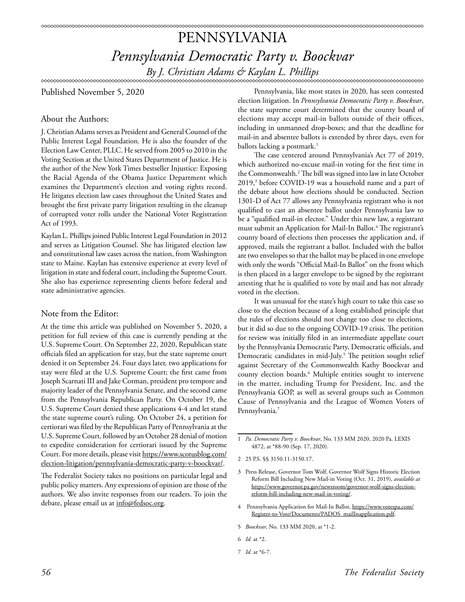# PENNSYLVANIA *Pennsylvania Democratic Party v. Boockvar By J. Christian Adams & Kaylan L. Phillips*

Published November 5, 2020

### About the Authors:

J. Christian Adams serves as President and General Counsel of the Public Interest Legal Foundation. He is also the founder of the Election Law Center, PLLC. He served from 2005 to 2010 in the Voting Section at the United States Department of Justice. He is the author of the New York Times bestseller Injustice: Exposing the Racial Agenda of the Obama Justice Department which examines the Department's election and voting rights record. He litigates election law cases throughout the United States and brought the first private party litigation resulting in the cleanup of corrupted voter rolls under the National Voter Registration Act of 1993.

Kaylan L. Phillips joined Public Interest Legal Foundation in 2012 and serves as Litigation Counsel. She has litigated election law and constitutional law cases across the nation, from Washington state to Maine. Kaylan has extensive experience at every level of litigation in state and federal court, including the Supreme Court. She also has experience representing clients before federal and state administrative agencies.

### Note from the Editor:

At the time this article was published on November 5, 2020, a petition for full review of this case is currently pending at the U.S. Supreme Court. On September 22, 2020, Republican state officials filed an application for stay, but the state supreme court denied it on September 24. Four days later, two applications for stay were filed at the U.S. Supreme Court; the first came from Joseph Scarnati III and Jake Corman, president pro tempore and majority leader of the Pennsylvania Senate, and the second came from the Pennsylvania Republican Party. On October 19, the U.S. Supreme Court denied these applications 4-4 and let stand the state supreme court's ruling. On October 24, a petition for certiorari was filed by the Republican Party of Pennsylvania at the U.S. Supreme Court, followed by an October 28 denial of motion to expedite consideration for certiorari issued by the Supreme Court. For more details, please visit [https://www.scotusblog.com/](https://www.scotusblog.com/election-litigation/pennsylvania-democratic-party-v-boockvar/) [election-litigation/pennsylvania-democratic-party-v-boockvar/.](https://www.scotusblog.com/election-litigation/pennsylvania-democratic-party-v-boockvar/)

The Federalist Society takes no positions on particular legal and public policy matters. Any expressions of opinion are those of the authors. We also invite responses from our readers. To join the debate, please email us at info@fedsoc.org.

Pennsylvania, like most states in 2020, has seen contested election litigation. In *Pennsylvania Democratic Party v. Boockvar*, the state supreme court determined that the county board of elections may accept mail-in ballots outside of their offices, including in unmanned drop-boxes; and that the deadline for mail-in and absentee ballots is extended by three days, even for ballots lacking a postmark.<sup>1</sup>

The case centered around Pennsylvania's Act 77 of 2019, which authorized no-excuse mail-in voting for the first time in the Commonwealth.2 The bill was signed into law in late October 2019,3 before COVID-19 was a household name and a part of the debate about how elections should be conducted. Section 1301-D of Act 77 allows any Pennsylvania registrant who is not qualified to cast an absentee ballot under Pennsylvania law to be a "qualified mail-in elector." Under this new law, a registrant must submit an Application for Mail-In Ballot.<sup>4</sup> The registrant's county board of elections then processes the application and, if approved, mails the registrant a ballot. Included with the ballot are two envelopes so that the ballot may be placed in one envelope with only the words "Official Mail-In Ballot" on the front which is then placed in a larger envelope to be signed by the registrant attesting that he is qualified to vote by mail and has not already voted in the election.

It was unusual for the state's high court to take this case so close to the election because of a long established principle that the rules of elections should not change too close to elections, but it did so due to the ongoing COVID-19 crisis. The petition for review was initially filed in an intermediate appellate court by the Pennsylvania Democratic Party, Democratic officials, and Democratic candidates in mid-July.<sup>5</sup> The petition sought relief against Secretary of the Commonwealth Kathy Boockvar and county election boards.6 Multiple entities sought to intervene in the matter, including Trump for President, Inc. and the Pennsylvania GOP, as well as several groups such as Common Cause of Pennsylvania and the League of Women Voters of Pennsylvania.<sup>7</sup>

<sup>1</sup> *Pa. Democratic Party v. Boockvar*, No. 133 MM 2020, 2020 Pa. LEXIS 4872, at \*88-90 (Sep. 17, 2020).

<sup>2 25</sup> P.S. §§ 3150.11-3150.17.

<sup>3</sup> Press Release, Governor Tom Wolf, Governor Wolf Signs Historic Election Reform Bill Including New Mail-in Voting (Oct. 31, 2019), *available at*  https://www.governor.pa.gov/newsroom/governor-wolf-signs-electionreform-bill-including-new-mail-in-voting/.

<sup>4</sup> Pennsylvania Application for Mail-In Ballot, https://www.votespa.com/ Register-to-Vote/Documents/PADOS\_mailInapplication.pdf.

<sup>5</sup> *Boockvar*, No. 133 MM 2020, at \*1-2.

<sup>6</sup> *Id.* at \*2.

<sup>7</sup> *Id.* at \*6-7.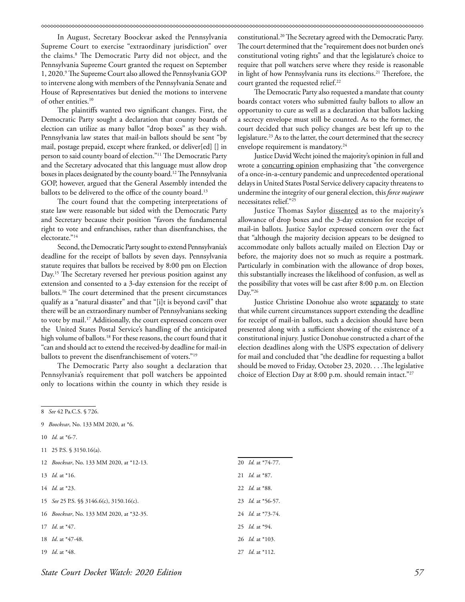In August, Secretary Boockvar asked the Pennsylvania Supreme Court to exercise "extraordinary jurisdiction" over the claims.8 The Democratic Party did not object, and the Pennsylvania Supreme Court granted the request on September 1, 2020.<sup>9</sup> The Supreme Court also allowed the Pennsylvania GOP to intervene along with members of the Pennsylvania Senate and House of Representatives but denied the motions to intervene of other entities.<sup>10</sup>

The plaintiffs wanted two significant changes. First, the Democratic Party sought a declaration that county boards of election can utilize as many ballot "drop boxes" as they wish. Pennsylvania law states that mail-in ballots should be sent "by mail, postage prepaid, except where franked, or deliver[ed] [] in person to said county board of election."11 The Democratic Party and the Secretary advocated that this language must allow drop boxes in places designated by the county board.12 The Pennsylvania GOP, however, argued that the General Assembly intended the ballots to be delivered to the office of the county board.<sup>13</sup>

The court found that the competing interpretations of state law were reasonable but sided with the Democratic Party and Secretary because their position "favors the fundamental right to vote and enfranchises, rather than disenfranchises, the electorate."14

Second, the Democratic Party sought to extend Pennsylvania's deadline for the receipt of ballots by seven days. Pennsylvania statute requires that ballots be received by 8:00 pm on Election Day.15 The Secretary reversed her previous position against any extension and consented to a 3-day extension for the receipt of ballots.16 The court determined that the present circumstances qualify as a "natural disaster" and that "[i]t is beyond cavil" that there will be an extraordinary number of Pennsylvanians seeking to vote by mail.17 Additionally, the court expressed concern over the United States Postal Service's handling of the anticipated high volume of ballots.18 For these reasons, the court found that it "can and should act to extend the received-by deadline for mail-in ballots to prevent the disenfranchisement of voters."19

The Democratic Party also sought a declaration that Pennsylvania's requirement that poll watchers be appointed only to locations within the county in which they reside is constitutional.20 The Secretary agreed with the Democratic Party. The court determined that the "requirement does not burden one's constitutional voting rights" and that the legislature's choice to require that poll watchers serve where they reside is reasonable in light of how Pennsylvania runs its elections.<sup>21</sup> Therefore, the court granted the requested relief.<sup>22</sup>

The Democratic Party also requested a mandate that county boards contact voters who submitted faulty ballots to allow an opportunity to cure as well as a declaration that ballots lacking a secrecy envelope must still be counted. As to the former, the court decided that such policy changes are best left up to the legislature.<sup>23</sup> As to the latter, the court determined that the secrecy envelope requirement is mandatory.<sup>24</sup>

Justice David Wecht joined the majority's opinion in full and wrote a [concurring opinion](http://www.pacourts.us/assets/opinions/Supreme/out/J-96-2020co%20-%20104548450113066706.pdf?cb=1) emphasizing that "the convergence of a once-in-a-century pandemic and unprecedented operational delays in United States Postal Service delivery capacity threatens to undermine the integrity of our general election, this *force majeure* necessitates relief."25

Justice Thomas Saylor [dissented](http://www.pacourts.us/assets/opinions/Supreme/out/J-96-2020cdo%20-%20104548450113066751.pdf?cb=1) as to the majority's allowance of drop boxes and the 3-day extension for receipt of mail-in ballots. Justice Saylor expressed concern over the fact that "although the majority decision appears to be designed to accommodate only ballots actually mailed on Election Day or before, the majority does not so much as require a postmark. Particularly in combination with the allowance of drop boxes, this substantially increases the likelihood of confusion, as well as the possibility that votes will be cast after 8:00 p.m. on Election Day."26

Justice Christine Donohue also wrote [separately](http://www.pacourts.us/assets/opinions/Supreme/out/J-96-2020cdo1%20-%20104548450113066808.pdf?cb=1) to state that while current circumstances support extending the deadline for receipt of mail-in ballots, such a decision should have been presented along with a sufficient showing of the existence of a constitutional injury. Justice Donohue constructed a chart of the election deadlines along with the USPS expectation of delivery for mail and concluded that "the deadline for requesting a ballot should be moved to Friday, October 23, 2020. . . .The legislative choice of Election Day at 8:00 p.m. should remain intact."27

- 10 *Id.* at \*6-7.
- 11 25 P.S. § 3150.16(a).

| 12 <i>Boockvar</i> , No. 133 MM 2020, at *12-13. | 20 $Id.$ at *74-77.      |
|--------------------------------------------------|--------------------------|
| 13 <i>Id.</i> at *16.                            | 21 <i>Id.</i> at *87.    |
| 14 $Id$ at *23.                                  | 22 $Id$ at *88.          |
| 15 See 25 P.S. $\%$ 3146.6(c), 3150.16(c).       | 23 <i>Id.</i> at *56-57. |
| 16 <i>Boockvar</i> , No. 133 MM 2020, at *32-35. | 24 <i>Id.</i> at *73-74. |
| 17 <i>Id.</i> at $*47$ .                         | 25 $Id$ at *94.          |
| 18 $Id.$ at *47-48.                              | 26 $Id$ at *103.         |
| 19 <i>Id.</i> at $*48$ .                         | $27$ <i>Id.</i> at *112. |

<sup>8</sup> *See* 42 Pa.C.S. § 726.

<sup>9</sup> *Boockvar*, No. 133 MM 2020, at \*6.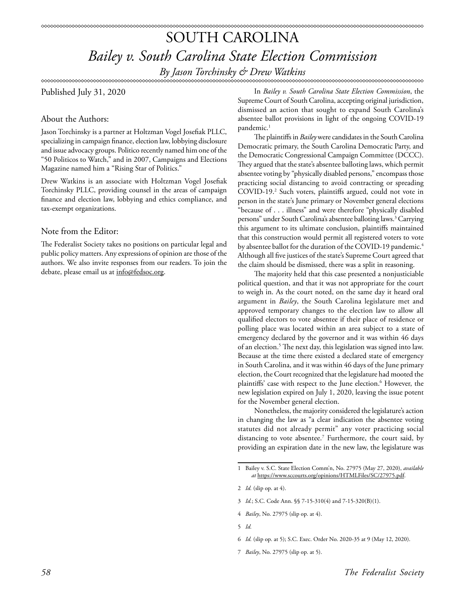# SOUTH CAROLINA *Bailey v. South Carolina State Election Commission*

*By Jason Torchinsky & Drew Watkins*

Published July 31, 2020

### About the Authors:

Jason Torchinsky is a partner at Holtzman Vogel Josefiak PLLC, specializing in campaign finance, election law, lobbying disclosure and issue advocacy groups. Politico recently named him one of the "50 Politicos to Watch," and in 2007, Campaigns and Elections Magazine named him a "Rising Star of Politics."

Drew Watkins is an associate with Holtzman Vogel Josefiak Torchinsky PLLC, providing counsel in the areas of campaign finance and election law, lobbying and ethics compliance, and tax-exempt organizations.

### Note from the Editor:

The Federalist Society takes no positions on particular legal and public policy matters. Any expressions of opinion are those of the authors. We also invite responses from our readers. To join the debate, please email us at info@fedsoc.org.

In *Bailey v. South Carolina State Election Commission*, the Supreme Court of South Carolina, accepting original jurisdiction, dismissed an action that sought to expand South Carolina's absentee ballot provisions in light of the ongoing COVID-19 pandemic.<sup>1</sup>

The plaintiffs in *Bailey* were candidates in the South Carolina Democratic primary, the South Carolina Democratic Party, and the Democratic Congressional Campaign Committee (DCCC). They argued that the state's absentee balloting laws, which permit absentee voting by "physically disabled persons," encompass those practicing social distancing to avoid contracting or spreading COVID-19.2 Such voters, plaintiffs argued, could not vote in person in the state's June primary or November general elections "because of . . . illness" and were therefore "physically disabled persons" under South Carolina's absentee balloting laws.<sup>3</sup> Carrying this argument to its ultimate conclusion, plaintiffs maintained that this construction would permit all registered voters to vote by absentee ballot for the duration of the COVID-19 pandemic.<sup>4</sup> Although all five justices of the state's Supreme Court agreed that the claim should be dismissed, there was a split in reasoning.

The majority held that this case presented a nonjusticiable political question, and that it was not appropriate for the court to weigh in. As the court noted, on the same day it heard oral argument in *Bailey*, the South Carolina legislature met and approved temporary changes to the election law to allow all qualified electors to vote absentee if their place of residence or polling place was located within an area subject to a state of emergency declared by the governor and it was within 46 days of an election.<sup>5</sup> The next day, this legislation was signed into law. Because at the time there existed a declared state of emergency in South Carolina, and it was within 46 days of the June primary election, the Court recognized that the legislature had mooted the plaintiffs' case with respect to the June election.6 However, the new legislation expired on July 1, 2020, leaving the issue potent for the November general election.

Nonetheless, the majority considered the legislature's action in changing the law as "a clear indication the absentee voting statutes did not already permit" any voter practicing social distancing to vote absentee.7 Furthermore, the court said, by providing an expiration date in the new law, the legislature was

- 4 *Bailey*, No. 27975 (slip op. at 4).
- 5 *Id.*

7 *Bailey*, No. 27975 (slip op. at 5).

<sup>1</sup> Bailey v. S.C. State Election Comm'n, No. 27975 (May 27, 2020), *available at* https://www.sccourts.org/opinions/HTMLFiles/SC/27975.pdf.

<sup>2</sup> *Id.* (slip op. at 4).

<sup>3</sup> *Id.*; S.C. Code Ann. §§ 7-15-310(4) and 7-15-320(B)(1).

<sup>6</sup> *Id.* (slip op. at 5); S.C. Exec. Order No. 2020-35 at 9 (May 12, 2020).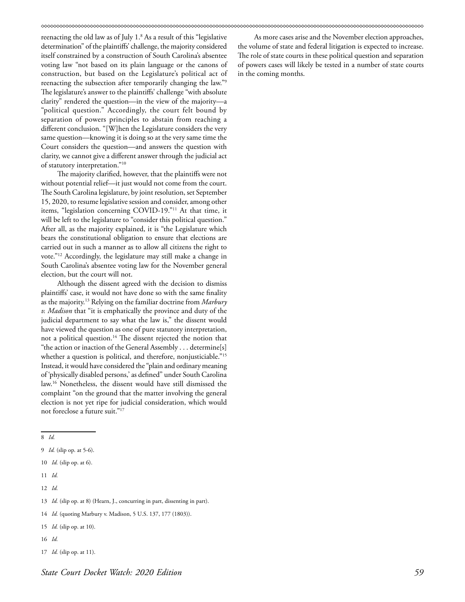reenacting the old law as of July 1.8 As a result of this "legislative determination" of the plaintiffs' challenge, the majority considered itself constrained by a construction of South Carolina's absentee voting law "not based on its plain language or the canons of construction, but based on the Legislature's political act of reenacting the subsection after temporarily changing the law."9 The legislature's answer to the plaintiffs' challenge "with absolute clarity" rendered the question—in the view of the majority—a "political question." Accordingly, the court felt bound by separation of powers principles to abstain from reaching a different conclusion. "[W]hen the Legislature considers the very same question—knowing it is doing so at the very same time the Court considers the question—and answers the question with clarity, we cannot give a different answer through the judicial act of statutory interpretation."10

The majority clarified, however, that the plaintiffs were not without potential relief—it just would not come from the court. The South Carolina legislature, by joint resolution, set September 15, 2020, to resume legislative session and consider, among other items, "legislation concerning COVID-19."11 At that time, it will be left to the legislature to "consider this political question." After all, as the majority explained, it is "the Legislature which bears the constitutional obligation to ensure that elections are carried out in such a manner as to allow all citizens the right to vote."12 Accordingly, the legislature may still make a change in South Carolina's absentee voting law for the November general election, but the court will not.

Although the dissent agreed with the decision to dismiss plaintiffs' case, it would not have done so with the same finality as the majority.13 Relying on the familiar doctrine from *Marbury v. Madison* that "it is emphatically the province and duty of the judicial department to say what the law is," the dissent would have viewed the question as one of pure statutory interpretation, not a political question.<sup>14</sup> The dissent rejected the notion that "the action or inaction of the General Assembly . . . determine[s] whether a question is political, and therefore, nonjusticiable."<sup>15</sup> Instead, it would have considered the "plain and ordinary meaning of 'physically disabled persons,' as defined" under South Carolina law.16 Nonetheless, the dissent would have still dismissed the complaint "on the ground that the matter involving the general election is not yet ripe for judicial consideration, which would not foreclose a future suit."17

- 10 *Id.* (slip op. at 6).
- 11 *Id.*
- 12 *Id.*
- 13 *Id.* (slip op. at 8) (Hearn, J., concurring in part, dissenting in part).
- 14 *Id.* (quoting Marbury v. Madison, 5 U.S. 137, 177 (1803)).
- 15 *Id.* (slip op. at 10).
- 16 *Id.*
- 17 *Id.* (slip op. at 11).

<sup>8</sup> *Id.*

<sup>9</sup> *Id.* (slip op. at 5-6).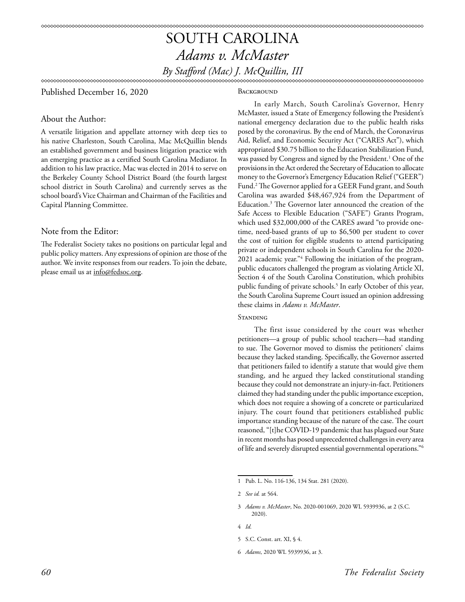# SOUTH CAROLINA *Adams v. McMaster By Stafford (Mac) J. McQuillin, III*

Published December 16, 2020

### Background

### About the Author:

A versatile litigation and appellate attorney with deep ties to his native Charleston, South Carolina, Mac McQuillin blends an established government and business litigation practice with an emerging practice as a certified South Carolina Mediator. In addition to his law practice, Mac was elected in 2014 to serve on the Berkeley County School District Board (the fourth largest school district in South Carolina) and currently serves as the school board's Vice Chairman and Chairman of the Facilities and Capital Planning Committee.

### Note from the Editor:

The Federalist Society takes no positions on particular legal and public policy matters. Any expressions of opinion are those of the author. We invite responses from our readers. To join the debate, please email us at info@fedsoc.org.

In early March, South Carolina's Governor, Henry McMaster, issued a State of Emergency following the President's national emergency declaration due to the public health risks posed by the coronavirus. By the end of March, the Coronavirus Aid, Relief, and Economic Security Act ("CARES Act"), which appropriated \$30.75 billion to the Education Stabilization Fund, was passed by Congress and signed by the President.1 One of the provisions in the Act ordered the Secretary of Education to allocate money to the Governor's Emergency Education Relief ("GEER") Fund.2 The Governor applied for a GEER Fund grant, and South Carolina was awarded \$48,467,924 from the Department of Education.3 The Governor later announced the creation of the Safe Access to Flexible Education ("SAFE") Grants Program, which used \$32,000,000 of the CARES award "to provide onetime, need-based grants of up to \$6,500 per student to cover the cost of tuition for eligible students to attend participating private or independent schools in South Carolina for the 2020- 2021 academic year."4 Following the initiation of the program, public educators challenged the program as violating Article XI, Section 4 of the South Carolina Constitution, which prohibits public funding of private schools.5 In early October of this year, the South Carolina Supreme Court issued an opinion addressing these claims in *Adams v. McMaster*.

### **STANDING**

The first issue considered by the court was whether petitioners—a group of public school teachers—had standing to sue. The Governor moved to dismiss the petitioners' claims because they lacked standing. Specifically, the Governor asserted that petitioners failed to identify a statute that would give them standing, and he argued they lacked constitutional standing because they could not demonstrate an injury-in-fact. Petitioners claimed they had standing under the public importance exception, which does not require a showing of a concrete or particularized injury. The court found that petitioners established public importance standing because of the nature of the case. The court reasoned, "[t]he COVID-19 pandemic that has plagued our State in recent months has posed unprecedented challenges in every area of life and severely disrupted essential governmental operations."6

<sup>1</sup> Pub. L. No. 116-136, 134 Stat. 281 (2020).

<sup>2</sup> *See id.* at 564.

<sup>3</sup> *Adams v. McMaster*, No. 2020-001069, 2020 WL 5939936, at 2 (S.C. 2020).

<sup>4</sup> *Id.*

<sup>5</sup> S.C. Const. art. XI, § 4.

<sup>6</sup> *Adams*, 2020 WL 5939936, at 3.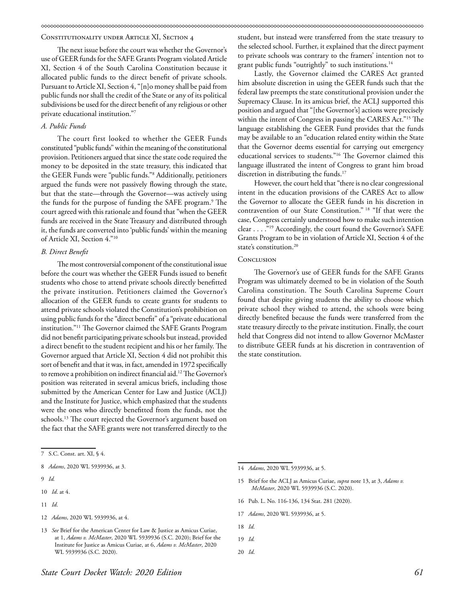### Constitutionality under Article XI, Section 4

The next issue before the court was whether the Governor's use of GEER funds for the SAFE Grants Program violated Article XI, Section 4 of the South Carolina Constitution because it allocated public funds to the direct benefit of private schools. Pursuant to Article XI, Section 4, "[n]o money shall be paid from public funds nor shall the credit of the State or any of its political subdivisions be used for the direct benefit of any religious or other private educational institution."7

### *A. Public Funds*

The court first looked to whether the GEER Funds constituted "public funds" within the meaning of the constitutional provision. Petitioners argued that since the state code required the money to be deposited in the state treasury, this indicated that the GEER Funds were "public funds."8 Additionally, petitioners argued the funds were not passively flowing through the state, but that the state—through the Governor—was actively using the funds for the purpose of funding the SAFE program.<sup>9</sup> The court agreed with this rationale and found that "when the GEER funds are received in the State Treasury and distributed through it, the funds are converted into 'public funds' within the meaning of Article XI, Section 4."10

### *B. Direct Benefit*

The most controversial component of the constitutional issue before the court was whether the GEER Funds issued to benefit students who chose to attend private schools directly benefitted the private institution. Petitioners claimed the Governor's allocation of the GEER funds to create grants for students to attend private schools violated the Constitution's prohibition on using public funds for the "direct benefit" of a "private educational institution."11 The Governor claimed the SAFE Grants Program did not benefit participating private schools but instead, provided a direct benefit to the student recipient and his or her family. The Governor argued that Article XI, Section 4 did not prohibit this sort of benefit and that it was, in fact, amended in 1972 specifically to remove a prohibition on indirect financial aid.12 The Governor's position was reiterated in several amicus briefs, including those submitted by the American Center for Law and Justice (ACLJ) and the Institute for Justice, which emphasized that the students were the ones who directly benefitted from the funds, not the schools.<sup>13</sup> The court rejected the Governor's argument based on the fact that the SAFE grants were not transferred directly to the

11 *Id*.

student, but instead were transferred from the state treasury to the selected school. Further, it explained that the direct payment to private schools was contrary to the framers' intention not to grant public funds "outrightly" to such institutions.<sup>14</sup>

Lastly, the Governor claimed the CARES Act granted him absolute discretion in using the GEER funds such that the federal law preempts the state constitutional provision under the Supremacy Clause. In its amicus brief, the ACLJ supported this position and argued that "[the Governor's] actions were precisely within the intent of Congress in passing the CARES Act."15 The language establishing the GEER Fund provides that the funds may be available to an "education related entity within the State that the Governor deems essential for carrying out emergency educational services to students."16 The Governor claimed this language illustrated the intent of Congress to grant him broad discretion in distributing the funds.<sup>17</sup>

However, the court held that "there is no clear congressional intent in the education provisions of the CARES Act to allow the Governor to allocate the GEER funds in his discretion in contravention of our State Constitution." 18 "If that were the case, Congress certainly understood how to make such intention clear . . . ."19 Accordingly, the court found the Governor's SAFE Grants Program to be in violation of Article XI, Section 4 of the state's constitution.<sup>20</sup>

### **CONCLUSION**

The Governor's use of GEER funds for the SAFE Grants Program was ultimately deemed to be in violation of the South Carolina constitution. The South Carolina Supreme Court found that despite giving students the ability to choose which private school they wished to attend, the schools were being directly benefited because the funds were transferred from the state treasury directly to the private institution. Finally, the court held that Congress did not intend to allow Governor McMaster to distribute GEER funds at his discretion in contravention of the state constitution.

- 15 Brief for the ACLJ as Amicus Curiae, *supra* note 13, at 3, *Adams v. McMaster*, 2020 WL 5939936 (S.C. 2020).
- 16 Pub. L. No. 116-136, 134 Stat. 281 (2020).
- 17 *Adams*, 2020 WL 5939936, at 5.
- 18 *Id*.
- 19 *Id.*
- 20 *Id*.

<sup>7</sup> S.C. Const. art. XI, § 4.

<sup>8</sup> *Adams*, 2020 WL 5939936, at 3.

<sup>9</sup> *Id.* 

<sup>10</sup> *Id*. at 4.

<sup>12</sup> *Adams*, 2020 WL 5939936, at 4.

<sup>13</sup> *See* Brief for the American Center for Law & Justice as Amicus Curiae, at 1, *Adams v. McMaster*, 2020 WL 5939936 (S.C. 2020); Brief for the Institute for Justice as Amicus Curiae, at 6, *Adams v. McMaster*, 2020 WL 5939936 (S.C. 2020).

<sup>14</sup> *Adams*, 2020 WL 5939936, at 5.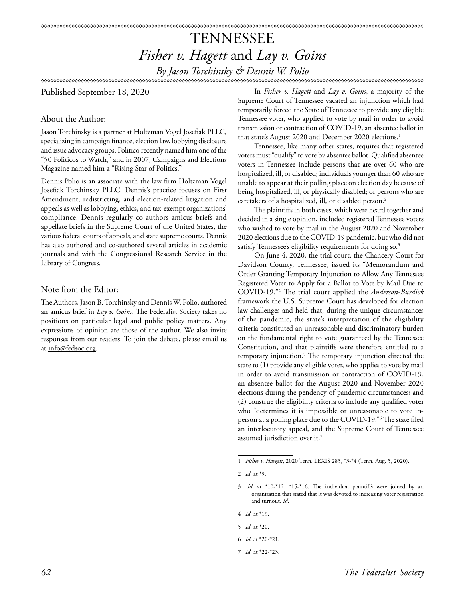## TENNESSEE *Fisher v. Hagett* and *Lay v. Goins By Jason Torchinsky & Dennis W. Polio*

Published September 18, 2020

### About the Author:

Jason Torchinsky is a partner at Holtzman Vogel Josefiak PLLC, specializing in campaign finance, election law, lobbying disclosure and issue advocacy groups. Politico recently named him one of the "50 Politicos to Watch," and in 2007, Campaigns and Elections Magazine named him a "Rising Star of Politics."

Dennis Polio is an associate with the law firm Holtzman Vogel Josefiak Torchinsky PLLC. Dennis's practice focuses on First Amendment, redistricting, and election-related litigation and appeals as well as lobbying, ethics, and tax-exempt organizations' compliance. Dennis regularly co-authors amicus briefs and appellate briefs in the Supreme Court of the United States, the various federal courts of appeals, and state supreme courts. Dennis has also authored and co-authored several articles in academic journals and with the Congressional Research Service in the Library of Congress.

### Note from the Editor:

The Authors, Jason B. Torchinsky and Dennis W. Polio, authored an amicus brief in *Lay v. Goins*. The Federalist Society takes no positions on particular legal and public policy matters. Any expressions of opinion are those of the author. We also invite responses from our readers. To join the debate, please email us at info@fedsoc.org.

In *Fisher v. Hagett* and *Lay v. Goins*, a majority of the Supreme Court of Tennessee vacated an injunction which had temporarily forced the State of Tennessee to provide any eligible Tennessee voter, who applied to vote by mail in order to avoid transmission or contraction of COVID-19, an absentee ballot in that state's August 2020 and December 2020 elections.<sup>1</sup>

Tennessee, like many other states, requires that registered voters must "qualify" to vote by absentee ballot. Qualified absentee voters in Tennessee include persons that are over 60 who are hospitalized, ill, or disabled; individuals younger than 60 who are unable to appear at their polling place on election day because of being hospitalized, ill, or physically disabled; or persons who are caretakers of a hospitalized, ill, or disabled person.2

The plaintiffs in both cases, which were heard together and decided in a single opinion, included registered Tennessee voters who wished to vote by mail in the August 2020 and November 2020 elections due to the COVID-19 pandemic, but who did not satisfy Tennessee's eligibility requirements for doing so.<sup>3</sup>

On June 4, 2020, the trial court, the Chancery Court for Davidson County, Tennessee, issued its "Memorandum and Order Granting Temporary Injunction to Allow Any Tennessee Registered Voter to Apply for a Ballot to Vote by Mail Due to COVID-19."4 The trial court applied the *Anderson-Burdick* framework the U.S. Supreme Court has developed for election law challenges and held that, during the unique circumstances of the pandemic, the state's interpretation of the eligibility criteria constituted an unreasonable and discriminatory burden on the fundamental right to vote guaranteed by the Tennessee Constitution, and that plaintiffs were therefore entitled to a temporary injunction.5 The temporary injunction directed the state to (1) provide any eligible voter, who applies to vote by mail in order to avoid transmission or contraction of COVID-19, an absentee ballot for the August 2020 and November 2020 elections during the pendency of pandemic circumstances; and (2) construe the eligibility criteria to include any qualified voter who "determines it is impossible or unreasonable to vote inperson at a polling place due to the COVID-19."6 The state filed an interlocutory appeal, and the Supreme Court of Tennessee assumed jurisdiction over it.7

- 4 *Id*. at \*19.
- 5 *Id*. at \*20.
- 6 *Id*. at \*20-\*21.
- 7 *Id*. at \*22-\*23.

<sup>1</sup> *Fisher v. Hargett*, 2020 Tenn. LEXIS 283, \*3-\*4 (Tenn. Aug. 5, 2020).

<sup>2</sup> *Id*. at \*9.

<sup>3</sup> *Id*. at \*10-\*12, \*15-\*16. The individual plaintiffs were joined by an organization that stated that it was devoted to increasing voter registration and turnout. *Id*.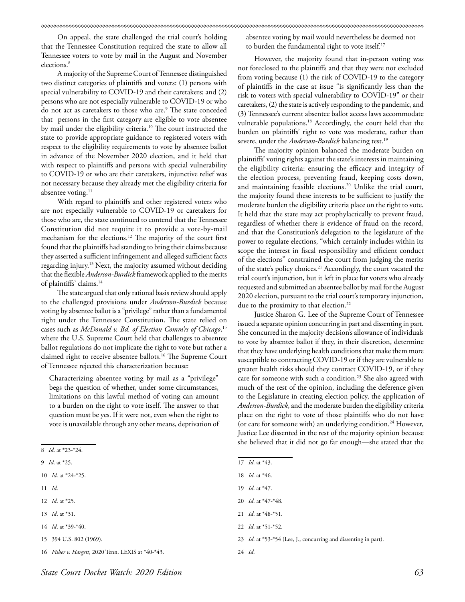On appeal, the state challenged the trial court's holding that the Tennessee Constitution required the state to allow all Tennessee voters to vote by mail in the August and November elections.<sup>8</sup>

A majority of the Supreme Court of Tennessee distinguished two distinct categories of plaintiffs and voters: (1) persons with special vulnerability to COVID-19 and their caretakers; and (2) persons who are not especially vulnerable to COVID-19 or who do not act as caretakers to those who are.9 The state conceded that persons in the first category are eligible to vote absentee by mail under the eligibility criteria.<sup>10</sup> The court instructed the state to provide appropriate guidance to registered voters with respect to the eligibility requirements to vote by absentee ballot in advance of the November 2020 election, and it held that with respect to plaintiffs and persons with special vulnerability to COVID-19 or who are their caretakers, injunctive relief was not necessary because they already met the eligibility criteria for absentee voting.<sup>11</sup>

With regard to plaintiffs and other registered voters who are not especially vulnerable to COVID-19 or caretakers for those who are, the state continued to contend that the Tennessee Constitution did not require it to provide a vote-by-mail mechanism for the elections.<sup>12</sup> The majority of the court first found that the plaintiffs had standing to bring their claims because they asserted a sufficient infringement and alleged sufficient facts regarding injury.13 Next, the majority assumed without deciding that the flexible *Anderson-Burdick* framework applied to the merits of plaintiffs' claims.<sup>14</sup>

The state argued that only rational basis review should apply to the challenged provisions under *Anderson-Burdick* because voting by absentee ballot is a "privilege" rather than a fundamental right under the Tennessee Constitution. The state relied on cases such as *McDonald v. Bd. of Election Comm'rs of Chicago*, 15 where the U.S. Supreme Court held that challenges to absentee ballot regulations do not implicate the right to vote but rather a claimed right to receive absentee ballots.16 The Supreme Court of Tennessee rejected this characterization because:

Characterizing absentee voting by mail as a "privilege" begs the question of whether, under some circumstances, limitations on this lawful method of voting can amount to a burden on the right to vote itself. The answer to that question must be yes. If it were not, even when the right to vote is unavailable through any other means, deprivation of

11 *Id*.

- 13 *Id*. at \*31.
- 14 *Id*. at \*39-\*40.

absentee voting by mail would nevertheless be deemed not to burden the fundamental right to vote itself.<sup>17</sup>

However, the majority found that in-person voting was not foreclosed to the plaintiffs and that they were not excluded from voting because (1) the risk of COVID-19 to the category of plaintiffs in the case at issue "is significantly less than the risk to voters with special vulnerability to COVID-19" or their caretakers, (2) the state is actively responding to the pandemic, and (3) Tennessee's current absentee ballot access laws accommodate vulnerable populations.<sup>18</sup> Accordingly, the court held that the burden on plaintiffs' right to vote was moderate, rather than severe, under the *Anderson-Burdick* balancing test.<sup>19</sup>

The majority opinion balanced the moderate burden on plaintiffs' voting rights against the state's interests in maintaining the eligibility criteria: ensuring the efficacy and integrity of the election process, preventing fraud, keeping costs down, and maintaining feasible elections.<sup>20</sup> Unlike the trial court, the majority found these interests to be sufficient to justify the moderate burden the eligibility criteria place on the right to vote. It held that the state may act prophylactically to prevent fraud, regardless of whether there is evidence of fraud on the record, and that the Constitution's delegation to the legislature of the power to regulate elections, "which certainly includes within its scope the interest in fiscal responsibility and efficient conduct of the elections" constrained the court from judging the merits of the state's policy choices.<sup>21</sup> Accordingly, the court vacated the trial court's injunction, but it left in place for voters who already requested and submitted an absentee ballot by mail for the August 2020 election, pursuant to the trial court's temporary injunction, due to the proximity to that election.<sup>22</sup>

Justice Sharon G. Lee of the Supreme Court of Tennessee issued a separate opinion concurring in part and dissenting in part. She concurred in the majority decision's allowance of individuals to vote by absentee ballot if they, in their discretion, determine that they have underlying health conditions that make them more susceptible to contracting COVID-19 or if they are vulnerable to greater health risks should they contract COVID-19, or if they care for someone with such a condition.<sup>23</sup> She also agreed with much of the rest of the opinion, including the deference given to the Legislature in creating election policy, the application of *Anderson-Burdick*, and the moderate burden the eligibility criteria place on the right to vote of those plaintiffs who do not have (or care for someone with) an underlying condition.<sup>24</sup> However, Justice Lee dissented in the rest of the majority opinion because she believed that it did not go far enough—she stated that the

20 *Id*. at \*47-\*48.

- 22 *Id*. at \*51-\*52.
- 23 *Id*. at \*53-\*54 (Lee, J., concurring and dissenting in part).

<sup>8</sup> *Id*. at \*23-\*24.

<sup>9</sup> *Id*. at \*25.

<sup>10</sup> *Id*. at \*24-\*25.

<sup>12</sup> *Id*. at \*25.

<sup>15 394</sup> U.S. 802 (1969).

<sup>16</sup> *Fisher v. Hargett*, 2020 Tenn. LEXIS at \*40-\*43.

<sup>17</sup> *Id*. at \*43.

<sup>18</sup> *Id*. at \*46.

<sup>19</sup> *Id*. at \*47.

<sup>21</sup> *Id*. at \*48-\*51.

<sup>24</sup> *Id*.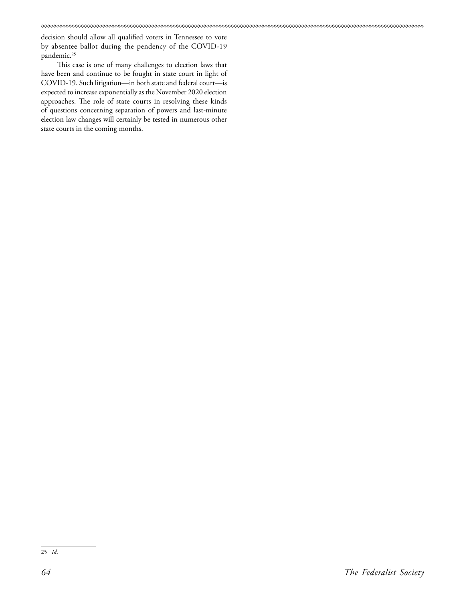decision should allow all qualified voters in Tennessee to vote by absentee ballot during the pendency of the COVID-19 pandemic.<sup>25</sup>

This case is one of many challenges to election laws that have been and continue to be fought in state court in light of COVID-19. Such litigation—in both state and federal court—is expected to increase exponentially as the November 2020 election approaches. The role of state courts in resolving these kinds of questions concerning separation of powers and last-minute election law changes will certainly be tested in numerous other state courts in the coming months.

<sup>25</sup> *Id*.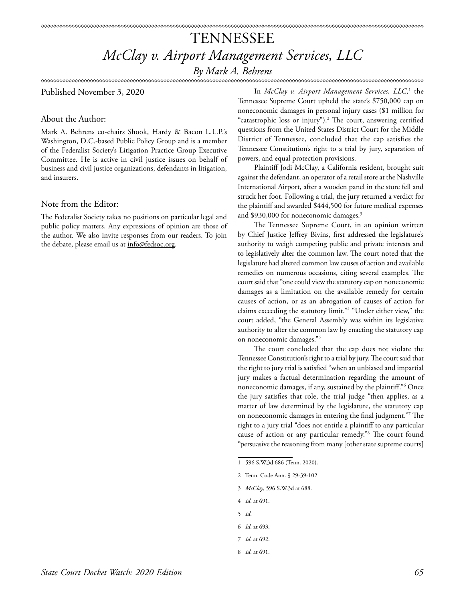*By Mark A. Behrens*

Published November 3, 2020

### About the Author:

Mark A. Behrens co-chairs Shook, Hardy & Bacon L.L.P.'s Washington, D.C.-based Public Policy Group and is a member of the Federalist Society's Litigation Practice Group Executive Committee. He is active in civil justice issues on behalf of business and civil justice organizations, defendants in litigation, and insurers.

### Note from the Editor:

The Federalist Society takes no positions on particular legal and public policy matters. Any expressions of opinion are those of the author. We also invite responses from our readers. To join the debate, please email us at info@fedsoc.org.

In *McClay v. Airport Management Services, LLC*,<sup>1</sup> the Tennessee Supreme Court upheld the state's \$750,000 cap on noneconomic damages in personal injury cases (\$1 million for "catastrophic loss or injury").<sup>2</sup> The court, answering certified questions from the United States District Court for the Middle District of Tennessee, concluded that the cap satisfies the Tennessee Constitution's right to a trial by jury, separation of powers, and equal protection provisions.

Plaintiff Jodi McClay, a California resident, brought suit against the defendant, an operator of a retail store at the Nashville International Airport, after a wooden panel in the store fell and struck her foot. Following a trial, the jury returned a verdict for the plaintiff and awarded \$444,500 for future medical expenses and \$930,000 for noneconomic damages.<sup>3</sup>

The Tennessee Supreme Court, in an opinion written by Chief Justice Jeffrey Bivins, first addressed the legislature's authority to weigh competing public and private interests and to legislatively alter the common law. The court noted that the legislature had altered common law causes of action and available remedies on numerous occasions, citing several examples. The court said that "one could view the statutory cap on noneconomic damages as a limitation on the available remedy for certain causes of action, or as an abrogation of causes of action for claims exceeding the statutory limit."4 "Under either view," the court added, "the General Assembly was within its legislative authority to alter the common law by enacting the statutory cap on noneconomic damages."5

The court concluded that the cap does not violate the Tennessee Constitution's right to a trial by jury. The court said that the right to jury trial is satisfied "when an unbiased and impartial jury makes a factual determination regarding the amount of noneconomic damages, if any, sustained by the plaintiff."6 Once the jury satisfies that role, the trial judge "then applies, as a matter of law determined by the legislature, the statutory cap on noneconomic damages in entering the final judgment."7 The right to a jury trial "does not entitle a plaintiff to any particular cause of action or any particular remedy."8 The court found "persuasive the reasoning from many [other state supreme courts]

- 3 *McClay*, 596 S.W.3d at 688.
- 4 *Id*. at 691.
- 5 *Id*.
- 6 *Id*. at 693.
- 7 *Id*. at 692.
- 8 *Id*. at 691.

<sup>1 596</sup> S.W.3d 686 (Tenn. 2020).

<sup>2</sup> Tenn. Code Ann. § 29-39-102.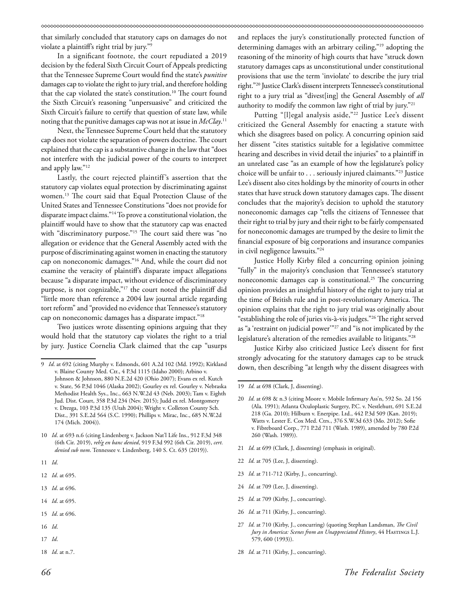that similarly concluded that statutory caps on damages do not violate a plaintiff's right trial by jury."<sup>9</sup>

In a significant footnote, the court repudiated a 2019 decision by the federal Sixth Circuit Court of Appeals predicting that the Tennessee Supreme Court would find the state's *punitive* damages cap to violate the right to jury trial, and therefore holding that the cap violated the state's constitution.<sup>10</sup> The court found the Sixth Circuit's reasoning "unpersuasive" and criticized the Sixth Circuit's failure to certify that question of state law, while noting that the punitive damages cap was not at issue in *McClay*. 11

Next, the Tennessee Supreme Court held that the statutory cap does not violate the separation of powers doctrine. The court explained that the cap is a substantive change in the law that "does not interfere with the judicial power of the courts to interpret and apply law."12

Lastly, the court rejected plaintiff's assertion that the statutory cap violates equal protection by discriminating against women.13 The court said that Equal Protection Clause of the United States and Tennessee Constitutions "does not provide for disparate impact claims."14 To prove a constitutional violation, the plaintiff would have to show that the statutory cap was enacted with "discriminatory purpose."<sup>15</sup> The court said there was "no allegation or evidence that the General Assembly acted with the purpose of discriminating against women in enacting the statutory cap on noneconomic damages."16 And, while the court did not examine the veracity of plaintiff's disparate impact allegations because "a disparate impact, without evidence of discriminatory purpose, is not cognizable,"<sup>17</sup> the court noted the plaintiff did "little more than reference a 2004 law journal article regarding tort reform" and "provided no evidence that Tennessee's statutory cap on noneconomic damages has a disparate impact."18

Two justices wrote dissenting opinions arguing that they would hold that the statutory cap violates the right to a trial by jury. Justice Cornelia Clark claimed that the cap "usurps

- 13 *Id*. at 696.
- 14 *Id*. at 695.
- 15 *Id*. at 696.
- 16 *Id*.

17 *Id*.

18 *Id*. at n.7.

and replaces the jury's constitutionally protected function of determining damages with an arbitrary ceiling,"19 adopting the reasoning of the minority of high courts that have "struck down statutory damages caps as unconstitutional under constitutional provisions that use the term 'inviolate' to describe the jury trial right."20 Justice Clark's dissent interprets Tennessee's constitutional right to a jury trial as "divest[ing] the General Assembly of *all*  authority to modify the common law right of trial by jury."21

Putting "[l]egal analysis aside,"22 Justice Lee's dissent criticized the General Assembly for enacting a statute with which she disagrees based on policy. A concurring opinion said her dissent "cites statistics suitable for a legislative committee hearing and describes in vivid detail the injuries" to a plaintiff in an unrelated case "as an example of how the legislature's policy choice will be unfair to . . . seriously injured claimants."23 Justice Lee's dissent also cites holdings by the minority of courts in other states that have struck down statutory damages caps. The dissent concludes that the majority's decision to uphold the statutory noneconomic damages cap "tells the citizens of Tennessee that their right to trial by jury and their right to be fairly compensated for noneconomic damages are trumped by the desire to limit the financial exposure of big corporations and insurance companies in civil negligence lawsuits."24

Justice Holly Kirby filed a concurring opinion joining "fully" in the majority's conclusion that Tennessee's statutory noneconomic damages cap is constitutional.<sup>25</sup> The concurring opinion provides an insightful history of the right to jury trial at the time of British rule and in post-revolutionary America. The opinion explains that the right to jury trial was originally about "establishing the role of juries vis-à-vis judges."26 The right served as "a 'restraint on judicial power'"27 and "is not implicated by the legislature's alteration of the remedies available to litigants."28

Justice Kirby also criticized Justice Lee's dissent for first strongly advocating for the statutory damages cap to be struck down, then describing "at length why the dissent disagrees with

- 21 *Id*. at 699 (Clark, J, dissenting) (emphasis in original).
- 22 *Id*. at 705 (Lee, J, dissenting).
- 23 *Id*. at 711-712 (Kirby, J., concurring).
- 24 *Id*. at 709 (Lee, J, dissenting).
- 25 *Id*. at 709 (Kirby, J., concurring).
- 26 *Id*. at 711 (Kirby, J., concurring).
- 27 *Id*. at 710 (Kirby, J., concurring) (quoting Stephan Landsman, *The Civil Jury in America: Scenes from an Unappreciated History*, 44 Hastings L.J. 579, 600 (1993)).
- 28 *Id*. at 711 (Kirby, J., concurring).

<sup>9</sup> *Id*. at 692 (citing Murphy v. Edmonds, 601 A.2d 102 (Md. 1992); Kirkland v. Blaine County Med. Ctr., 4 P.3d 1115 (Idaho 2000); Arbino v. Johnson & Johnson, 880 N.E.2d 420 (Ohio 2007); Evans ex rel. Kutch v. State, 56 P.3d 1046 (Alaska 2002); Gourley ex rel. Gourley v. Nebraska Methodist Health Sys., Inc., 663 N.W.2d 43 (Neb. 2003); Tam v. Eighth Jud. Dist. Court, 358 P.3d 234 (Nev. 2015); Judd ex rel. Montgomery v. Drezga, 103 P.3d 135 (Utah 2004); Wright v. Colleton County Sch. Dist., 391 S.E.2d 564 (S.C. 1990); Phillips v. Mirac, Inc., 685 N.W.2d 174 (Mich. 2004)).

<sup>10</sup> *Id*. at 693 n.6 (citing Lindenberg v. Jackson Nat'l Life Ins., 912 F.3d 348 (6th Cir. 2019), *reh'g en banc denied*, 919 F.3d 992 (6th Cir. 2019), *cert. denied sub nom*. Tennessee v. Lindenberg, 140 S. Ct. 635 (2019)).

<sup>11</sup> *Id*.

<sup>12</sup> *Id*. at 695.

<sup>19</sup> *Id*. at 698 (Clark, J, dissenting).

<sup>20</sup> *Id*. at 698 & n.3 (citing Moore v. Mobile Infirmary Ass'n, 592 So. 2d 156 (Ala. 1991); Atlanta Oculoplastic Surgery, P.C. v. Nestlehutt, 691 S.E.2d 218 (Ga. 2010); Hilburn v. Enerpipe. Ltd., 442 P.3d 509 (Kan. 2019); Watts v. Lester E. Cox Med. Ctrs., 376 S.W.3d 633 (Mo. 2012); Sofie v. Fibreboard Corp., 771 P.2d 711 (Wash. 1989), amended by 780 P.2d 260 (Wash. 1989)).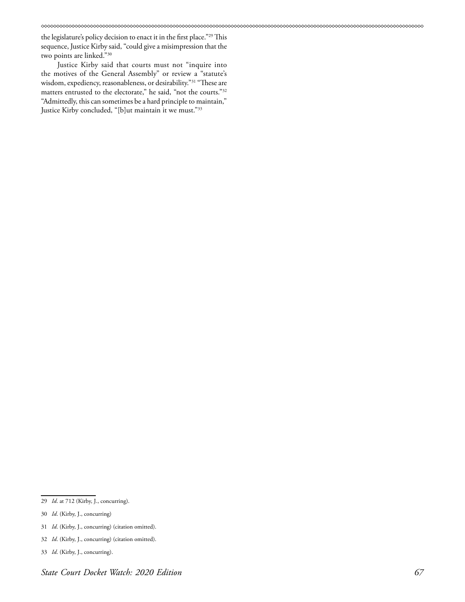the legislature's policy decision to enact it in the first place."29 This sequence, Justice Kirby said, "could give a misimpression that the two points are linked."30

Justice Kirby said that courts must not "inquire into the motives of the General Assembly" or review a "statute's wisdom, expediency, reasonableness, or desirability."31 "These are matters entrusted to the electorate," he said, "not the courts."32 "Admittedly, this can sometimes be a hard principle to maintain," Justice Kirby concluded, "[b]ut maintain it we must."33

<sup>29</sup> *Id*. at 712 (Kirby, J., concurring).

<sup>30</sup> *Id*. (Kirby, J., concurring)

<sup>31</sup> *Id*. (Kirby, J., concurring) (citation omitted).

<sup>32</sup> *Id*. (Kirby, J., concurring) (citation omitted).

<sup>33</sup> *Id*. (Kirby, J., concurring).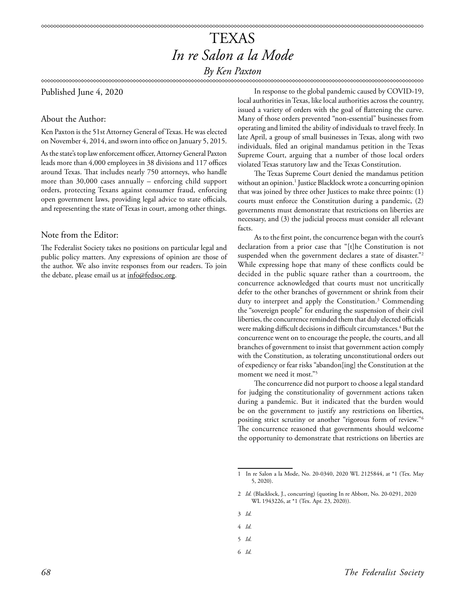# TEXAS *In re Salon a la Mode By Ken Paxton*

### Published June 4, 2020

About the Author:

Ken Paxton is the 51st Attorney General of Texas. He was elected on November 4, 2014, and sworn into office on January 5, 2015.

As the state's top law enforcement officer, Attorney General Paxton leads more than 4,000 employees in 38 divisions and 117 offices around Texas. That includes nearly 750 attorneys, who handle more than 30,000 cases annually – enforcing child support orders, protecting Texans against consumer fraud, enforcing open government laws, providing legal advice to state officials, and representing the state of Texas in court, among other things.

### Note from the Editor:

The Federalist Society takes no positions on particular legal and public policy matters. Any expressions of opinion are those of the author. We also invite responses from our readers. To join the debate, please email us at info@fedsoc.org.

In response to the global pandemic caused by COVID-19, local authorities in Texas, like local authorities across the country, issued a variety of orders with the goal of flattening the curve. Many of those orders prevented "non-essential" businesses from operating and limited the ability of individuals to travel freely. In late April, a group of small businesses in Texas, along with two individuals, filed an original mandamus petition in the Texas Supreme Court, arguing that a number of those local orders violated Texas statutory law and the Texas Constitution.

The Texas Supreme Court denied the mandamus petition without an opinion.1 Justice Blacklock wrote a concurring opinion that was joined by three other Justices to make three points: (1) courts must enforce the Constitution during a pandemic, (2) governments must demonstrate that restrictions on liberties are necessary, and (3) the judicial process must consider all relevant facts.

As to the first point, the concurrence began with the court's declaration from a prior case that "[t]he Constitution is not suspended when the government declares a state of disaster."<sup>2</sup> While expressing hope that many of these conflicts could be decided in the public square rather than a courtroom, the concurrence acknowledged that courts must not uncritically defer to the other branches of government or shrink from their duty to interpret and apply the Constitution.<sup>3</sup> Commending the "sovereign people" for enduring the suspension of their civil liberties, the concurrence reminded them that duly elected officials were making difficult decisions in difficult circumstances.<sup>4</sup> But the concurrence went on to encourage the people, the courts, and all branches of government to insist that government action comply with the Constitution, as tolerating unconstitutional orders out of expediency or fear risks "abandon[ing] the Constitution at the moment we need it most."5

The concurrence did not purport to choose a legal standard for judging the constitutionality of government actions taken during a pandemic. But it indicated that the burden would be on the government to justify any restrictions on liberties, positing strict scrutiny or another "rigorous form of review."6 The concurrence reasoned that governments should welcome the opportunity to demonstrate that restrictions on liberties are

- 3 *Id.*
- 4 *Id.*
- 5 *Id.*
- 6 *Id.*

<sup>1</sup> In re Salon a la Mode, No. 20-0340, 2020 WL 2125844, at \*1 (Tex. May 5, 2020).

<sup>2</sup> *Id.* (Blacklock, J., concurring) (quoting In re Abbott, No. 20-0291, 2020 WL 1943226, at \*1 (Tex. Apr. 23, 2020)).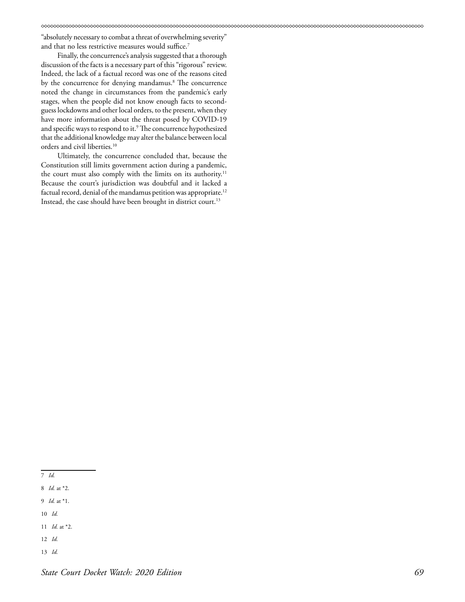"absolutely necessary to combat a threat of overwhelming severity" and that no less restrictive measures would suffice.<sup>7</sup>

Finally, the concurrence's analysis suggested that a thorough discussion of the facts is a necessary part of this "rigorous" review. Indeed, the lack of a factual record was one of the reasons cited by the concurrence for denying mandamus.<sup>8</sup> The concurrence noted the change in circumstances from the pandemic's early stages, when the people did not know enough facts to secondguess lockdowns and other local orders, to the present, when they have more information about the threat posed by COVID-19 and specific ways to respond to it.<sup>9</sup> The concurrence hypothesized that the additional knowledge may alter the balance between local orders and civil liberties.<sup>10</sup>

Ultimately, the concurrence concluded that, because the Constitution still limits government action during a pandemic, the court must also comply with the limits on its authority.<sup>11</sup> Because the court's jurisdiction was doubtful and it lacked a factual record, denial of the mandamus petition was appropriate.<sup>12</sup> Instead, the case should have been brought in district court.<sup>13</sup>

10 *Id.*

13 *Id.*

<sup>7</sup> *Id.*

<sup>8</sup> *Id.* at \*2.

<sup>9</sup> *Id.* at \*1.

<sup>11</sup> *Id.* at \*2.

<sup>12</sup> *Id.*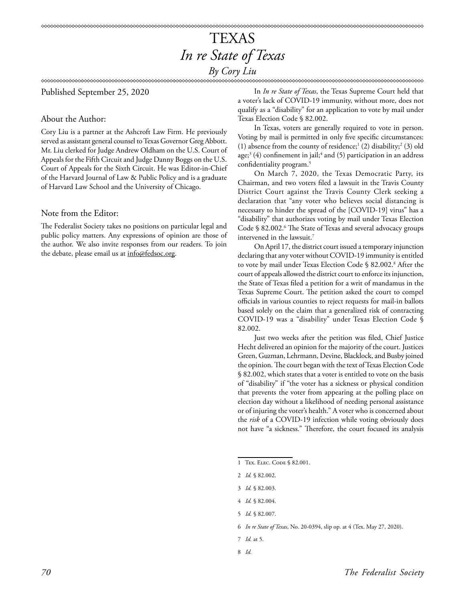# TEXAS *In re State of Texas By Cory Liu*

### Published September 25, 2020

### About the Author:

Cory Liu is a partner at the Ashcroft Law Firm. He previously served as assistant general counsel to Texas Governor Greg Abbott. Mr. Liu clerked for Judge Andrew Oldham on the U.S. Court of Appeals for the Fifth Circuit and Judge Danny Boggs on the U.S. Court of Appeals for the Sixth Circuit. He was Editor-in-Chief of the Harvard Journal of Law & Public Policy and is a graduate of Harvard Law School and the University of Chicago.

### Note from the Editor:

The Federalist Society takes no positions on particular legal and public policy matters. Any expressions of opinion are those of the author. We also invite responses from our readers. To join the debate, please email us at info@fedsoc.org.

In *In re State of Texas*, the Texas Supreme Court held that a voter's lack of COVID-19 immunity, without more, does not qualify as a "disability" for an application to vote by mail under Texas Election Code § 82.002.

In Texas, voters are generally required to vote in person. Voting by mail is permitted in only five specific circumstances: (1) absence from the county of residence;<sup>1</sup> (2) disability;<sup>2</sup> (3) old  $age; ^{3} (4)$  confinement in jail; $^{4}$  and (5) participation in an address confidentiality program.<sup>5</sup>

On March 7, 2020, the Texas Democratic Party, its Chairman, and two voters filed a lawsuit in the Travis County District Court against the Travis County Clerk seeking a declaration that "any voter who believes social distancing is necessary to hinder the spread of the [COVID-19] virus" has a "disability" that authorizes voting by mail under Texas Election Code § 82.002.<sup>6</sup> The State of Texas and several advocacy groups intervened in the lawsuit.7

On April 17, the district court issued a temporary injunction declaring that any voter without COVID-19 immunity is entitled to vote by mail under Texas Election Code § 82.002.8 After the court of appeals allowed the district court to enforce its injunction, the State of Texas filed a petition for a writ of mandamus in the Texas Supreme Court. The petition asked the court to compel officials in various counties to reject requests for mail-in ballots based solely on the claim that a generalized risk of contracting COVID-19 was a "disability" under Texas Election Code § 82.002.

Just two weeks after the petition was filed, Chief Justice Hecht delivered an opinion for the majority of the court. Justices Green, Guzman, Lehrmann, Devine, Blacklock, and Busby joined the opinion. The court began with the text of Texas Election Code § 82.002, which states that a voter is entitled to vote on the basis of "disability" if "the voter has a sickness or physical condition that prevents the voter from appearing at the polling place on election day without a likelihood of needing personal assistance or of injuring the voter's health." A voter who is concerned about the *risk* of a COVID-19 infection while voting obviously does not have "a sickness." Therefore, the court focused its analysis

5 *Id.* § 82.007.

<sup>1</sup> Tex. Elec. Code § 82.001.

<sup>2</sup> *Id.* § 82.002.

<sup>3</sup> *Id.* § 82.003.

<sup>4</sup> *Id.* § 82.004.

<sup>6</sup> *In re State of Texas*, No. 20-0394, slip op. at 4 (Tex. May 27, 2020).

<sup>7</sup> *Id.* at 5.

<sup>8</sup> *Id.*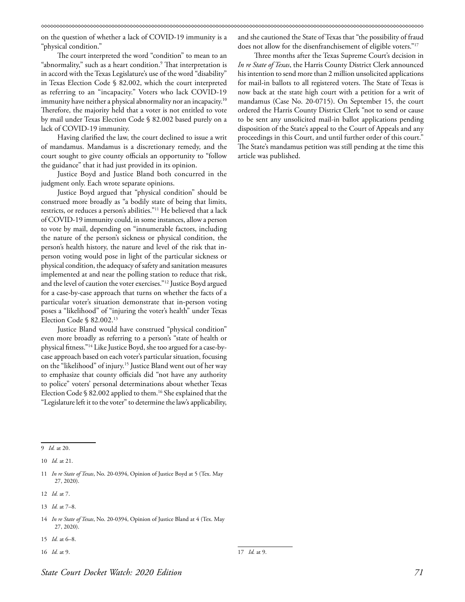on the question of whether a lack of COVID-19 immunity is a "physical condition."

The court interpreted the word "condition" to mean to an "abnormality," such as a heart condition. $9$  That interpretation is in accord with the Texas Legislature's use of the word "disability" in Texas Election Code § 82.002, which the court interpreted as referring to an "incapacity." Voters who lack COVID-19 immunity have neither a physical abnormality nor an incapacity.10 Therefore, the majority held that a voter is not entitled to vote by mail under Texas Election Code § 82.002 based purely on a lack of COVID-19 immunity.

Having clarified the law, the court declined to issue a writ of mandamus. Mandamus is a discretionary remedy, and the court sought to give county officials an opportunity to "follow the guidance" that it had just provided in its opinion.

Justice Boyd and Justice Bland both concurred in the judgment only. Each wrote separate opinions.

Justice Boyd argued that "physical condition" should be construed more broadly as "a bodily state of being that limits, restricts, or reduces a person's abilities."11 He believed that a lack of COVID-19 immunity could, in some instances, allow a person to vote by mail, depending on "innumerable factors, including the nature of the person's sickness or physical condition, the person's health history, the nature and level of the risk that inperson voting would pose in light of the particular sickness or physical condition, the adequacy of safety and sanitation measures implemented at and near the polling station to reduce that risk, and the level of caution the voter exercises."12 Justice Boyd argued for a case-by-case approach that turns on whether the facts of a particular voter's situation demonstrate that in-person voting poses a "likelihood" of "injuring the voter's health" under Texas Election Code § 82.002.<sup>13</sup>

Justice Bland would have construed "physical condition" even more broadly as referring to a person's "state of health or physical fitness."14 Like Justice Boyd, she too argued for a case-bycase approach based on each voter's particular situation, focusing on the "likelihood" of injury.15 Justice Bland went out of her way to emphasize that county officials did "not have any authority to police" voters' personal determinations about whether Texas Election Code § 82.002 applied to them.<sup>16</sup> She explained that the "Legislature left it to the voter" to determine the law's applicability,

- 12 *Id.* at 7.
- 13 *Id.* at 7–8.
- 14 *In re State of Texas*, No. 20-0394, Opinion of Justice Bland at 4 (Tex. May 27, 2020).
- 15 *Id.* at 6–8.
- 16 *Id.* at 9.

and she cautioned the State of Texas that "the possibility of fraud does not allow for the disenfranchisement of eligible voters."<sup>17</sup>

Three months after the Texas Supreme Court's decision in *In re State of Texas*, the Harris County District Clerk announced his intention to send more than 2 million unsolicited applications for mail-in ballots to all registered voters. The State of Texas is now back at the state high court with a petition for a writ of mandamus (Case No. 20-0715). On September 15, the court ordered the Harris County District Clerk "not to send or cause to be sent any unsolicited mail-in ballot applications pending disposition of the State's appeal to the Court of Appeals and any proceedings in this Court, and until further order of this court." The State's mandamus petition was still pending at the time this article was published.

<sup>9</sup> *Id.* at 20.

<sup>10</sup> *Id.* at 21.

<sup>11</sup> *In re State of Texas*, No. 20-0394, Opinion of Justice Boyd at 5 (Tex. May 27, 2020).

<sup>17</sup> *Id.* at 9.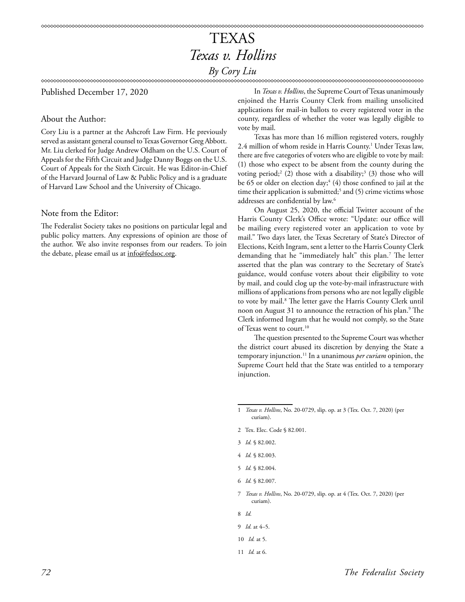## TEXAS *Texas v. Hollins By Cory Liu*

Published December 17, 2020

### About the Author:

Cory Liu is a partner at the Ashcroft Law Firm. He previously served as assistant general counsel to Texas Governor Greg Abbott. Mr. Liu clerked for Judge Andrew Oldham on the U.S. Court of Appeals for the Fifth Circuit and Judge Danny Boggs on the U.S. Court of Appeals for the Sixth Circuit. He was Editor-in-Chief of the Harvard Journal of Law & Public Policy and is a graduate of Harvard Law School and the University of Chicago.

### Note from the Editor:

The Federalist Society takes no positions on particular legal and public policy matters. Any expressions of opinion are those of the author. We also invite responses from our readers. To join the debate, please email us at info@fedsoc.org.

In *Texas v. Hollins*, the Supreme Court of Texas unanimously enjoined the Harris County Clerk from mailing unsolicited applications for mail-in ballots to every registered voter in the county, regardless of whether the voter was legally eligible to vote by mail.

Texas has more than 16 million registered voters, roughly 2.4 million of whom reside in Harris County.<sup>1</sup> Under Texas law, there are five categories of voters who are eligible to vote by mail: (1) those who expect to be absent from the county during the voting period;<sup>2</sup> (2) those with a disability;<sup>3</sup> (3) those who will be 65 or older on election day; $4$  (4) those confined to jail at the time their application is submitted;<sup>5</sup> and (5) crime victims whose addresses are confidential by law.6

On August 25, 2020, the official Twitter account of the Harris County Clerk's Office wrote: "Update: our office will be mailing every registered voter an application to vote by mail." Two days later, the Texas Secretary of State's Director of Elections, Keith Ingram, sent a letter to the Harris County Clerk demanding that he "immediately halt" this plan.7 The letter asserted that the plan was contrary to the Secretary of State's guidance, would confuse voters about their eligibility to vote by mail, and could clog up the vote-by-mail infrastructure with millions of applications from persons who are not legally eligible to vote by mail.8 The letter gave the Harris County Clerk until noon on August 31 to announce the retraction of his plan.<sup>9</sup> The Clerk informed Ingram that he would not comply, so the State of Texas went to court.<sup>10</sup>

The question presented to the Supreme Court was whether the district court abused its discretion by denying the State a temporary injunction.11 In a unanimous *per curiam* opinion, the Supreme Court held that the State was entitled to a temporary injunction.

- 3 *Id.* § 82.002.
- 4 *Id.* § 82.003.
- 5 *Id.* § 82.004.
- 6 *Id.* § 82.007.
- 7 *Texas v. Hollins*, No. 20-0729, slip. op. at 4 (Tex. Oct. 7, 2020) (per curiam).
- 8 *Id.*
- 9 *Id.* at 4–5.
- 10 *Id.* at 5.
- 11 *Id.* at 6.

<sup>1</sup> *Texas v. Hollins*, No. 20-0729, slip. op. at 3 (Tex. Oct. 7, 2020) (per curiam).

<sup>2</sup> Tex. Elec. Code § 82.001.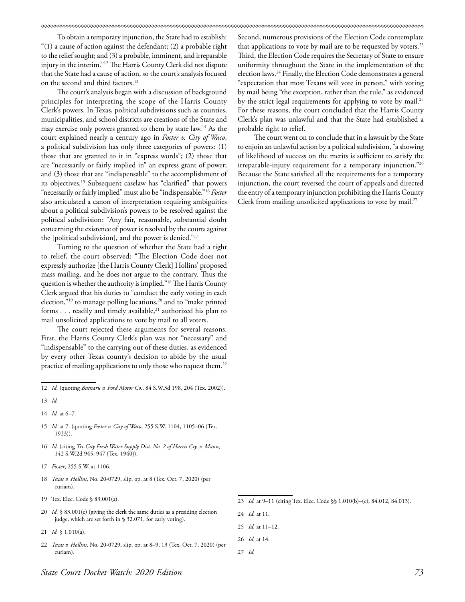To obtain a temporary injunction, the State had to establish: "(1) a cause of action against the defendant; (2) a probable right to the relief sought; and (3) a probable, imminent, and irreparable injury in the interim."12 The Harris County Clerk did not dispute that the State had a cause of action, so the court's analysis focused on the second and third factors.<sup>13</sup>

The court's analysis began with a discussion of background principles for interpreting the scope of the Harris County Clerk's powers. In Texas, political subdivisions such as counties, municipalities, and school districts are creations of the State and may exercise only powers granted to them by state law.14 As the court explained nearly a century ago in *Foster v. City of Waco*, a political subdivision has only three categories of powers: (1) those that are granted to it in "express words"; (2) those that are "necessarily or fairly implied in" an express grant of power; and (3) those that are "indispensable" to the accomplishment of its objectives.15 Subsequent caselaw has "clarified" that powers "necessarily or fairly implied" must also be "indispensable."16 *Foster*  also articulated a canon of interpretation requiring ambiguities about a political subdivision's powers to be resolved against the political subdivision: "Any fair, reasonable, substantial doubt concerning the existence of power is resolved by the courts against the [political subdivision], and the power is denied."17

Turning to the question of whether the State had a right to relief, the court observed: "The Election Code does not expressly authorize [the Harris County Clerk] Hollins' proposed mass mailing, and he does not argue to the contrary. Thus the question is whether the authority is implied."18 The Harris County Clerk argued that his duties to "conduct the early voting in each election,"<sup>19</sup> to manage polling locations,<sup>20</sup> and to "make printed forms  $\ldots$  readily and timely available,<sup>21</sup> authorized his plan to mail unsolicited applications to vote by mail to all voters.

The court rejected these arguments for several reasons. First, the Harris County Clerk's plan was not "necessary" and "indispensable" to the carrying out of these duties, as evidenced by every other Texas county's decision to abide by the usual practice of mailing applications to only those who request them.<sup>22</sup>

- 15 *Id.* at 7. (quoting *Foster v. City of Waco*, 255 S.W. 1104, 1105–06 (Tex. 1923)).
- 16 *Id.* (citing *Tri-City Fresh Water Supply Dist. No. 2 of Harris Cty. v. Mann*, 142 S.W.2d 945, 947 (Tex. 1940)).
- 17 *Foster*, 255 S.W. at 1106.
- 18 *Texas v. Hollins*, No. 20-0729, slip. op. at 8 (Tex. Oct. 7, 2020) (per curiam).
- 19 Tex. Elec. Code § 83.001(a).
- 20 *Id.* § 83.001(c) (giving the clerk the same duties as a presiding election judge, which are set forth in § 32.071, for early voting).
- 21 *Id.* § 1.010(a).
- 22 *Texas v. Hollins*, No. 20-0729, slip. op. at 8–9, 13 (Tex. Oct. 7, 2020) (per curiam).

Second, numerous provisions of the Election Code contemplate that applications to vote by mail are to be requested by voters.<sup>23</sup> Third, the Election Code requires the Secretary of State to ensure uniformity throughout the State in the implementation of the election laws.24 Finally, the Election Code demonstrates a general "expectation that most Texans will vote in person," with voting by mail being "the exception, rather than the rule," as evidenced by the strict legal requirements for applying to vote by mail.<sup>25</sup> For these reasons, the court concluded that the Harris County Clerk's plan was unlawful and that the State had established a probable right to relief.

The court went on to conclude that in a lawsuit by the State to enjoin an unlawful action by a political subdivision, "a showing of likelihood of success on the merits is sufficient to satisfy the irreparable-injury requirement for a temporary injunction."26 Because the State satisfied all the requirements for a temporary injunction, the court reversed the court of appeals and directed the entry of a temporary injunction prohibiting the Harris County Clerk from mailing unsolicited applications to vote by mail.<sup>27</sup>

- 25 *Id.* at 11–12.
- 26 *Id.* at 14.
- 27 *Id.*

<sup>12</sup> *Id.* (quoting *Butnaru v. Ford Motor Co.*, 84 S.W.3d 198, 204 (Tex. 2002)).

<sup>13</sup> *Id.*

<sup>14</sup> *Id.* at 6–7.

<sup>23</sup> *Id.* at 9–11 (citing Tex. Elec. Code §§ 1.010(b)–(c), 84.012, 84.013).

<sup>24</sup> *Id.* at 11.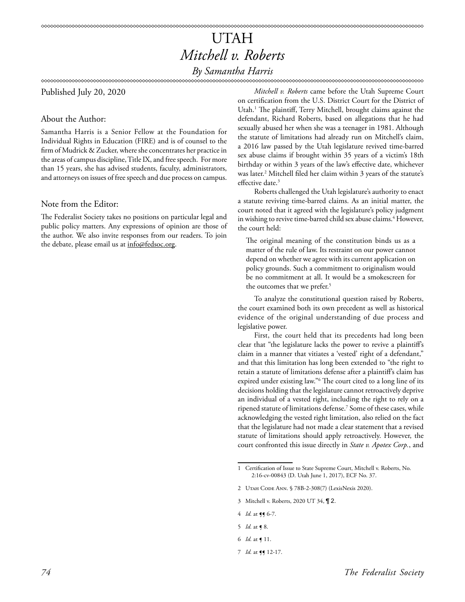# UTAH *Mitchell v. Roberts*

*By Samantha Harris*

Published July 20, 2020

About the Author:

Samantha Harris is a Senior Fellow at the Foundation for Individual Rights in Education (FIRE) and is of counsel to the firm of Mudrick & Zucker, where she concentrates her practice in the areas of campus discipline, Title IX, and free speech. For more than 15 years, she has advised students, faculty, administrators, and attorneys on issues of free speech and due process on campus.

## Note from the Editor:

The Federalist Society takes no positions on particular legal and public policy matters. Any expressions of opinion are those of the author. We also invite responses from our readers. To join the debate, please email us at info@fedsoc.org.

*Mitchell v. Roberts* came before the Utah Supreme Court on certification from the U.S. District Court for the District of Utah.1 The plaintiff, Terry Mitchell, brought claims against the defendant, Richard Roberts, based on allegations that he had sexually abused her when she was a teenager in 1981. Although the statute of limitations had already run on Mitchell's claim, a 2016 law passed by the Utah legislature revived time-barred sex abuse claims if brought within 35 years of a victim's 18th birthday or within 3 years of the law's effective date, whichever was later.2 Mitchell filed her claim within 3 years of the statute's effective date.<sup>3</sup>

Roberts challenged the Utah legislature's authority to enact a statute reviving time-barred claims. As an initial matter, the court noted that it agreed with the legislature's policy judgment in wishing to revive time-barred child sex abuse claims.4 However, the court held:

The original meaning of the constitution binds us as a matter of the rule of law. Its restraint on our power cannot depend on whether we agree with its current application on policy grounds. Such a commitment to originalism would be no commitment at all. It would be a smokescreen for the outcomes that we prefer.<sup>5</sup>

To analyze the constitutional question raised by Roberts, the court examined both its own precedent as well as historical evidence of the original understanding of due process and legislative power.

First, the court held that its precedents had long been clear that "the legislature lacks the power to revive a plaintiff's claim in a manner that vitiates a 'vested' right of a defendant," and that this limitation has long been extended to "the right to retain a statute of limitations defense after a plaintiff's claim has expired under existing law."6 The court cited to a long line of its decisions holding that the legislature cannot retroactively deprive an individual of a vested right, including the right to rely on a ripened statute of limitations defense.7 Some of these cases, while acknowledging the vested right limitation, also relied on the fact that the legislature had not made a clear statement that a revised statute of limitations should apply retroactively. However, the court confronted this issue directly in *State v. Apotex Corp.*, and

- 4 *Id.* at ¶¶ 6-7.
- 5 *Id.* at ¶ 8.
- 6 *Id.* at ¶ 11.
- 7 *Id.* at **[]** 12-17.

<sup>1</sup> Certification of Issue to State Supreme Court, Mitchell v. Roberts, No. 2:16-cv-00843 (D. Utah June 1, 2017), ECF No. 37.

<sup>2</sup> Utah Code Ann. § 78B-2-308(7) (LexisNexis 2020).

<sup>3</sup> Mitchell v. Roberts, 2020 UT 34, ¶ 2.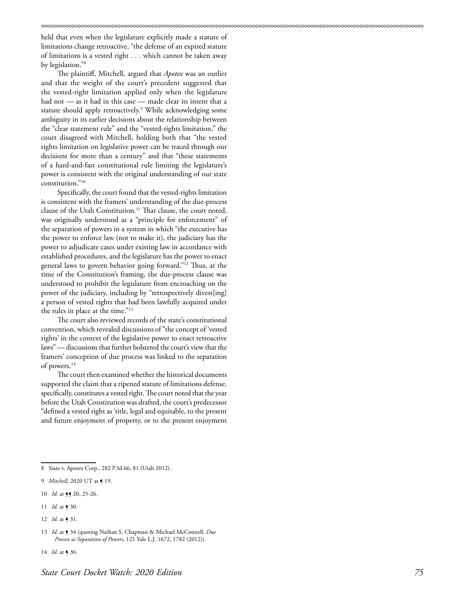held that even when the legislature explicitly made a statute of limitations change retroactive, "the defense of an expired statute of limitations is a vested right . . . which cannot be taken away by legislation."8

The plaintiff, Mitchell, argued that *Apotex* was an outlier and that the weight of the court's precedent suggested that the vested-right limitation applied only when the legislature had not — as it had in this case — made clear its intent that a statute should apply retroactively.9 While acknowledging some ambiguity in its earlier decisions about the relationship between the "clear statement rule" and the "vested-rights limitation," the court disagreed with Mitchell, holding both that "the vested rights limitation on legislative power can be traced through our decisions for more than a century" and that "these statements of a hard-and-fast constitutional rule limiting the legislature's power is consistent with the original understanding of our state constitution."10

Specifically, the court found that the vested-rights limitation is consistent with the framers' understanding of the due-process clause of the Utah Constitution.<sup>11</sup> That clause, the court noted, was originally understood as a "principle for enforcement" of the separation of powers in a system in which "the executive has the power to enforce law (not to make it), the judiciary has the power to adjudicate cases under existing law in accordance with established procedures, and the legislature has the power to enact general laws to govern behavior going forward."12 Thus, at the time of the Constitution's framing, the due-process clause was understood to prohibit the legislature from encroaching on the power of the judiciary, including by "retrospectively divest[ing] a person of vested rights that had been lawfully acquired under the rules in place at the time."13

The court also reviewed records of the state's constitutional convention, which revealed discussions of "the concept of 'vested rights' in the context of the legislative power to enact retroactive laws" — discussions that further bolstered the court's view that the framers' conception of due process was linked to the separation of powers.14

The court then examined whether the historical documents supported the claim that a ripened statute of limitations defense, specifically, constitutes a vested right. The court noted that the year before the Utah Constitution was drafted, the court's predecessor "defined a vested right as 'title, legal and equitable, to the present and future enjoyment of property, or to the present enjoyment

- 11 *Id.* at **[** 30.
- 12 *Id*. at ¶ 31.

14 *Id*. at ¶ 36.

<sup>8</sup> State v. Apotex Corp., 282 P.3d 66, 81 (Utah 2012).

<sup>9</sup> *Mitchell*, 2020 UT at **[** 19.

<sup>10</sup> *Id.* at  $\P$  **5** 20, 25-26.

<sup>13</sup> *Id*. at ¶ 34 (quoting Nathan S. Chapman & Michael McConnell, *Due Process as Separation of Powers*, 121 Yale L.J. 1672, 1782 (2012)).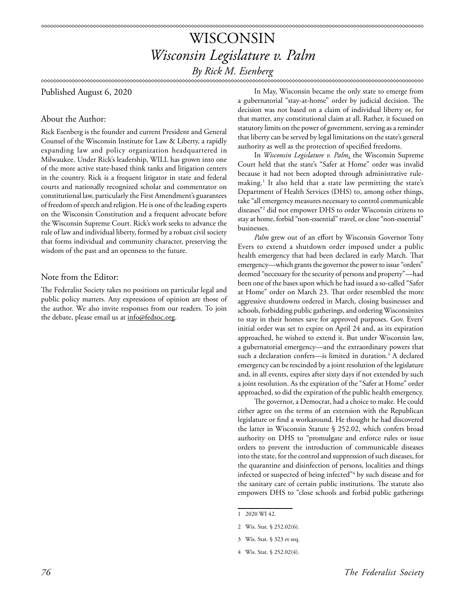# WISCONSIN *Wisconsin Legislature v. Palm By Rick M. Esenberg*

**∞∞∞∞∞∞∞∞∞∞∞∞∞** 

Published August 6, 2020

# About the Author:

Rick Esenberg is the founder and current President and General Counsel of the Wisconsin Institute for Law & Liberty, a rapidly expanding law and policy organization headquartered in Milwaukee. Under Rick's leadership, WILL has grown into one of the more active state-based think tanks and litigation centers in the country. Rick is a frequent litigator in state and federal courts and nationally recognized scholar and commentator on constitutional law, particularly the First Amendment's guarantees of freedom of speech and religion. He is one of the leading experts on the Wisconsin Constitution and a frequent advocate before the Wisconsin Supreme Court. Rick's work seeks to advance the rule of law and individual liberty, formed by a robust civil society that forms individual and community character, preserving the wisdom of the past and an openness to the future.

# Note from the Editor:

The Federalist Society takes no positions on particular legal and public policy matters. Any expressions of opinion are those of the author. We also invite responses from our readers. To join the debate, please email us at info@fedsoc.org.

In May, Wisconsin became the only state to emerge from a gubernatorial "stay-at-home" order by judicial decision. The decision was not based on a claim of individual liberty or, for that matter, any constitutional claim at all. Rather, it focused on statutory limits on the power of government, serving as a reminder that liberty can be served by legal limitations on the state's general authority as well as the protection of specified freedoms.

In *Wisconsin Legislature v. Palm*, the Wisconsin Supreme Court held that the state's "Safer at Home" order was invalid because it had not been adopted through administrative rulemaking.1 It also held that a state law permitting the state's Department of Health Services (DHS) to, among other things, take "all emergency measures necessary to control communicable diseases"2 did not empower DHS to order Wisconsin citizens to stay at home, forbid "non-essential" travel, or close "non-essential" businesses.

*Palm* grew out of an effort by Wisconsin Governor Tony Evers to extend a shutdown order imposed under a public health emergency that had been declared in early March. That emergency—which grants the governor the power to issue "orders" deemed "necessary for the security of persons and property"—had been one of the bases upon which he had issued a so-called "Safer at Home" order on March 23. That order resembled the more aggressive shutdowns ordered in March, closing businesses and schools, forbidding public gatherings, and ordering Wisconsinites to stay in their homes save for approved purposes. Gov. Evers' initial order was set to expire on April 24 and, as its expiration approached, he wished to extend it. But under Wisconsin law, a gubernatorial emergency—and the extraordinary powers that such a declaration confers—is limited in duration.<sup>3</sup> A declared emergency can be rescinded by a joint resolution of the legislature and, in all events, expires after sixty days if not extended by such a joint resolution. As the expiration of the "Safer at Home" order approached, so did the expiration of the public health emergency.

The governor, a Democrat, had a choice to make. He could either agree on the terms of an extension with the Republican legislature or find a workaround. He thought he had discovered the latter in Wisconsin Statute § 252.02, which confers broad authority on DHS to "promulgate and enforce rules or issue orders to prevent the introduction of communicable diseases into the state, for the control and suppression of such diseases, for the quarantine and disinfection of persons, localities and things infected or suspected of being infected"4 by such disease and for the sanitary care of certain public institutions. The statute also empowers DHS to "close schools and forbid public gatherings

<sup>1 2020</sup> WI 42.

<sup>2</sup> Wis. Stat. § 252.02(6).

<sup>3</sup> Wis. Stat. § 323 et seq.

<sup>4</sup> Wis. Stat. § 252.02(4).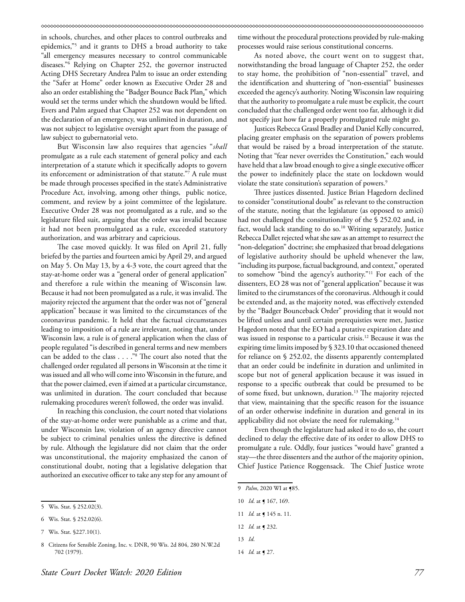in schools, churches, and other places to control outbreaks and epidemics,"5 and it grants to DHS a broad authority to take "all emergency measures necessary to control communicable diseases."6 Relying on Chapter 252, the governor instructed Acting DHS Secretary Andrea Palm to issue an order extending the "Safer at Home" order known as [Executive Order 28](https://docs.legis.wisconsin.gov/code/executive_orders/2019_tony_evers/2019-28.pdf) and also an order establishing the ["Badger Bounce Back Plan](https://www.dhs.wisconsin.gov/publications/p02653a.pdf)," which would set the terms under which the shutdown would be lifted. Evers and Palm argued that Chapter 252 was not dependent on the declaration of an emergency, was unlimited in duration, and was not subject to legislative oversight apart from the passage of law subject to gubernatorial veto.

But Wisconsin law also requires that agencies "*shall* promulgate as a rule each statement of general policy and each interpretation of a statute which it specifically adopts to govern its enforcement or administration of that statute."7 A rule must be made through processes specified in the state's Administrative Procedure Act, involving, among other things, public notice, comment, and review by a joint committee of the legislature. Executive Order 28 was not promulgated as a rule, and so the legislature filed suit, arguing that the order was invalid because it had not been promulgated as a rule, exceeded statutory authorization, and was arbitrary and capricious.

The case moved quickly. It was filed on April 21, fully briefed by the parties and fourteen amici by April 29, and argued on May 5. On May 13, by a 4-3 vote, the court agreed that the stay-at-home order was a "general order of general application" and therefore a rule within the meaning of Wisconsin law. Because it had not been promulgated as a rule, it was invalid. The majority rejected the argument that the order was not of "general application" because it was limited to the circumstances of the coronavirus pandemic. It held that the factual circumstances leading to imposition of a rule are irrelevant, noting that, under Wisconsin law, a rule is of general application when the class of people regulated "is described in general terms and new members can be added to the class . . . ."8 The court also noted that the challenged order regulated all persons in Wisconsin at the time it was issued and all who will come into Wisconsin in the future, and that the power claimed, even if aimed at a particular circumstance, was unlimited in duration. The court concluded that because rulemaking procedures weren't followed, the order was invalid.

In reaching this conclusion, the court noted that violations of the stay-at-home order were punishable as a crime and that, under Wisconsin law, violation of an agency directive cannot be subject to criminal penalties unless the directive is defined by rule. Although the legislature did not claim that the order was unconstitutional, the majority emphasized the canon of constitutional doubt, noting that a legislative delegation that authorized an executive officer to take any step for any amount of

*State Court Docket Watch: 2020 Edition 77*

time without the procedural protections provided by rule-making processes would raise serious constitutional concerns.

As noted above, the court went on to suggest that, notwithstanding the broad language of Chapter 252, the order to stay home, the prohibition of "non-essential" travel, and the identification and shuttering of "non-essential" businesses exceeded the agency's authority. Noting Wisconsin law requiring that the authority to promulgate a rule must be explicit, the court concluded that the challenged order went too far, although it did not specify just how far a properly promulgated rule might go.

Justices Rebecca Grassl Bradley and Daniel Kelly concurred, placing greater emphasis on the separation of powers problems that would be raised by a broad interpretation of the statute. Noting that "fear never overrides the Constitution," each would have held that a law broad enough to give a single executive officer the power to indefinitely place the state on lockdown would violate the state consitution's separation of powers.<sup>9</sup>

Three justices dissented. Justice Brian Hagedorn declined to consider "constitutional doubt" as relevant to the construction of the statute, noting that the legislature (as opposed to amici) had not challenged the consitutionality of the § 252.02 and, in fact, would lack standing to do so.<sup>10</sup> Writing separately, Justice Rebecca Dallet rejected what she saw as an attempt to resurrect the "non-delegation" doctrine; she emphasized that broad delegations of legislative authority should be upheld whenever the law, "including its purpose, factual background, and context," operated to somehow "bind the agency's authority."11 For each of the dissenters, EO 28 was not of "general application" because it was limited to the cirumstances of the coronavirus. Although it could be extended and, as the majority noted, was effectively extended by the "Badger Bounceback Order" providing that it would not be lifted unless and until certain prerequisties were met, Justice Hagedorn noted that the EO had a putative expiration date and was issued in response to a particular crisis.<sup>12</sup> Because it was the expiring time limits imposed by § 323.10 that occasioned theneed for reliance on § 252.02, the dissents apparently contemplated that an order could be indefinite in duration and unlimited in scope but not of general application because it was issued in response to a specific outbreak that could be presumed to be of some fixed, but unknown, duration.<sup>13</sup> The majority rejected that view, maintaining that the specific reason for the issuance of an order otherwise indefinite in duration and general in its applicability did not obviate the need for rulemaking. $14$ 

Even though the legislature had asked it to do so, the court declined to delay the effective date of its order to allow DHS to promulgate a rule. Oddly, four justices "would have" granted a stay—the three dissenters and the author of the majority opinion, Chief Justice Patience Roggensack. The Chief Justice wrote

10 *Id*. at ¶ 167, 169.

- 12 *Id.* at **[** 232.
- 13 *Id*.

<sup>5</sup> Wis. Stat. § 252.02(3).

<sup>6</sup> Wis. Stat. § 252.02(6).

<sup>7</sup> Wis. Stat. §227.10(1).

<sup>8</sup> Citizens for Sensible Zoning, Inc. v. DNR, 90 Wis. 2d 804, 280 N.W.2d 702 (1979).

<sup>9</sup> *Palm*, 2020 WI at ¶85.

<sup>11</sup> *Id.* at **[** 145 n. 11.

<sup>14</sup> *Id.* at ¶ 27.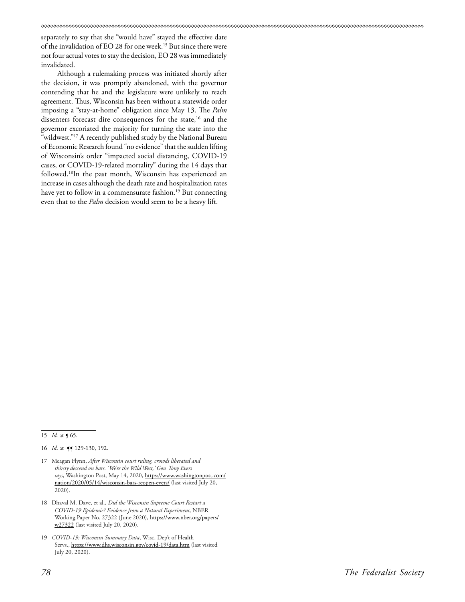separately to say that she "would have" stayed the effective date of the invalidation of EO 28 for one week.<sup>15</sup> But since there were not four actual votes to stay the decision, EO 28 was immediately invalidated.

Although a rulemaking process was initiated shortly after the decision, it was promptly abandoned, with the governor contending that he and the legislature were unlikely to reach agreement. Thus, Wisconsin has been without a statewide order imposing a "stay-at-home" obligation since May 13. The *Palm* dissenters forecast dire consequences for the state,<sup>16</sup> and the governor excoriated the majority for turning the state into the "wildwest."<sup>17</sup> A recently published study by the National Bureau of Economic Research found "no evidence" that the sudden lifting of Wisconsin's order "impacted social distancing, COVID-19 cases, or COVID-19-related mortality" during the 14 days that followed.18In the past month, Wisconsin has experienced an increase in cases although the death rate and hospitalization rates have yet to follow in a commensurate fashion.<sup>19</sup> But connecting even that to the *Palm* decision would seem to be a heavy lift.

- 17 Meagan Flynn, *After Wisconsin court ruling, crowds liberated and thirsty descend on bars. 'We're the Wild West,' Gov. Tony Evers says*, Washington Post, May 14, 2020, [https://www.washingtonpost.com/](https://www.washingtonpost.com/nation/2020/05/14/wisconsin-bars-reopen-evers/) [nation/2020/05/14/wisconsin-bars-reopen-evers/](https://www.washingtonpost.com/nation/2020/05/14/wisconsin-bars-reopen-evers/) (last visited July 20, 2020).
- 18 Dhaval M. Dave, et al., *Did the Wisconsin Supreme Court Restart a COVID-19 Epidemic? Evidence from a Natural Experiment*, NBER Working Paper No. 27322 (June 2020), [https://www.nber.org/papers/](https://www.nber.org/papers/w27322) w<sub>27322</sub> (last visited July 20, 2020).
- 19 *COVID-19: Wisconsin Summary Data*, Wisc. Dep't of Health Servs., <https://www.dhs.wisconsin.gov/covid-19/data.htm>(last visited July 20, 2020).

<sup>15</sup> *Id.* at ¶ 65.

<sup>16</sup> *Id.* at  $\P$ [ 129-130, 192.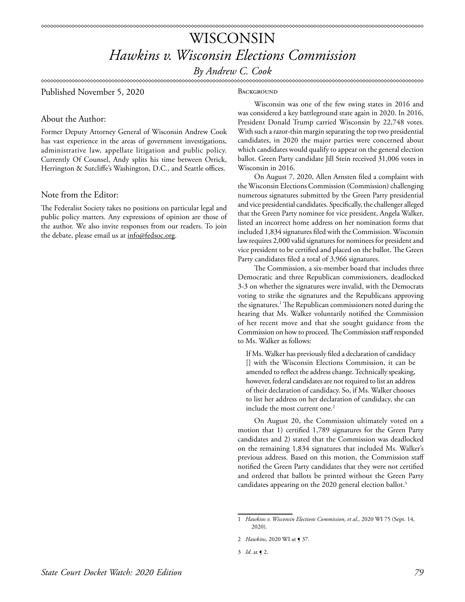# WISCONSIN *Hawkins v. Wisconsin Elections Commission*

*By Andrew C. Cook*

Published November 5, 2020

#### **BACKGROUND**

About the Author:

Former Deputy Attorney General of Wisconsin Andrew Cook has vast experience in the areas of government investigations, administrative law, appellate litigation and public policy. Currently Of Counsel, Andy splits his time between Orrick, Herrington & Sutcliffe's Washington, D.C., and Seattle offices.

## Note from the Editor:

The Federalist Society takes no positions on particular legal and public policy matters. Any expressions of opinion are those of the author. We also invite responses from our readers. To join the debate, please email us at info@fedsoc.org.

Wisconsin was one of the few swing states in 2016 and was considered a key battleground state again in 2020. In 2016, President Donald Trump carried Wisconsin by 22,748 votes. With such a razor-thin margin separating the top two presidential candidates, in 2020 the major parties were concerned about which candidates would qualify to appear on the general election ballot. Green Party candidate Jill Stein received 31,006 votes in Wisconsin in 2016.

On August 7, 2020, Allen Arnsten filed a complaint with the Wisconsin Elections Commission (Commission) challenging numerous signatures submitted by the Green Party presidential and vice presidential candidates. Specifically, the challenger alleged that the Green Party nominee for vice president, Angela Walker, listed an incorrect home address on her nomination forms that included 1,834 signatures filed with the Commission. Wisconsin law requires 2,000 valid signatures for nominees for president and vice president to be certified and placed on the ballot. The Green Party candidates filed a total of 3,966 signatures.

The Commission, a six-member board that includes three Democratic and three Republican commissioners, deadlocked 3-3 on whether the signatures were invalid, with the Democrats voting to strike the signatures and the Republicans approving the signatures.1 The Republican commissioners noted during the hearing that Ms. Walker voluntarily notified the Commission of her recent move and that she sought guidance from the Commission on how to proceed. The Commission staff responded to Ms. Walker as follows:

If Ms. Walker has previously filed a declaration of candidacy [] with the Wisconsin Elections Commission, it can be amended to reflect the address change. Technically speaking, however, federal candidates are not required to list an address of their declaration of candidacy. So, if Ms. Walker chooses to list her address on her declaration of candidacy, she can include the most current one.<sup>2</sup>

On August 20, the Commission ultimately voted on a motion that 1) certified 1,789 signatures for the Green Party candidates and 2) stated that the Commission was deadlocked on the remaining 1,834 signatures that included Ms. Walker's previous address. Based on this motion, the Commission staff notified the Green Party candidates that they were not certified and ordered that ballots be printed without the Green Party candidates appearing on the 2020 general election ballot.<sup>3</sup>

<sup>1</sup> *Hawkins v. Wisconsin Elections Commission, et al*., 2020 WI 75 (Sept. 14, 2020).

<sup>2</sup> *Hawkins*, 2020 WI at **[** 37.

<sup>3</sup> *Id*. at ¶ 2.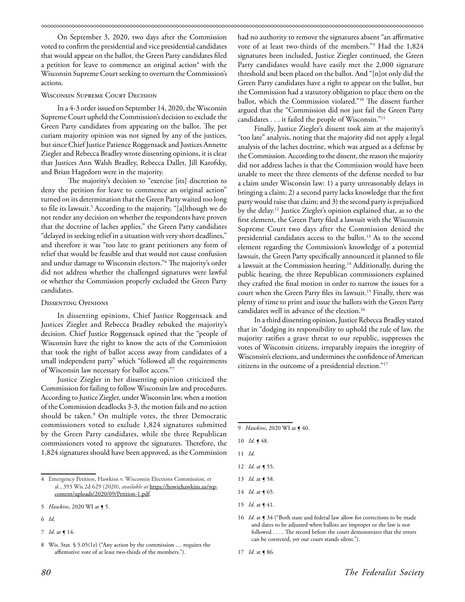On September 3, 2020, two days after the Commission voted to confirm the presidential and vice presidential candidates that would appear on the ballot, the Green Party candidates filed a petition for leave to commence an original action $4\,$  with the Wisconsin Supreme Court seeking to overturn the Commission's actions.

### Wisconsin Supreme Court Decision

In a 4-3 order issued on September 14, 2020, the Wisconsin Supreme Court upheld the Commission's decision to exclude the Green Party candidates from appearing on the ballot. The per curiam majority opinion was not signed by any of the justices, but since Chief Justice Patience Roggensack and Justices Annette Ziegler and Rebecca Bradley wrote dissenting opinions, it is clear that Justices Ann Walsh Bradley, Rebecca Dallet, Jill Karofsky, and Brian Hagedorn were in the majority.

The majority's decision to "exercise [its] discretion to deny the petition for leave to commence an original action" turned on its determination that the Green Party waited too long to file its lawsuit.5 According to the majority, "[a]lthough we do not render any decision on whether the respondents have proven that the doctrine of laches applies," the Green Party candidates "delayed in seeking relief in a situation with very short deadlines," and therefore it was "too late to grant petitioners any form of relief that would be feasible and that would not cause confusion and undue damage to Wisconsin electors."6 The majority's order did not address whether the challenged signatures were lawful or whether the Commission properly excluded the Green Party candidates.

### Dissenting Opinions

In dissenting opinions, Chief Justice Roggensack and Justices Ziegler and Rebecca Bradley rebuked the majority's decision. Chief Justice Roggensack opined that the "people of Wisconsin have the right to know the acts of the Commission that took the right of ballot access away from candidates of a small independent party" which "followed all the requirements of Wisconsin law necessary for ballot access."7

Justice Ziegler in her dissenting opinion criticized the Commission for failing to follow Wisconsin law and procedures. According to Justice Ziegler, under Wisconsin law, when a motion of the Commission deadlocks 3-3, the motion fails and no action should be taken.8 On multiple votes, the three Democratic commissioners voted to exclude 1,824 signatures submitted by the Green Party candidates, while the three Republican commissioners voted to approve the signatures. Therefore, the 1,824 signatures should have been approved, as the Commission

6 *Id*.

had no authority to remove the signatures absent "an affirmative vote of at least two-thirds of the members."9 Had the 1,824 signatures been included, Justice Ziegler continued, the Green Party candidates would have easily met the 2,000 signature threshold and been placed on the ballot. And "[n]ot only did the Green Party candidates have a right to appear on the ballot, but the Commission had a statutory obligation to place them on the ballot, which the Commission violated."10 The dissent further argued that the "Commission did not just fail the Green Party candidates . . . it failed the people of Wisconsin."11

Finally, Justice Ziegler's dissent took aim at the majority's "too late" analysis, noting that the majority did not apply a legal analysis of the laches doctrine, which was argued as a defense by the Commission. According to the dissent, the reason the majority did not address laches is that the Commission would have been unable to meet the three elements of the defense needed to bar a claim under Wisconsin law: 1) a party unreasonably delays in bringing a claim; 2) a second party lacks knowledge that the first party would raise that claim; and 3) the second party is prejudiced by the delay.12 Justice Ziegler's opinion explained that, as to the first element, the Green Party filed a lawsuit with the Wisconsin Supreme Court two days after the Commission denied the presidential candidates access to the ballot.<sup>13</sup> As to the second element regarding the Commission's knowledge of a potential lawsuit, the Green Party specifically announced it planned to file a lawsuit at the Commission hearing.14 Additionally, during the public hearing, the three Republican commissioners explained they crafted the final motion in order to narrow the issues for a court when the Green Party files its lawsuit.<sup>15</sup> Finally, there was plenty of time to print and issue the ballots with the Green Party candidates well in advance of the election.<sup>16</sup>

In a third dissenting opinion, Justice Rebecca Bradley stated that in "dodging its responsibility to uphold the rule of law, the majority ratifies a grave threat to our republic, suppresses the votes of Wisconsin citizens, irreparably impairs the integrity of Wisconsin's elections, and undermines the confidence of American citizens in the outcome of a presidential election."17

15 *Id*. at ¶ 41.

<sup>4</sup> Emergency Petition, Hawkins v. Wisconsin Elections Commission, et al., 393 Wis.2d 629 (2020), *available at* [https://howiehawkins.us/wp](https://howiehawkins.us/wp-content/uploads/2020/09/Petition-1.pdf)[content/uploads/2020/09/Petition-1.pdf](https://howiehawkins.us/wp-content/uploads/2020/09/Petition-1.pdf).

<sup>5</sup> *Hawkins*, 2020 WI at **[** 5.

<sup>7</sup> *Id*. at ¶ 14.

<sup>8</sup> Wis. Stat. § 5.05(1e) ("Any action by the commission … requires the affirmative vote of at least two-thirds of the members.").

<sup>9</sup> *Hawkins*, 2020 WI at  $\leq 40$ .

<sup>10</sup> *Id.* **q** 48.

<sup>11</sup> *Id*.

<sup>12</sup> *Id*. at ¶ 55.

<sup>13</sup> *Id*. at ¶ 58.

<sup>14</sup> *Id*. at ¶ 65.

<sup>16</sup> *Id.* at  $\int$  34 ("Both state and federal law allow for corrections to be made and dates to be adjusted when ballots are improper or the law is not followed . . . . The record before the court demonstrates that the errors can be corrected, yet our court stands silent.").

<sup>17</sup> *Id*. at ¶ 86.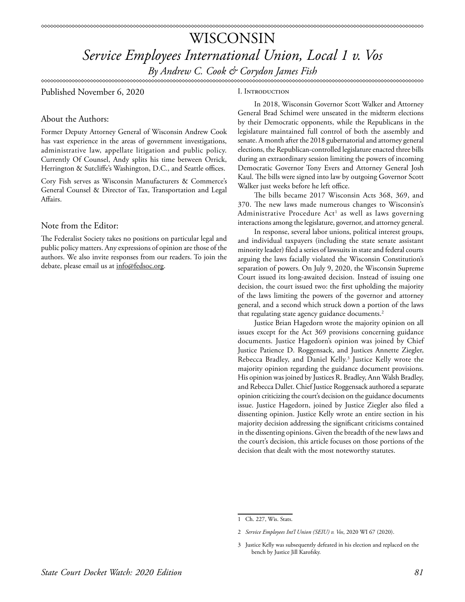# WISCONSIN *Service Employees International Union, Local 1 v. Vos*

*By Andrew C. Cook & Corydon James Fish*

Published November 6, 2020

## I. Introduction

About the Authors:

Former Deputy Attorney General of Wisconsin Andrew Cook has vast experience in the areas of government investigations, administrative law, appellate litigation and public policy. Currently Of Counsel, Andy splits his time between Orrick, Herrington & Sutcliffe's Washington, D.C., and Seattle offices.

Cory Fish serves as Wisconsin Manufacturers & Commerce's General Counsel & Director of Tax, Transportation and Legal Affairs.

# Note from the Editor:

The Federalist Society takes no positions on particular legal and public policy matters. Any expressions of opinion are those of the authors. We also invite responses from our readers. To join the debate, please email us at info@fedsoc.org.

In 2018, Wisconsin Governor Scott Walker and Attorney General Brad Schimel were unseated in the midterm elections by their Democratic opponents, while the Republicans in the legislature maintained full control of both the assembly and senate. A month after the 2018 gubernatorial and attorney general elections, the Republican-controlled legislature enacted three bills during an extraordinary session limiting the powers of incoming Democratic Governor Tony Evers and Attorney General Josh Kaul. The bills were signed into law by outgoing Governor Scott Walker just weeks before he left office.

The bills became 2017 Wisconsin Acts 368, 369, and 370. The new laws made numerous changes to Wisconsin's Administrative Procedure Act<sup>1</sup> as well as laws governing interactions among the legislature, governor, and attorney general.

In response, several labor unions, political interest groups, and individual taxpayers (including the state senate assistant minority leader) filed a series of lawsuits in state and federal courts arguing the laws facially violated the Wisconsin Constitution's separation of powers. On July 9, 2020, the Wisconsin Supreme Court issued its long-awaited decision. Instead of issuing one decision, the court issued two: the first upholding the majority of the laws limiting the powers of the governor and attorney general, and a second which struck down a portion of the laws that regulating state agency guidance documents.<sup>2</sup>

Justice Brian Hagedorn wrote the majority opinion on all issues except for the Act 369 provisions concerning guidance documents. Justice Hagedorn's opinion was joined by Chief Justice Patience D. Roggensack, and Justices Annette Ziegler, Rebecca Bradley, and Daniel Kelly.3 Justice Kelly wrote the majority opinion regarding the guidance document provisions. His opinion was joined by Justices R. Bradley, Ann Walsh Bradley, and Rebecca Dallet. Chief Justice Roggensack authored a separate opinion criticizing the court's decision on the guidance documents issue. Justice Hagedorn, joined by Justice Ziegler also filed a dissenting opinion. Justice Kelly wrote an entire section in his majority decision addressing the significant criticisms contained in the dissenting opinions. Given the breadth of the new laws and the court's decision, this article focuses on those portions of the decision that dealt with the most noteworthy statutes.

<sup>1</sup> Ch. 227, Wis. Stats.

<sup>2</sup> *Service Employees Int'l Union (SEIU) v. Vos*, 2020 WI 67 (2020).

<sup>3</sup> Justice Kelly was subsequently defeated in his election and replaced on the bench by Justice Jill Karofsky.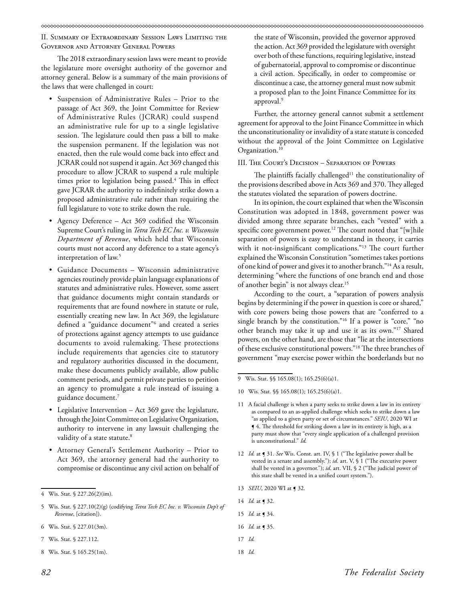II. Summary of Extraordinary Session Laws Limiting the Governor and Attorney General Powers

The 2018 extraordinary session laws were meant to provide the legislature more oversight authority of the governor and attorney general. Below is a summary of the main provisions of the laws that were challenged in court:

- Suspension of Administrative Rules Prior to the passage of Act 369, the Joint Committee for Review of Administrative Rules (JCRAR) could suspend an administrative rule for up to a single legislative session. The legislature could then pass a bill to make the suspension permanent. If the legislation was not enacted, then the rule would come back into effect and JCRAR could not suspend it again. Act 369 changed this procedure to allow JCRAR to suspend a rule multiple times prior to legislation being passed.<sup>4</sup> This in effect gave JCRAR the authority to indefinitely strike down a proposed administrative rule rather than requiring the full legislature to vote to strike down the rule.
- Agency Deference Act 369 codified the Wisconsin Supreme Court's ruling in *Tetra Tech EC Inc. v. Wisconsin Department of Revenue*, which held that Wisconsin courts must not accord any deference to a state agency's interpretation of law.5
- Guidance Documents Wisconsin administrative agencies routinely provide plain language explanations of statutes and administrative rules. However, some assert that guidance documents might contain standards or requirements that are found nowhere in statute or rule, essentially creating new law. In Act 369, the legislature defined a "guidance document"6 and created a series of protections against agency attempts to use guidance documents to avoid rulemaking. These protections include requirements that agencies cite to statutory and regulatory authorities discussed in the document, make these documents publicly available, allow public comment periods, and permit private parties to petition an agency to promulgate a rule instead of issuing a guidance document.7
- Legislative Intervention  $-$  Act 369 gave the legislature, through the Joint Committee on Legislative Organization, authority to intervene in any lawsuit challenging the validity of a state statute.<sup>8</sup>
- Attorney General's Settlement Authority Prior to Act 369, the attorney general had the authority to compromise or discontinue any civil action on behalf of

- 6 Wis. Stat. § 227.01(3m).
- 7 Wis. Stat. § 227.112.
- 8 Wis. Stat. § 165.25(1m).

the state of Wisconsin, provided the governor approved the action. Act 369 provided the legislature with oversight over both of these functions, requiring legislative, instead of gubernatorial, approval to compromise or discontinue a civil action. Specifically, in order to compromise or discontinue a case, the attorney general must now submit a proposed plan to the Joint Finance Committee for its approval.9

Further, the attorney general cannot submit a settlement agreement for approval to the Joint Finance Committee in which the unconstitutionality or invalidity of a state statute is conceded without the approval of the Joint Committee on Legislative Organization.<sup>10</sup>

### III. The Court's Decision – Separation of Powers

The plaintiffs facially challenged $11$  the constitutionality of the provisions described above in Acts 369 and 370. They alleged the statutes violated the separation of powers doctrine.

In its opinion, the court explained that when the Wisconsin Constitution was adopted in 1848, government power was divided among three separate branches, each "vested" with a specific core government power.<sup>12</sup> The court noted that "[w]hile separation of powers is easy to understand in theory, it carries with it not-insignificant complications."13 The court further explained the Wisconsin Constitution "sometimes takes portions of one kind of power and gives it to another branch."14 As a result, determining "where the functions of one branch end and those of another begin" is not always clear.15

According to the court, a "separation of powers analysis begins by determining if the power in question is core or shared," with core powers being those powers that are "conferred to a single branch by the constitution."16 If a power is "core," "no other branch may take it up and use it as its own."17 Shared powers, on the other hand, are those that "lie at the intersections of these exclusive constitutional powers."18 The three branches of government "may exercise power within the borderlands but no

- 13 *SEIU*, 2020 WI at **[** 32.
- 14 *Id.* at ¶ 32.
- 15 *Id.* at ¶ 34.
- 16 *Id.* at ¶ 35.
- 17 *Id.*
- 18 *Id.*

<sup>4</sup> Wis. Stat. § 227.26(2)(im).

<sup>5</sup> Wis. Stat. § 227.10(2)(g) (codifying *Tetra Tech EC Inc. v. Wisconsin Dep't of Revenue*, [citation]).

<sup>9</sup> Wis. Stat. §§ 165.08(1); 165.25(6)(a)1.

<sup>10</sup> Wis. Stat. §§ 165.08(1); 165.25(6)(a)1.

<sup>11</sup> A facial challenge is when a party seeks to strike down a law in its entirety as compared to an as-applied challenge which seeks to strike down a law "as applied to a given party or set of circumstances." *SEIU*, 2020 WI at ¶ 4. The threshold for striking down a law in its entirety is high, as a party must show that "every single application of a challenged provision is unconstitutional." *Id.*

<sup>12</sup> *Id.* at ¶ 31. *See* Wis. Const. art. IV, § 1 ("The legislative power shall be vested in a senate and assembly."); *id*. art. V, § 1 ("The executive power shall be vested in a governor."); *id*. art. VII, § 2 ("The judicial power of this state shall be vested in a unified court system.").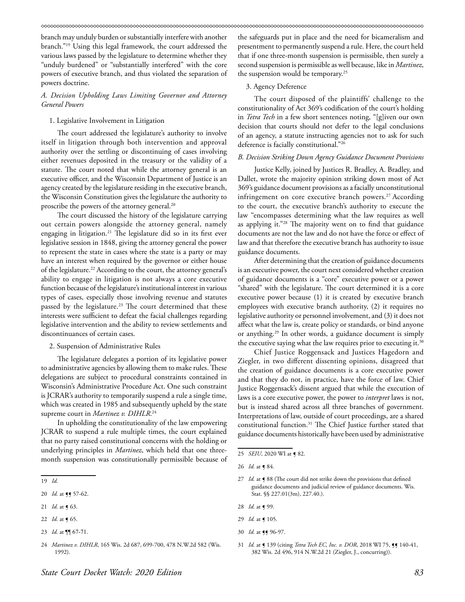branch may unduly burden or substantially interfere with another branch."19 Using this legal framework, the court addressed the various laws passed by the legislature to determine whether they "unduly burdened" or "substantially interfered" with the core powers of executive branch, and thus violated the separation of powers doctrine.

## *A. Decision Upholding Laws Limiting Governor and Attorney General Powers*

## 1. Legislative Involvement in Litigation

The court addressed the legislature's authority to involve itself in litigation through both intervention and approval authority over the settling or discontinuing of cases involving either revenues deposited in the treasury or the validity of a statute. The court noted that while the attorney general is an executive officer, and the Wisconsin Department of Justice is an agency created by the legislature residing in the executive branch, the Wisconsin Constitution gives the legislature the authority to proscribe the powers of the attorney general.20

The court discussed the history of the legislature carrying out certain powers alongside the attorney general, namely engaging in litigation.<sup>21</sup> The legislature did so in its first ever legislative session in 1848, giving the attorney general the power to represent the state in cases where the state is a party or may have an interest when required by the governor or either house of the legislature.<sup>22</sup> According to the court, the attorney general's ability to engage in litigation is not always a core executive function because of the legislature's institutional interest in various types of cases, especially those involving revenue and statutes passed by the legislature.<sup>23</sup> The court determined that these interests were sufficient to defeat the facial challenges regarding legislative intervention and the ability to review settlements and discontinuances of certain cases.

#### 2. Suspension of Administrative Rules

The legislature delegates a portion of its legislative power to administrative agencies by allowing them to make rules. These delegations are subject to procedural constraints contained in Wisconsin's Administrative Procedure Act. One such constraint is JCRAR's authority to temporarily suspend a rule a single time, which was created in 1985 and subsequently upheld by the state supreme court in *Martinez v. DIHLR*. 24

In upholding the constitutionality of the law empowering JCRAR to suspend a rule multiple times, the court explained that no party raised constitutional concerns with the holding or underlying principles in *Martinez*, which held that one threemonth suspension was constitutionally permissible because of

22 *Id.* at ¶ 65.

23 *Id.* at ¶¶ 67-71.

the safeguards put in place and the need for bicameralism and presentment to permanently suspend a rule. Here, the court held that if one three-month suspension is permissible, then surely a second suspension is permissible as well because, like in *Martinez*, the suspension would be temporary.25

## 3. Agency Deference

The court disposed of the plaintiffs' challenge to the constitutionality of Act 369's codification of the court's holding in *Tetra Tech* in a few short sentences noting, "[g]iven our own decision that courts should not defer to the legal conclusions of an agency, a statute instructing agencies not to ask for such deference is facially constitutional."26

#### *B. Decision Striking Down Agency Guidance Document Provisions*

Justice Kelly, joined by Justices R. Bradley, A. Bradley, and Dallet, wrote the majority opinion striking down most of Act 369's guidance document provisions as a facially unconstitutional infringement on core executive branch powers.<sup>27</sup> According to the court, the executive branch's authority to execute the law "encompasses determining what the law requires as well as applying it."<sup>28</sup> The majority went on to find that guidance documents are not the law and do not have the force or effect of law and that therefore the executive branch has authority to issue guidance documents.

After determining that the creation of guidance documents is an executive power, the court next considered whether creation of guidance documents is a "core" executive power or a power "shared" with the legislature. The court determined it is a core executive power because (1) it is created by executive branch employees with executive branch authority, (2) it requires no legislative authority or personnel involvement, and (3) it does not affect what the law is, create policy or standards, or bind anyone or anything.29 In other words, a guidance document is simply the executive saying what the law requires prior to executing it.<sup>30</sup>

Chief Justice Roggensack and Justices Hagedorn and Ziegler, in two different dissenting opinions, disagreed that the creation of guidance documents is a core executive power and that they do not, in practice, have the force of law. Chief Justice Roggensack's dissent argued that while the execution of laws is a core executive power, the power to *interpret* laws is not, but is instead shared across all three branches of government. Interpretations of law, outside of court proceedings, are a shared constitutional function.31 The Chief Justice further stated that guidance documents historically have been used by administrative

29 *Id.* at ¶ 105.

<sup>19</sup> *Id.*

<sup>20</sup> *Id.* at **[**¶ 57-62.

<sup>21</sup> *Id.* at § 63.

<sup>24</sup> *Martinez v. DIHLR*, 165 Wis. 2d 687, 699-700, 478 N.W.2d 582 (Wis. 1992).

<sup>25</sup> *SEIU*, 2020 WI at  $\leq 82$ .

<sup>26</sup> *Id.* at ¶ 84.

<sup>27</sup> *Id.* at  $\triangleleft$  88 (The court did not strike down the provisions that defined guidance documents and judicial review of guidance documents. Wis. Stat. §§ 227.01(3m), 227.40.).

<sup>28</sup> *Id.* at ¶ 99.

<sup>30</sup> *Id.* at **[1** 96-97.

<sup>31</sup> *Id.* at  $\int$  139 (citing *Tetra Tech EC, Inc. v. DOR*, 2018 WI 75,  $\int$  140-41, 382 Wis. 2d 496, 914 N.W.2d 21 (Ziegler, J., concurring)).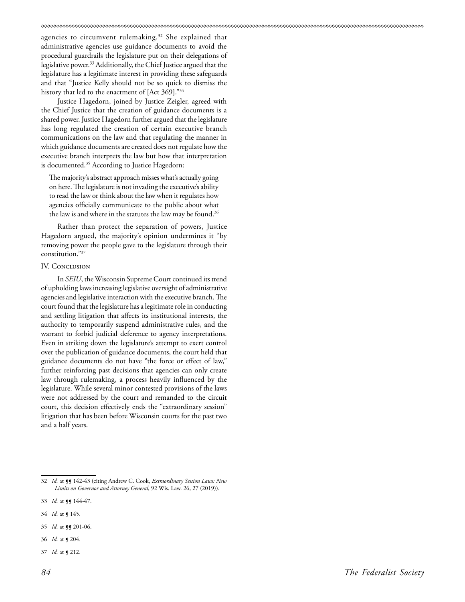agencies to circumvent rulemaking.32 She explained that administrative agencies use guidance documents to avoid the procedural guardrails the legislature put on their delegations of legislative power.<sup>33</sup> Additionally, the Chief Justice argued that the legislature has a legitimate interest in providing these safeguards and that "Justice Kelly should not be so quick to dismiss the history that led to the enactment of [Act 369]."34

Justice Hagedorn, joined by Justice Zeigler, agreed with the Chief Justice that the creation of guidance documents is a shared power. Justice Hagedorn further argued that the legislature has long regulated the creation of certain executive branch communications on the law and that regulating the manner in which guidance documents are created does not regulate how the executive branch interprets the law but how that interpretation is documented.<sup>35</sup> According to Justice Hagedorn:

The majority's abstract approach misses what's actually going on here. The legislature is not invading the executive's ability to read the law or think about the law when it regulates how agencies officially communicate to the public about what the law is and where in the statutes the law may be found.<sup>36</sup>

Rather than protect the separation of powers, Justice Hagedorn argued, the majority's opinion undermines it "by removing power the people gave to the legislature through their constitution."37

### IV. CONCLUSION

In *SEIU*, the Wisconsin Supreme Court continued its trend of upholding laws increasing legislative oversight of administrative agencies and legislative interaction with the executive branch. The court found that the legislature has a legitimate role in conducting and settling litigation that affects its institutional interests, the authority to temporarily suspend administrative rules, and the warrant to forbid judicial deference to agency interpretations. Even in striking down the legislature's attempt to exert control over the publication of guidance documents, the court held that guidance documents do not have "the force or effect of law," further reinforcing past decisions that agencies can only create law through rulemaking, a process heavily influenced by the legislature. While several minor contested provisions of the laws were not addressed by the court and remanded to the circuit court, this decision effectively ends the "extraordinary session" litigation that has been before Wisconsin courts for the past two and a half years.

- 34 *Id.* at ¶ 145.
- 35 *Id.* at **[]** 201-06.
- 36 *Id.* at ¶ 204.
- 37 *Id.* at ¶ 212.

<sup>32</sup> Id. at  $\P$ <sup>[</sup> 142-43 (citing Andrew C. Cook, *Extraordinary Session Laws: New Limits on Governor and Attorney General*, 92 Wis. Law. 26, 27 (2019)).

<sup>33</sup> *Id.* at  $\P$  144-47.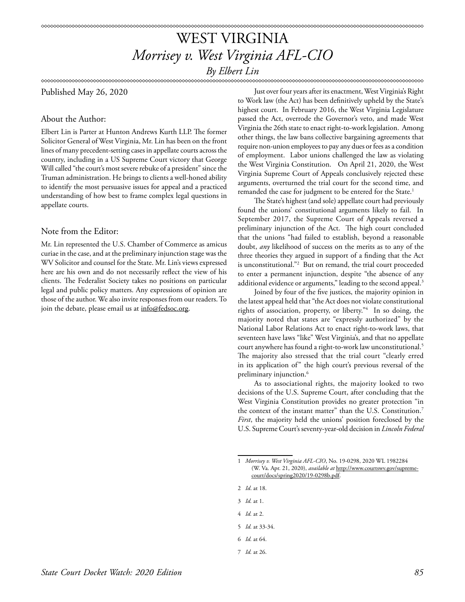# WEST VIRGINIA *Morrisey v. West Virginia AFL-CIO By Elbert Lin*

#### ∞∞∞∞∞∞∞∞∞∞∞∞∞∞ xxxxxxxxxxxxxxxxxxxxxxxxxxxxxxxxxxx

Published May 26, 2020

# About the Author:

Elbert Lin is Parter at Hunton Andrews Kurth LLP. The former Solicitor General of West Virginia, Mr. Lin has been on the front lines of many precedent-setting cases in appellate courts across the country, including in a US Supreme Court victory that George Will called "the court's most severe rebuke of a president" since the Truman administration. He brings to clients a well-honed ability to identify the most persuasive issues for appeal and a practiced understanding of how best to frame complex legal questions in appellate courts.

# Note from the Editor:

Mr. Lin represented the U.S. Chamber of Commerce as amicus curiae in the case, and at the preliminary injunction stage was the WV Solicitor and counsel for the State. Mr. Lin's views expressed here are his own and do not necessarily reflect the view of his clients. The Federalist Society takes no positions on particular legal and public policy matters. Any expressions of opinion are those of the author. We also invite responses from our readers. To join the debate, please email us at info@fedsoc.org.

Just over four years after its enactment, West Virginia's Right to Work law (the Act) has been definitively upheld by the State's highest court. In February 2016, the West Virginia Legislature passed the Act, overrode the Governor's veto, and made West Virginia the 26th state to enact right-to-work legislation. Among other things, the law bans collective bargaining agreements that require non-union employees to pay any dues or fees as a condition of employment. Labor unions challenged the law as violating the West Virginia Constitution. On April 21, 2020, the West Virginia Supreme Court of Appeals conclusively rejected these arguments, overturned the trial court for the second time, and remanded the case for judgment to be entered for the State.<sup>1</sup>

The State's highest (and sole) appellate court had previously found the unions' constitutional arguments likely to fail. In September 2017, the Supreme Court of Appeals reversed a preliminary injunction of the Act. The high court concluded that the unions "had failed to establish, beyond a reasonable doubt, *any* likelihood of success on the merits as to any of the three theories they argued in support of a finding that the Act is unconstitutional."2 But on remand, the trial court proceeded to enter a permanent injunction, despite "the absence of any additional evidence or arguments," leading to the second appeal.<sup>3</sup>

Joined by four of the five justices, the majority opinion in the latest appeal held that "the Act does not violate constitutional rights of association, property, or liberty."4 In so doing, the majority noted that states are "expressly authorized" by the National Labor Relations Act to enact right-to-work laws, that seventeen have laws "like" West Virginia's, and that no appellate court anywhere has found a right-to-work law unconstitutional.5 The majority also stressed that the trial court "clearly erred in its application of" the high court's previous reversal of the preliminary injunction.<sup>6</sup>

As to associational rights, the majority looked to two decisions of the U.S. Supreme Court, after concluding that the West Virginia Constitution provides no greater protection "in the context of the instant matter" than the U.S. Constitution.7 *First*, the majority held the unions' position foreclosed by the U.S. Supreme Court's seventy-year-old decision in *Lincoln Federal* 

- 2 *Id*. at 18.
- 3 *Id.* at 1.
- 4 *Id.* at 2.
- 5 *Id.* at 33-34.
- 6 *Id.* at 64.
- 7 *Id.* at 26.

<sup>1</sup> *Morrisey v. West Virginia AFL-CIO*, No. 19-0298, 2020 WL 1982284 (W. Va. Apr. 21, 2020), *available at* http://www.courtswv.gov/supremecourt/docs/spring2020/19-0298b.pdf.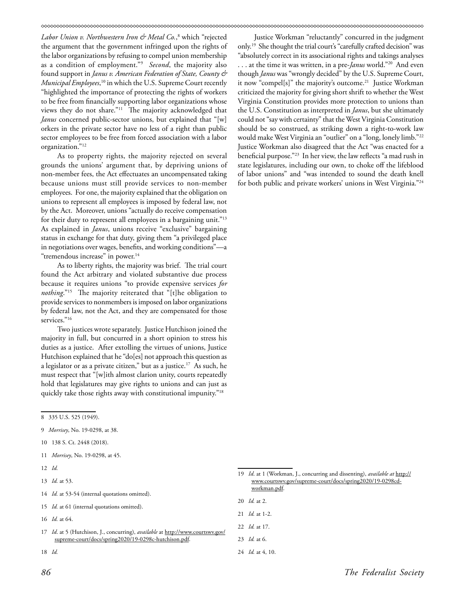*Labor Union v. Northwestern Iron & Metal Co.*, 8 which "rejected the argument that the government infringed upon the rights of the labor organizations by refusing to compel union membership as a condition of employment."9 *Second*, the majority also found support in *Janus v. American Federation of State, County & Municipal Employees*, 10 in which the U.S. Supreme Court recently "highlighted the importance of protecting the rights of workers to be free from financially supporting labor organizations whose views they do not share."11 The majority acknowledged that *Janus* concerned public-sector unions, but explained that "[w] orkers in the private sector have no less of a right than public sector employees to be free from forced association with a labor organization."12

As to property rights, the majority rejected on several grounds the unions' argument that, by depriving unions of non-member fees, the Act effectuates an uncompensated taking because unions must still provide services to non-member employees. For one, the majority explained that the obligation on unions to represent all employees is imposed by federal law, not by the Act. Moreover, unions "actually do receive compensation for their duty to represent all employees in a bargaining unit."<sup>13</sup> As explained in *Janus*, unions receive "exclusive" bargaining status in exchange for that duty, giving them "a privileged place in negotiations over wages, benefits, and working conditions"—a "tremendous increase" in power.<sup>14</sup>

As to liberty rights, the majority was brief. The trial court found the Act arbitrary and violated substantive due process because it requires unions "to provide expensive services *for nothing*."15 The majority reiterated that "[t]he obligation to provide services to nonmembers is imposed on labor organizations by federal law, not the Act, and they are compensated for those services."<sup>16</sup>

Two justices wrote separately. Justice Hutchison joined the majority in full, but concurred in a short opinion to stress his duties as a justice. After extolling the virtues of unions, Justice Hutchison explained that he "do[es] not approach this question as a legislator or as a private citizen," but as a justice.<sup>17</sup> As such, he must respect that "[w]ith almost clarion unity, courts repeatedly hold that legislatures may give rights to unions and can just as quickly take those rights away with constitutional impunity."18

- 9 *Morrisey*, No. 19-0298, at 38.
- 10 138 S. Ct. 2448 (2018).
- 11 *Morrisey*, No. 19-0298, at 45.
- 12 *Id.*
- 13 *Id.* at 53.
- 14 *Id.* at 53-54 (internal quotations omitted).
- 15 *Id.* at 61 (internal quotations omitted).
- 16 *Id.* at 64.
- 17 *Id*. at 5 (Hutchison, J., concurring), *available* at http://www.courtswv.gov/ supreme-court/docs/spring2020/19-0298c-hutchison.pdf.
- 18 *Id.*

criticized the majority for giving short shrift to whether the West Virginia Constitution provides more protection to unions than the U.S. Constitution as interpreted in *Janus*, but she ultimately could not "say with certainty" that the West Virginia Constitution should be so construed, as striking down a right-to-work law would make West Virginia an "outlier" on a "long, lonely limb."22 Justice Workman also disagreed that the Act "was enacted for a beneficial purpose."23 In her view, the law reflects "a mad rush in state legislatures, including our own, to choke off the lifeblood of labor unions" and "was intended to sound the death knell for both public and private workers' unions in West Virginia."24

Justice Workman "reluctantly" concurred in the judgment only.19 She thought the trial court's "carefully crafted decision" was "absolutely correct in its associational rights and takings analyses . . . at the time it was written, in a pre-*Janus* world."20 And even though *Janus* was "wrongly decided" by the U.S. Supreme Court, it now "compel[s]" the majority's outcome.<sup>21</sup> Justice Workman

- 20 *Id.* at 2.
- 21 *Id.* at 1-2.
- 22 *Id.* at 17.
- 23 *Id.* at 6.
- 24 *Id.* at 4, 10.

<sup>8 335</sup> U.S. 525 (1949).

<sup>19</sup> *Id*. at 1 (Workman, J., concurring and dissenting), *available at* http:// www.courtswv.gov/supreme-court/docs/spring2020/19-0298cdworkman.pdf.